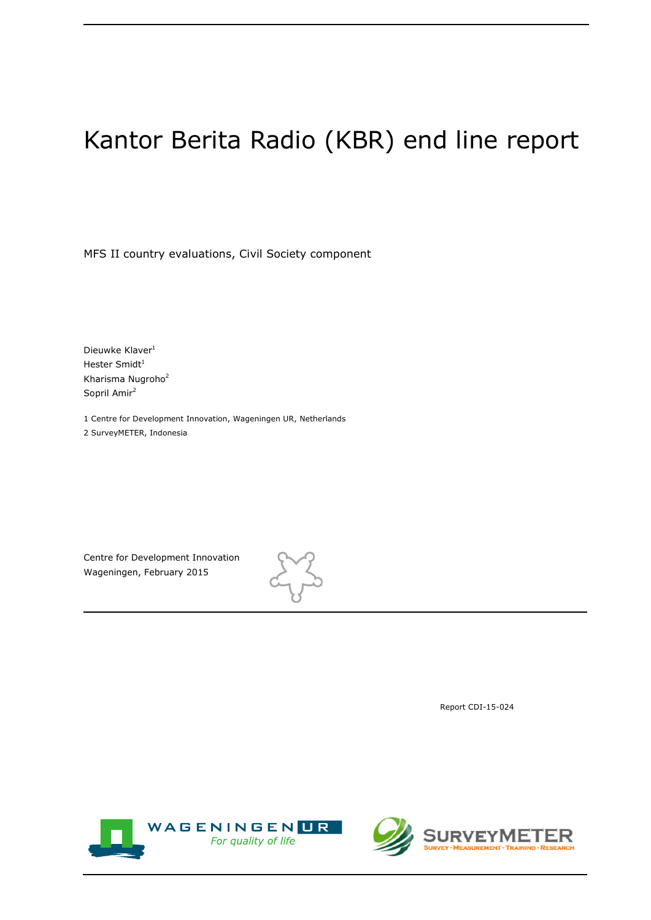# Kantor Berita Radio (KBR) end line report

MFS II country evaluations, Civil Society component

Dieuwke Klaver<sup>1</sup> Hester Smidt $1$ Kharisma Nugroho<sup>2</sup> Sopril Amir<sup>2</sup>

1 Centre for Development Innovation, Wageningen UR, Netherlands 2 SurveyMETER, Indonesia

Centre for Development Innovation Wageningen, February 2015



Report CDI-15-024



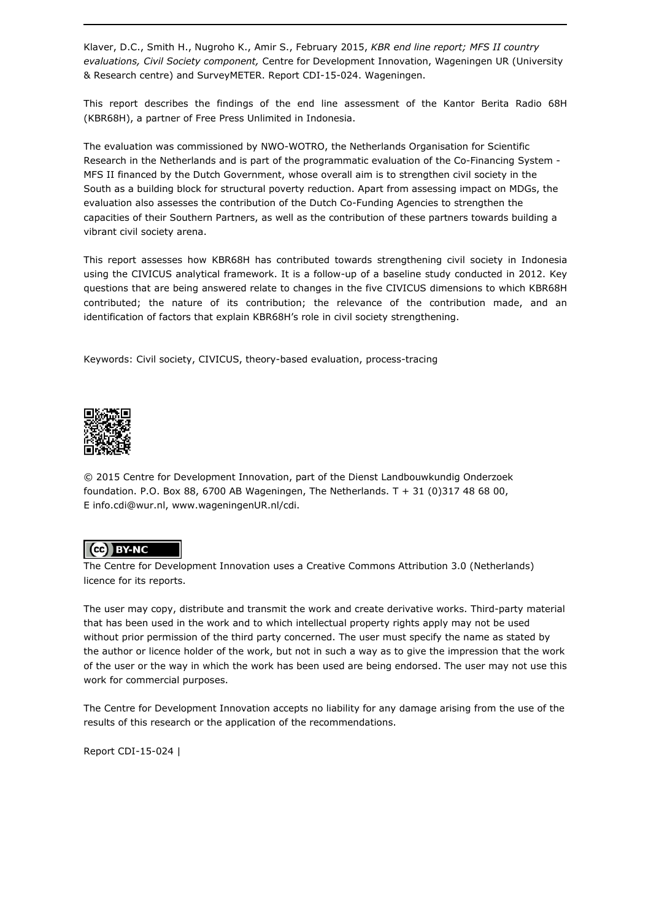Klaver, D.C., Smith H., Nugroho K., Amir S., February 2015, *KBR end line report; MFS II country evaluations, Civil Society component,* Centre for Development Innovation, Wageningen UR (University & Research centre) and SurveyMETER. Report CDI-15-024. Wageningen.

This report describes the findings of the end line assessment of the Kantor Berita Radio 68H (KBR68H), a partner of Free Press Unlimited in Indonesia.

The evaluation was commissioned by NWO-WOTRO, the Netherlands Organisation for Scientific Research in the Netherlands and is part of the programmatic evaluation of the Co-Financing System - MFS II financed by the Dutch Government, whose overall aim is to strengthen civil society in the South as a building block for structural poverty reduction. Apart from assessing impact on MDGs, the evaluation also assesses the contribution of the Dutch Co-Funding Agencies to strengthen the capacities of their Southern Partners, as well as the contribution of these partners towards building a vibrant civil society arena.

This report assesses how KBR68H has contributed towards strengthening civil society in Indonesia using the CIVICUS analytical framework. It is a follow-up of a baseline study conducted in 2012. Key questions that are being answered relate to changes in the five CIVICUS dimensions to which KBR68H contributed; the nature of its contribution; the relevance of the contribution made, and an identification of factors that explain KBR68H's role in civil society strengthening.

Keywords: Civil society, CIVICUS, theory-based evaluation, process-tracing



© 2015 Centre for Development Innovation, part of the Dienst Landbouwkundig Onderzoek foundation. P.O. Box 88, 6700 AB Wageningen, The Netherlands. T + 31 (0)317 48 68 00, E info.cdi@wur.nl, www.wageningenUR.nl/cdi.

### (ce) BY-NC

The Centre for Development Innovation uses a Creative Commons Attribution 3.0 (Netherlands) licence for its reports.

The user may copy, distribute and transmit the work and create derivative works. Third-party material that has been used in the work and to which intellectual property rights apply may not be used without prior permission of the third party concerned. The user must specify the name as stated by the author or licence holder of the work, but not in such a way as to give the impression that the work of the user or the way in which the work has been used are being endorsed. The user may not use this work for commercial purposes.

The Centre for Development Innovation accepts no liability for any damage arising from the use of the results of this research or the application of the recommendations.

Report CDI-15-024 |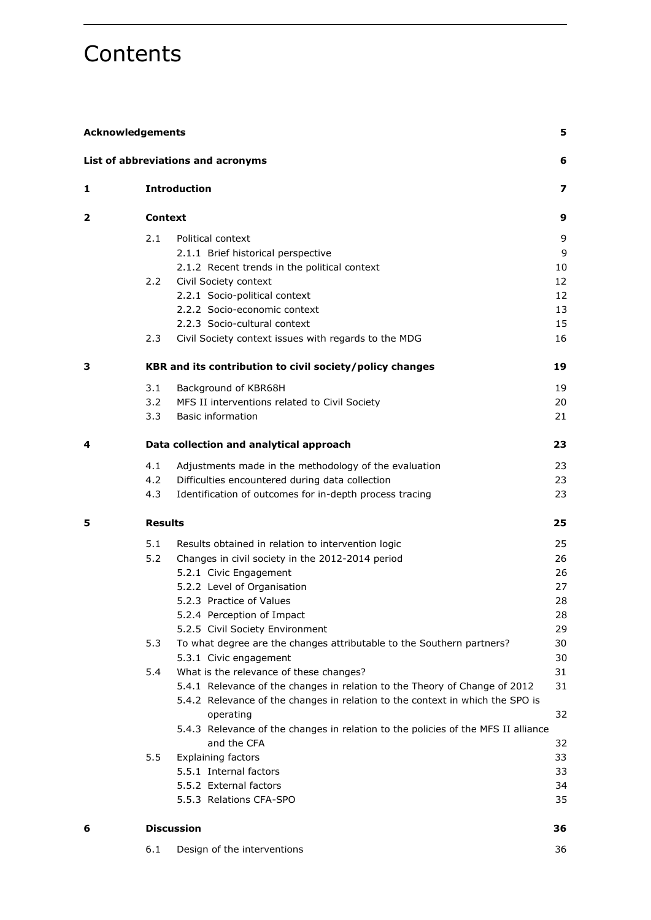# **Contents**

|   | <b>Acknowledgements</b> |                                                                                                  |     |  |
|---|-------------------------|--------------------------------------------------------------------------------------------------|-----|--|
|   |                         | List of abbreviations and acronyms                                                               | 6   |  |
| 1 |                         | <b>Introduction</b>                                                                              | 7   |  |
| 2 | <b>Context</b>          |                                                                                                  | 9   |  |
|   | 2.1                     | Political context                                                                                | 9   |  |
|   |                         | 2.1.1 Brief historical perspective                                                               | 9   |  |
|   |                         | 2.1.2 Recent trends in the political context                                                     | 10  |  |
|   | $2.2^{\circ}$           | Civil Society context                                                                            | 12  |  |
|   |                         | 2.2.1 Socio-political context                                                                    | 12  |  |
|   |                         | 2.2.2 Socio-economic context                                                                     | 13  |  |
|   |                         | 2.2.3 Socio-cultural context                                                                     | 15  |  |
|   | 2.3                     | Civil Society context issues with regards to the MDG                                             | 16  |  |
| 3 |                         | KBR and its contribution to civil society/policy changes                                         | 19  |  |
|   | 3.1                     | Background of KBR68H                                                                             | 19  |  |
|   | 3.2                     | MFS II interventions related to Civil Society                                                    | 20  |  |
|   | 3.3 <sub>1</sub>        | <b>Basic information</b>                                                                         | 21  |  |
| 4 |                         | Data collection and analytical approach                                                          | 23  |  |
|   | 4.1                     | Adjustments made in the methodology of the evaluation                                            | 23  |  |
|   | 4.2                     | Difficulties encountered during data collection                                                  | 23  |  |
|   | 4.3                     | Identification of outcomes for in-depth process tracing                                          | 23  |  |
| 5 | <b>Results</b>          |                                                                                                  | 25. |  |
|   | 5.1                     | Results obtained in relation to intervention logic                                               | 25  |  |
|   | 5.2                     | Changes in civil society in the 2012-2014 period                                                 | 26  |  |
|   |                         | 5.2.1 Civic Engagement                                                                           | 26  |  |
|   |                         | 5.2.2 Level of Organisation                                                                      | 27  |  |
|   |                         | 5.2.3 Practice of Values                                                                         | 28  |  |
|   |                         | 5.2.4 Perception of Impact                                                                       | 28  |  |
|   |                         | 5.2.5 Civil Society Environment                                                                  | 29  |  |
|   | 5.3                     | To what degree are the changes attributable to the Southern partners?                            | 30  |  |
|   |                         | 5.3.1 Civic engagement                                                                           | 30  |  |
|   | 5.4                     | What is the relevance of these changes?                                                          | 31  |  |
|   |                         | 5.4.1 Relevance of the changes in relation to the Theory of Change of 2012                       | 31  |  |
|   |                         | 5.4.2 Relevance of the changes in relation to the context in which the SPO is<br>operating       | 32  |  |
|   |                         | 5.4.3 Relevance of the changes in relation to the policies of the MFS II alliance<br>and the CFA | 32  |  |
|   | 5.5                     | <b>Explaining factors</b>                                                                        | 33  |  |
|   |                         | 5.5.1 Internal factors                                                                           | 33  |  |
|   |                         | 5.5.2 External factors                                                                           | 34  |  |
|   |                         | 5.5.3 Relations CFA-SPO                                                                          | 35  |  |
| 6 |                         | <b>Discussion</b>                                                                                | 36  |  |
|   |                         |                                                                                                  |     |  |

| 6.1<br>Design of the interventions |  |
|------------------------------------|--|
|------------------------------------|--|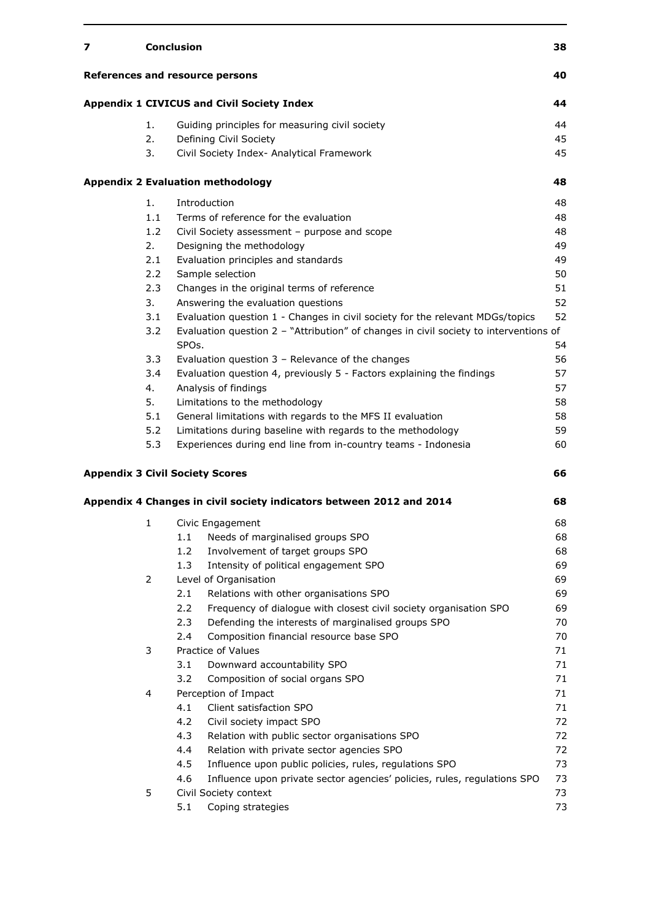| 7 |              | <b>Conclusion</b>                                                                                           | 38       |
|---|--------------|-------------------------------------------------------------------------------------------------------------|----------|
|   |              | References and resource persons                                                                             | 40       |
|   |              | <b>Appendix 1 CIVICUS and Civil Society Index</b>                                                           | 44       |
|   | 1.           | Guiding principles for measuring civil society                                                              | 44       |
|   | 2.           | Defining Civil Society                                                                                      | 45       |
|   | 3.           | Civil Society Index- Analytical Framework                                                                   | 45       |
|   |              | <b>Appendix 2 Evaluation methodology</b>                                                                    | 48       |
|   | 1.           | Introduction                                                                                                | 48       |
|   | 1.1          | Terms of reference for the evaluation                                                                       | 48       |
|   | 1.2          | Civil Society assessment - purpose and scope                                                                | 48       |
|   | 2.           | Designing the methodology                                                                                   | 49       |
|   | 2.1          | Evaluation principles and standards                                                                         | 49       |
|   | 2.2          | Sample selection                                                                                            | 50       |
|   | 2.3          | Changes in the original terms of reference                                                                  | 51       |
|   | 3.           | Answering the evaluation questions                                                                          | 52       |
|   | 3.1          | Evaluation question 1 - Changes in civil society for the relevant MDGs/topics                               | 52       |
|   | 3.2          | Evaluation question 2 - "Attribution" of changes in civil society to interventions of<br>SPO <sub>s</sub> . | 54       |
|   | 3.3          | Evaluation question $3$ – Relevance of the changes                                                          | 56       |
|   | 3.4          | Evaluation question 4, previously 5 - Factors explaining the findings                                       | 57       |
|   | 4.           | Analysis of findings                                                                                        | 57       |
|   | 5.           | Limitations to the methodology                                                                              | 58       |
|   | 5.1          | General limitations with regards to the MFS II evaluation                                                   | 58       |
|   | 5.2          | Limitations during baseline with regards to the methodology                                                 | 59       |
|   | 5.3          | Experiences during end line from in-country teams - Indonesia                                               | 60       |
|   |              | <b>Appendix 3 Civil Society Scores</b>                                                                      | 66       |
|   |              | Appendix 4 Changes in civil society indicators between 2012 and 2014                                        | 68       |
|   |              |                                                                                                             | 68       |
|   | $\mathbf{1}$ | Civic Engagement                                                                                            |          |
|   |              | 1.1<br>Needs of marginalised groups SPO<br>1.2                                                              | 68<br>68 |
|   |              | Involvement of target groups SPO<br>1.3                                                                     | 69       |
|   | 2            | Intensity of political engagement SPO                                                                       | 69       |
|   |              | Level of Organisation<br>Relations with other organisations SPO                                             | 69       |
|   |              | 2.1<br>2.2                                                                                                  | 69       |
|   |              | Frequency of dialogue with closest civil society organisation SPO                                           |          |
|   |              | 2.3<br>Defending the interests of marginalised groups SPO<br>2.4                                            | 70       |
|   |              | Composition financial resource base SPO<br>Practice of Values                                               | 70<br>71 |
|   | 3            |                                                                                                             |          |
|   |              | Downward accountability SPO<br>3.1                                                                          | 71       |
|   |              | 3.2<br>Composition of social organs SPO                                                                     | 71       |
|   | 4            | Perception of Impact                                                                                        | 71       |
|   |              | 4.1<br>Client satisfaction SPO                                                                              | 71       |
|   |              | 4.2<br>Civil society impact SPO                                                                             | 72       |
|   |              | 4.3<br>Relation with public sector organisations SPO                                                        | 72       |
|   |              | Relation with private sector agencies SPO<br>4.4                                                            | 72       |
|   |              | Influence upon public policies, rules, regulations SPO<br>4.5                                               | 73       |
|   |              | 4.6<br>Influence upon private sector agencies' policies, rules, regulations SPO                             | 73       |
|   | 5            | Civil Society context                                                                                       | 73       |
|   |              | 5.1<br>Coping strategies                                                                                    | 73       |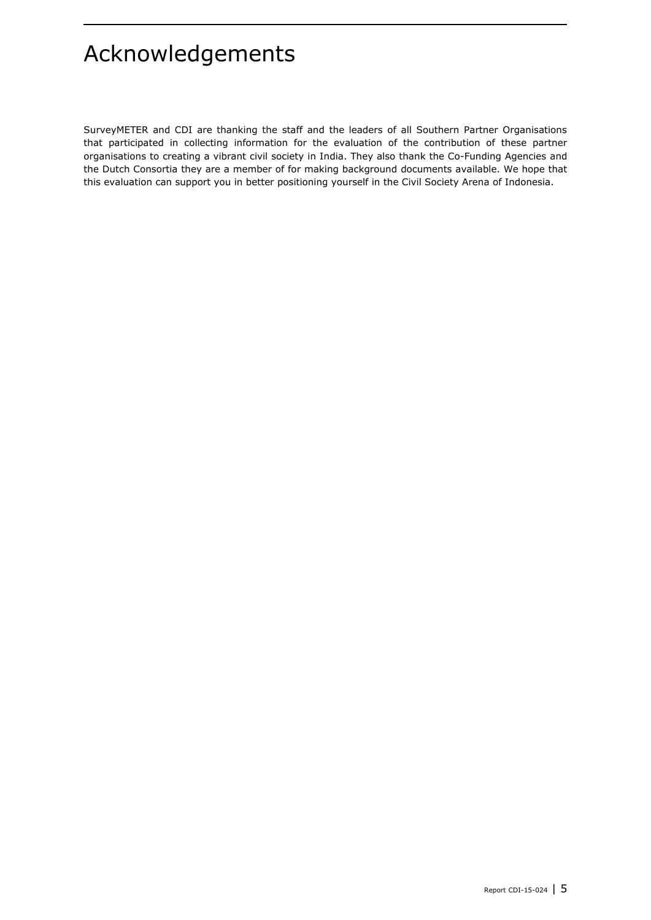# <span id="page-4-0"></span>Acknowledgements

SurveyMETER and CDI are thanking the staff and the leaders of all Southern Partner Organisations that participated in collecting information for the evaluation of the contribution of these partner organisations to creating a vibrant civil society in India. They also thank the Co-Funding Agencies and the Dutch Consortia they are a member of for making background documents available. We hope that this evaluation can support you in better positioning yourself in the Civil Society Arena of Indonesia.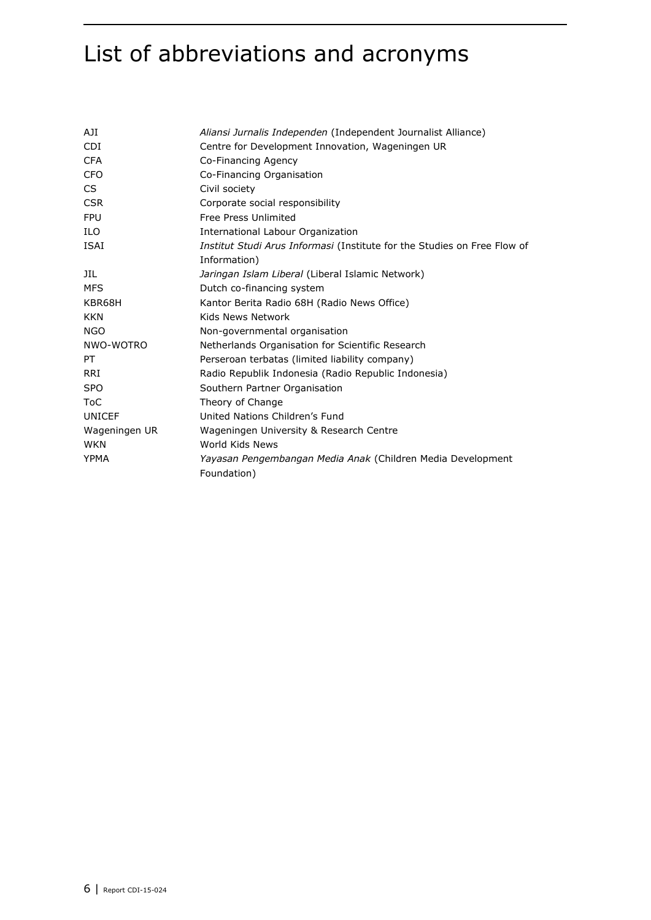# <span id="page-5-0"></span>List of abbreviations and acronyms

| AJI.          | Aliansi Jurnalis Independen (Independent Journalist Alliance)            |
|---------------|--------------------------------------------------------------------------|
| <b>CDI</b>    | Centre for Development Innovation, Wageningen UR                         |
| <b>CFA</b>    | Co-Financing Agency                                                      |
| <b>CFO</b>    | Co-Financing Organisation                                                |
| CS            | Civil society                                                            |
| <b>CSR</b>    | Corporate social responsibility                                          |
| <b>FPU</b>    | Free Press Unlimited                                                     |
| <b>ILO</b>    | International Labour Organization                                        |
| <b>ISAI</b>   | Institut Studi Arus Informasi (Institute for the Studies on Free Flow of |
|               | Information)                                                             |
| JIL           | Jaringan Islam Liberal (Liberal Islamic Network)                         |
| <b>MFS</b>    | Dutch co-financing system                                                |
| KBR68H        | Kantor Berita Radio 68H (Radio News Office)                              |
| <b>KKN</b>    | Kids News Network                                                        |
| <b>NGO</b>    | Non-governmental organisation                                            |
| NWO-WOTRO     | Netherlands Organisation for Scientific Research                         |
| PT.           | Perseroan terbatas (limited liability company)                           |
| <b>RRI</b>    | Radio Republik Indonesia (Radio Republic Indonesia)                      |
| <b>SPO</b>    | Southern Partner Organisation                                            |
| <b>ToC</b>    | Theory of Change                                                         |
| <b>UNICEF</b> | United Nations Children's Fund                                           |
| Wageningen UR | Wageningen University & Research Centre                                  |
| <b>WKN</b>    | World Kids News                                                          |
| <b>YPMA</b>   | Yayasan Pengembangan Media Anak (Children Media Development              |
|               | Foundation)                                                              |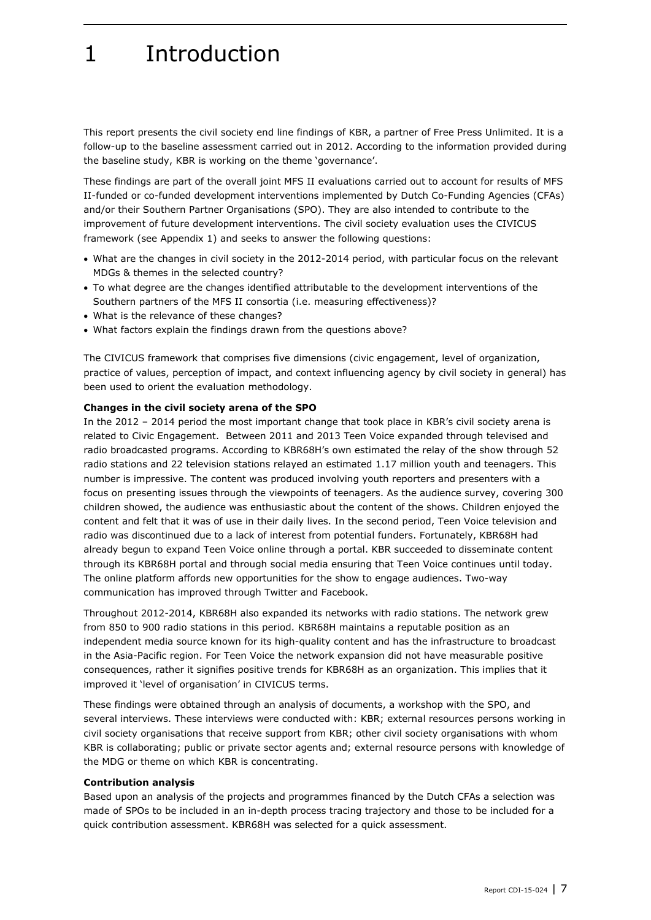# <span id="page-6-0"></span>1 Introduction

This report presents the civil society end line findings of KBR, a partner of Free Press Unlimited. It is a follow-up to the baseline assessment carried out in 2012. According to the information provided during the baseline study, KBR is working on the theme 'governance'.

These findings are part of the overall joint MFS II evaluations carried out to account for results of MFS II-funded or co-funded development interventions implemented by Dutch Co-Funding Agencies (CFAs) and/or their Southern Partner Organisations (SPO). They are also intended to contribute to the improvement of future development interventions. The civil society evaluation uses the CIVICUS framework (see Appendix 1) and seeks to answer the following questions:

- What are the changes in civil society in the 2012-2014 period, with particular focus on the relevant MDGs & themes in the selected country?
- To what degree are the changes identified attributable to the development interventions of the Southern partners of the MFS II consortia (i.e. measuring effectiveness)?
- What is the relevance of these changes?
- What factors explain the findings drawn from the questions above?

The CIVICUS framework that comprises five dimensions (civic engagement, level of organization, practice of values, perception of impact, and context influencing agency by civil society in general) has been used to orient the evaluation methodology.

#### **Changes in the civil society arena of the SPO**

In the 2012 – 2014 period the most important change that took place in KBR's civil society arena is related to Civic Engagement. Between 2011 and 2013 Teen Voice expanded through televised and radio broadcasted programs. According to KBR68H's own estimated the relay of the show through 52 radio stations and 22 television stations relayed an estimated 1.17 million youth and teenagers. This number is impressive. The content was produced involving youth reporters and presenters with a focus on presenting issues through the viewpoints of teenagers. As the audience survey, covering 300 children showed, the audience was enthusiastic about the content of the shows. Children enjoyed the content and felt that it was of use in their daily lives. In the second period, Teen Voice television and radio was discontinued due to a lack of interest from potential funders. Fortunately, KBR68H had already begun to expand Teen Voice online through a portal. KBR succeeded to disseminate content through its KBR68H portal and through social media ensuring that Teen Voice continues until today. The online platform affords new opportunities for the show to engage audiences. Two-way communication has improved through Twitter and Facebook.

Throughout 2012-2014, KBR68H also expanded its networks with radio stations. The network grew from 850 to 900 radio stations in this period. KBR68H maintains a reputable position as an independent media source known for its high-quality content and has the infrastructure to broadcast in the Asia-Pacific region. For Teen Voice the network expansion did not have measurable positive consequences, rather it signifies positive trends for KBR68H as an organization. This implies that it improved it 'level of organisation' in CIVICUS terms.

These findings were obtained through an analysis of documents, a workshop with the SPO, and several interviews. These interviews were conducted with: KBR; external resources persons working in civil society organisations that receive support from KBR; other civil society organisations with whom KBR is collaborating; public or private sector agents and; external resource persons with knowledge of the MDG or theme on which KBR is concentrating.

#### **Contribution analysis**

Based upon an analysis of the projects and programmes financed by the Dutch CFAs a selection was made of SPOs to be included in an in-depth process tracing trajectory and those to be included for a quick contribution assessment. KBR68H was selected for a quick assessment.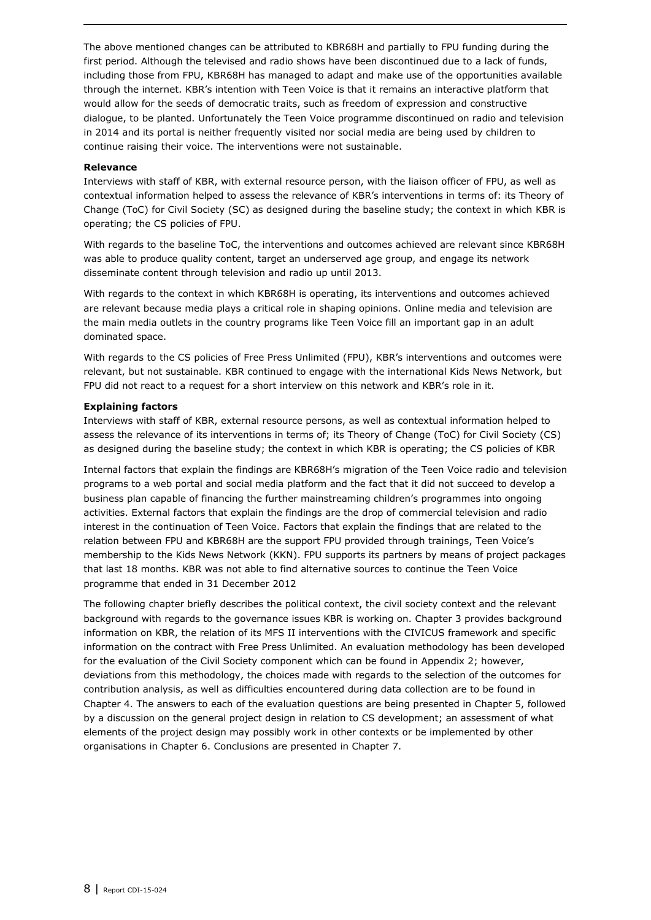The above mentioned changes can be attributed to KBR68H and partially to FPU funding during the first period. Although the televised and radio shows have been discontinued due to a lack of funds, including those from FPU, KBR68H has managed to adapt and make use of the opportunities available through the internet. KBR's intention with Teen Voice is that it remains an interactive platform that would allow for the seeds of democratic traits, such as freedom of expression and constructive dialogue, to be planted. Unfortunately the Teen Voice programme discontinued on radio and television in 2014 and its portal is neither frequently visited nor social media are being used by children to continue raising their voice. The interventions were not sustainable.

#### **Relevance**

Interviews with staff of KBR, with external resource person, with the liaison officer of FPU, as well as contextual information helped to assess the relevance of KBR's interventions in terms of: its Theory of Change (ToC) for Civil Society (SC) as designed during the baseline study; the context in which KBR is operating; the CS policies of FPU.

With regards to the baseline ToC, the interventions and outcomes achieved are relevant since KBR68H was able to produce quality content, target an underserved age group, and engage its network disseminate content through television and radio up until 2013.

With regards to the context in which KBR68H is operating, its interventions and outcomes achieved are relevant because media plays a critical role in shaping opinions. Online media and television are the main media outlets in the country programs like Teen Voice fill an important gap in an adult dominated space.

With regards to the CS policies of Free Press Unlimited (FPU), KBR's interventions and outcomes were relevant, but not sustainable. KBR continued to engage with the international Kids News Network, but FPU did not react to a request for a short interview on this network and KBR's role in it.

#### **Explaining factors**

Interviews with staff of KBR, external resource persons, as well as contextual information helped to assess the relevance of its interventions in terms of; its Theory of Change (ToC) for Civil Society (CS) as designed during the baseline study; the context in which KBR is operating; the CS policies of KBR

Internal factors that explain the findings are KBR68H's migration of the Teen Voice radio and television programs to a web portal and social media platform and the fact that it did not succeed to develop a business plan capable of financing the further mainstreaming children's programmes into ongoing activities. External factors that explain the findings are the drop of commercial television and radio interest in the continuation of Teen Voice. Factors that explain the findings that are related to the relation between FPU and KBR68H are the support FPU provided through trainings, Teen Voice's membership to the Kids News Network (KKN). FPU supports its partners by means of project packages that last 18 months. KBR was not able to find alternative sources to continue the Teen Voice programme that ended in 31 December 2012

The following chapter briefly describes the political context, the civil society context and the relevant background with regards to the governance issues KBR is working on. Chapter 3 provides background information on KBR, the relation of its MFS II interventions with the CIVICUS framework and specific information on the contract with Free Press Unlimited. An evaluation methodology has been developed for the evaluation of the Civil Society component which can be found in Appendix 2; however, deviations from this methodology, the choices made with regards to the selection of the outcomes for contribution analysis, as well as difficulties encountered during data collection are to be found in Chapter 4. The answers to each of the evaluation questions are being presented in Chapter 5, followed by a discussion on the general project design in relation to CS development; an assessment of what elements of the project design may possibly work in other contexts or be implemented by other organisations in Chapter 6. Conclusions are presented in Chapter 7.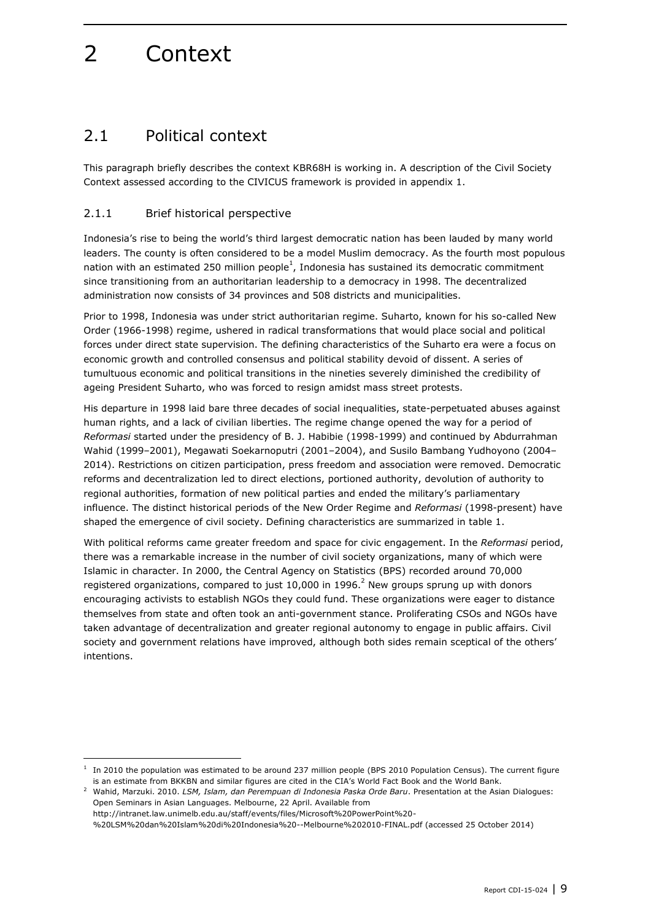# <span id="page-8-0"></span>2 Context

### <span id="page-8-1"></span>2.1 Political context

This paragraph briefly describes the context KBR68H is working in. A description of the Civil Society Context assessed according to the CIVICUS framework is provided in appendix 1.

### <span id="page-8-2"></span>2.1.1 Brief historical perspective

Indonesia's rise to being the world's third largest democratic nation has been lauded by many world leaders. The county is often considered to be a model Muslim democracy. As the fourth most populous nation with an estimated 250 million people<sup>1</sup>, Indonesia has sustained its democratic commitment since transitioning from an authoritarian leadership to a democracy in 1998. The decentralized administration now consists of 34 provinces and 508 districts and municipalities.

Prior to 1998, Indonesia was under strict authoritarian regime. Suharto, known for his so-called New Order (1966-1998) regime, ushered in radical transformations that would place social and political forces under direct state supervision. The defining characteristics of the Suharto era were a focus on economic growth and controlled consensus and political stability devoid of dissent. A series of tumultuous economic and political transitions in the nineties severely diminished the credibility of ageing President Suharto, who was forced to resign amidst mass street protests.

His departure in 1998 laid bare three decades of social inequalities, state-perpetuated abuses against human rights, and a lack of civilian liberties. The regime change opened the way for a period of *Reformasi* started under the presidency of B. J. Habibie (1998-1999) and continued by Abdurrahman Wahid (1999–2001), Megawati Soekarnoputri (2001–2004), and Susilo Bambang Yudhoyono (2004– 2014). Restrictions on citizen participation, press freedom and association were removed. Democratic reforms and decentralization led to direct elections, portioned authority, devolution of authority to regional authorities, formation of new political parties and ended the military's parliamentary influence. The distinct historical periods of the New Order Regime and *Reformasi* (1998-present) have shaped the emergence of civil society. Defining characteristics are summarized in table 1.

With political reforms came greater freedom and space for civic engagement. In the *Reformasi* period, there was a remarkable increase in the number of civil society organizations, many of which were Islamic in character. In 2000, the Central Agency on Statistics (BPS) recorded around 70,000 registered organizations, compared to just 10,000 in 1996.<sup>2</sup> New groups sprung up with donors encouraging activists to establish NGOs they could fund. These organizations were eager to distance themselves from state and often took an anti-government stance. Proliferating CSOs and NGOs have taken advantage of decentralization and greater regional autonomy to engage in public affairs. Civil society and government relations have improved, although both sides remain sceptical of the others' intentions.

<sup>2</sup> Wahid, Marzuki. 2010. *LSM, Islam, dan Perempuan di Indonesia Paska Orde Baru*. Presentation at the Asian Dialogues: Open Seminars in Asian Languages. Melbourne, 22 April. Available from

http://intranet.law.unimelb.edu.au/staff/events/files/Microsoft%20PowerPoint%20-

-

<sup>1</sup> In 2010 the population was estimated to be around 237 million people (BPS 2010 Population Census). The current figure is an estimate from BKKBN and similar figures are cited in the CIA's World Fact Book and the World Bank.

<sup>%20</sup>LSM%20dan%20Islam%20di%20Indonesia%20--Melbourne%202010-FINAL.pdf (accessed 25 October 2014)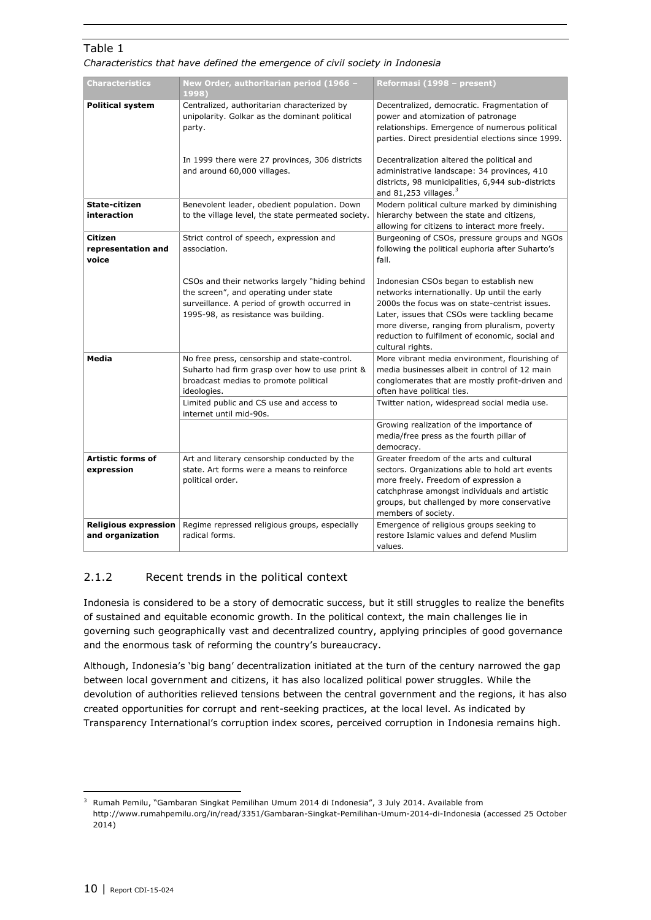### Table 1

*Characteristics that have defined the emergence of civil society in Indonesia*

| <b>Characteristics</b>                          | New Order, authoritarian period (1966 -<br>1998)                                                                                                                                 | Reformasi (1998 - present)                                                                                                                                                                                                                                                                                      |
|-------------------------------------------------|----------------------------------------------------------------------------------------------------------------------------------------------------------------------------------|-----------------------------------------------------------------------------------------------------------------------------------------------------------------------------------------------------------------------------------------------------------------------------------------------------------------|
| <b>Political system</b>                         | Centralized, authoritarian characterized by<br>unipolarity. Golkar as the dominant political<br>party.                                                                           | Decentralized, democratic. Fragmentation of<br>power and atomization of patronage<br>relationships. Emergence of numerous political<br>parties. Direct presidential elections since 1999.                                                                                                                       |
|                                                 | In 1999 there were 27 provinces, 306 districts<br>and around 60,000 villages.                                                                                                    | Decentralization altered the political and<br>administrative landscape: 34 provinces, 410<br>districts, 98 municipalities, 6,944 sub-districts<br>and 81,253 villages. $3$                                                                                                                                      |
| State-citizen<br>interaction                    | Benevolent leader, obedient population. Down<br>to the village level, the state permeated society.                                                                               | Modern political culture marked by diminishing<br>hierarchy between the state and citizens,<br>allowing for citizens to interact more freely.                                                                                                                                                                   |
| Citizen<br>representation and<br>voice          | Strict control of speech, expression and<br>association.                                                                                                                         | Burgeoning of CSOs, pressure groups and NGOs<br>following the political euphoria after Suharto's<br>fall.                                                                                                                                                                                                       |
|                                                 | CSOs and their networks largely "hiding behind<br>the screen", and operating under state<br>surveillance. A period of growth occurred in<br>1995-98, as resistance was building. | Indonesian CSOs began to establish new<br>networks internationally. Up until the early<br>2000s the focus was on state-centrist issues.<br>Later, issues that CSOs were tackling became<br>more diverse, ranging from pluralism, poverty<br>reduction to fulfilment of economic, social and<br>cultural rights. |
| <b>Media</b>                                    | No free press, censorship and state-control.<br>Suharto had firm grasp over how to use print &<br>broadcast medias to promote political<br>ideologies.                           | More vibrant media environment, flourishing of<br>media businesses albeit in control of 12 main<br>conglomerates that are mostly profit-driven and<br>often have political ties.                                                                                                                                |
|                                                 | Limited public and CS use and access to<br>internet until mid-90s.                                                                                                               | Twitter nation, widespread social media use.                                                                                                                                                                                                                                                                    |
|                                                 |                                                                                                                                                                                  | Growing realization of the importance of<br>media/free press as the fourth pillar of<br>democracy.                                                                                                                                                                                                              |
| <b>Artistic forms of</b><br>expression          | Art and literary censorship conducted by the<br>state. Art forms were a means to reinforce<br>political order.                                                                   | Greater freedom of the arts and cultural<br>sectors. Organizations able to hold art events<br>more freely. Freedom of expression a<br>catchphrase amongst individuals and artistic<br>groups, but challenged by more conservative<br>members of society.                                                        |
| <b>Religious expression</b><br>and organization | Regime repressed religious groups, especially<br>radical forms.                                                                                                                  | Emergence of religious groups seeking to<br>restore Islamic values and defend Muslim<br>values.                                                                                                                                                                                                                 |

### <span id="page-9-0"></span>2.1.2 Recent trends in the political context

Indonesia is considered to be a story of democratic success, but it still struggles to realize the benefits of sustained and equitable economic growth. In the political context, the main challenges lie in governing such geographically vast and decentralized country, applying principles of good governance and the enormous task of reforming the country's bureaucracy.

Although, Indonesia's 'big bang' decentralization initiated at the turn of the century narrowed the gap between local government and citizens, it has also localized political power struggles. While the devolution of authorities relieved tensions between the central government and the regions, it has also created opportunities for corrupt and rent-seeking practices, at the local level. As indicated by Transparency International's corruption index scores, perceived corruption in Indonesia remains high.

-

<sup>&</sup>lt;sup>3</sup> Rumah Pemilu, "Gambaran Singkat Pemilihan Umum 2014 di Indonesia", 3 July 2014. Available from http://www.rumahpemilu.org/in/read/3351/Gambaran-Singkat-Pemilihan-Umum-2014-di-Indonesia (accessed 25 October 2014)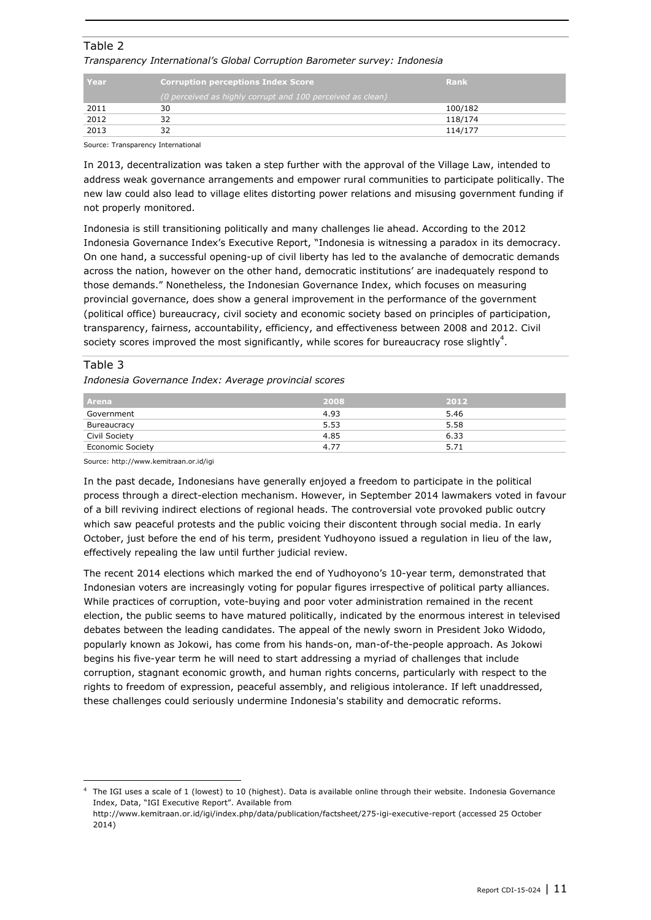### Table 2 *Transparency International's Global Corruption Barometer survey: Indonesia*

| l Year | <b>Corruption perceptions Index Score</b>                  | Rank    |
|--------|------------------------------------------------------------|---------|
|        | (0 perceived as highly corrupt and 100 perceived as clean) |         |
| 2011   | 30                                                         | 100/182 |
| 2012   | 32                                                         | 118/174 |
| 2013   |                                                            | 114/177 |

Source: Transparency International

In 2013, decentralization was taken a step further with the approval of the Village Law, intended to address weak governance arrangements and empower rural communities to participate politically. The new law could also lead to village elites distorting power relations and misusing government funding if not properly monitored.

Indonesia is still transitioning politically and many challenges lie ahead. According to the 2012 Indonesia Governance Index's Executive Report, "Indonesia is witnessing a paradox in its democracy. On one hand, a successful opening-up of civil liberty has led to the avalanche of democratic demands across the nation, however on the other hand, democratic institutions' are inadequately respond to those demands." Nonetheless, the Indonesian Governance Index, which focuses on measuring provincial governance, does show a general improvement in the performance of the government (political office) bureaucracy, civil society and economic society based on principles of participation, transparency, fairness, accountability, efficiency, and effectiveness between 2008 and 2012. Civil society scores improved the most significantly, while scores for bureaucracy rose slightly<sup>4</sup>.

#### Table 3

ł

*Indonesia Governance Index: Average provincial scores*

| l Arena                 | 2008 | 2012 |
|-------------------------|------|------|
| Government              | 4.93 | 5.46 |
| Bureaucracy             | 5.53 | 5.58 |
| Civil Society           | 4.85 | 6.33 |
| <b>Economic Society</b> | 4.77 | 5.71 |

Source: http://www.kemitraan.or.id/igi

In the past decade, Indonesians have generally enjoyed a freedom to participate in the political process through a direct-election mechanism. However, in September 2014 lawmakers voted in favour of a bill reviving indirect elections of regional heads. The controversial vote provoked public outcry which saw peaceful protests and the public voicing their discontent through social media. In early October, just before the end of his term, president Yudhoyono issued a regulation in lieu of the law, effectively repealing the law until further judicial review.

The recent 2014 elections which marked the end of Yudhoyono's 10-year term, demonstrated that Indonesian voters are increasingly voting for popular figures irrespective of political party alliances. While practices of corruption, vote-buying and poor voter administration remained in the recent election, the public seems to have matured politically, indicated by the enormous interest in televised debates between the leading candidates. The appeal of the newly sworn in President Joko Widodo, popularly known as Jokowi, has come from his hands-on, man-of-the-people approach. As Jokowi begins his five-year term he will need to start addressing a myriad of challenges that include corruption, stagnant economic growth, and human rights concerns, particularly with respect to the rights to freedom of expression, peaceful assembly, and religious intolerance. If left unaddressed, these challenges could seriously undermine Indonesia's stability and democratic reforms.

<sup>4</sup> The IGI uses a scale of 1 (lowest) to 10 (highest). Data is available online through their website. Indonesia Governance Index, Data, "IGI Executive Report". Available from

http://www.kemitraan.or.id/igi/index.php/data/publication/factsheet/275-igi-executive-report (accessed 25 October 2014)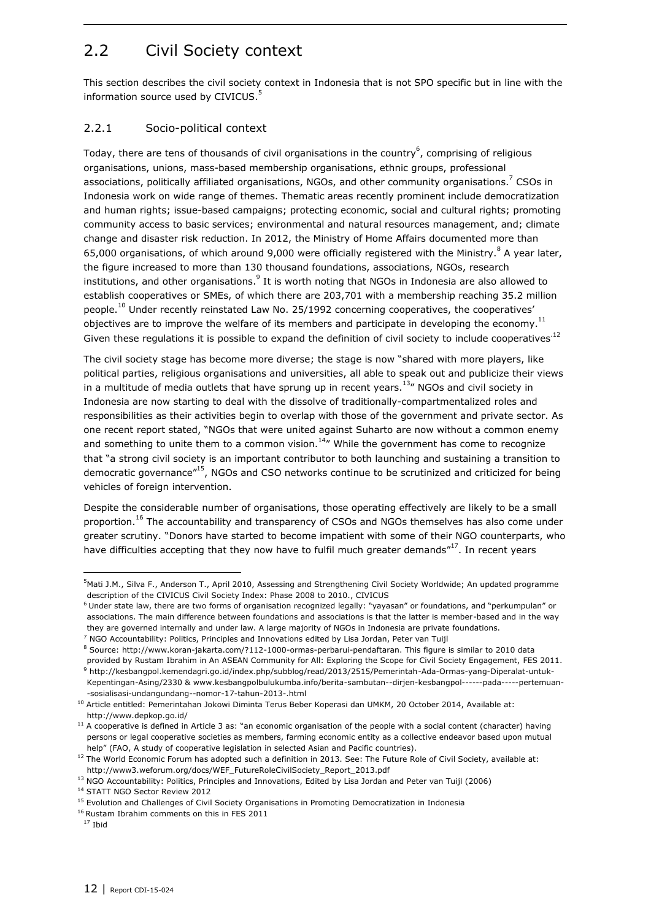## <span id="page-11-0"></span>2.2 Civil Society context

This section describes the civil society context in Indonesia that is not SPO specific but in line with the information source used by CIVICUS.<sup>5</sup>

### <span id="page-11-1"></span>2.2.1 Socio-political context

Today, there are tens of thousands of civil organisations in the country $^6$ , comprising of religious organisations, unions, mass-based membership organisations, ethnic groups, professional associations, politically affiliated organisations, NGOs, and other community organisations.<sup>7</sup> CSOs in Indonesia work on wide range of themes. Thematic areas recently prominent include democratization and human rights; issue-based campaigns; protecting economic, social and cultural rights; promoting community access to basic services; environmental and natural resources management, and; climate change and disaster risk reduction. In 2012, the Ministry of Home Affairs documented more than 65,000 organisations, of which around 9,000 were officially registered with the Ministry.  $8$  A year later, the figure increased to more than 130 thousand foundations, associations, NGOs, research institutions, and other organisations. $^9$  It is worth noting that NGOs in Indonesia are also allowed to establish cooperatives or SMEs, of which there are 203,701 with a membership reaching 35.2 million people.<sup>10</sup> Under recently reinstated Law No. 25/1992 concerning cooperatives, the cooperatives' objectives are to improve the welfare of its members and participate in developing the economy.<sup>11</sup> Given these regulations it is possible to expand the definition of civil society to include cooperatives.<sup>12</sup>

The civil society stage has become more diverse; the stage is now "shared with more players, like political parties, religious organisations and universities, all able to speak out and publicize their views in a multitude of media outlets that have sprung up in recent years. $^{13}$ " NGOs and civil society in Indonesia are now starting to deal with the dissolve of traditionally-compartmentalized roles and responsibilities as their activities begin to overlap with those of the government and private sector. As one recent report stated, "NGOs that were united against Suharto are now without a common enemy and something to unite them to a common vision.<sup>14</sup>" While the government has come to recognize that "a strong civil society is an important contributor to both launching and sustaining a transition to democratic governance"<sup>15</sup>, NGOs and CSO networks continue to be scrutinized and criticized for being vehicles of foreign intervention.

Despite the considerable number of organisations, those operating effectively are likely to be a small proportion.<sup>16</sup> The accountability and transparency of CSOs and NGOs themselves has also come under greater scrutiny. "Donors have started to become impatient with some of their NGO counterparts, who have difficulties accepting that they now have to fulfil much greater demands"<sup>17</sup>. In recent years

<sup>&</sup>lt;sup>5</sup>Mati J.M., Silva F., Anderson T., April 2010, Assessing and Strengthening Civil Society Worldwide; An updated programme description of the CIVICUS Civil Society Index: Phase 2008 to 2010., CIVICUS

<sup>6</sup> Under state law, there are two forms of organisation recognized legally: "yayasan" or foundations, and "perkumpulan" or associations. The main difference between foundations and associations is that the latter is member-based and in the way they are governed internally and under law. A large majority of NGOs in Indonesia are private foundations.

 $7$  NGO Accountability: Politics, Principles and Innovations edited by Lisa Jordan, Peter van Tuijl

<sup>8</sup> Source: [http://www.koran-jakarta.com/?112-1000-ormas-perbarui-pendaftaran.](http://www.koran-jakarta.com/?112-1000-ormas-perbarui-pendaftaran) This figure is similar to 2010 data provided by Rustam Ibrahim in An ASEAN Community for All: Exploring the Scope for Civil Society Engagement, FES 2011. <sup>9</sup> [http://kesbangpol.kemendagri.go.id/index.php/subblog/read/2013/2515/Pemerintah-Ada-Ormas-yang-Diperalat-untuk-](http://kesbangpol.kemendagri.go.id/index.php/subblog/read/2013/2515/Pemerintah-Ada-Ormas-yang-Diperalat-untuk-Kepentingan-Asing/2330)[Kepentingan-Asing/2330](http://kesbangpol.kemendagri.go.id/index.php/subblog/read/2013/2515/Pemerintah-Ada-Ormas-yang-Diperalat-untuk-Kepentingan-Asing/2330) & [www.kesbangpolbulukumba.info/berita-sambutan--dirjen-kesbangpol------pada-----pertemuan-](http://www.kesbangpolbulukumba.info/berita-sambutan--dirjen-kesbangpol------pada-----pertemuan--sosialisasi-undangundang--nomor-17-tahun-2013-.html) [-sosialisasi-undangundang--nomor-17-tahun-2013-.html](http://www.kesbangpolbulukumba.info/berita-sambutan--dirjen-kesbangpol------pada-----pertemuan--sosialisasi-undangundang--nomor-17-tahun-2013-.html)

<sup>&</sup>lt;sup>10</sup> Article entitled: Pemerintahan Jokowi Diminta Terus Beber Koperasi dan UMKM, 20 October 2014, Available at: http://www.depkop.go.id/

<sup>&</sup>lt;sup>11</sup> A cooperative is defined in Article 3 as: "an economic organisation of the people with a social content (character) having persons or legal cooperative societies as members, farming economic entity as a collective endeavor based upon mutual help" (FAO, A study of cooperative legislation in selected Asian and Pacific countries).

<sup>&</sup>lt;sup>12</sup> The World Economic Forum has adopted such a definition in 2013. See: The Future Role of Civil Society, available at: http://www3.weforum.org/docs/WEF\_FutureRoleCivilSociety\_Report\_2013.pdf

<sup>13</sup> NGO Accountability: Politics, Principles and Innovations, Edited by Lisa Jordan and Peter van Tuijl (2006)

<sup>&</sup>lt;sup>14</sup> STATT NGO Sector Review 2012

<sup>&</sup>lt;sup>15</sup> Evolution and Challenges of Civil Society Organisations in Promoting Democratization in Indonesia

<sup>16</sup> Rustam Ibrahim comments on this in FES 2011

 $17$  Ibid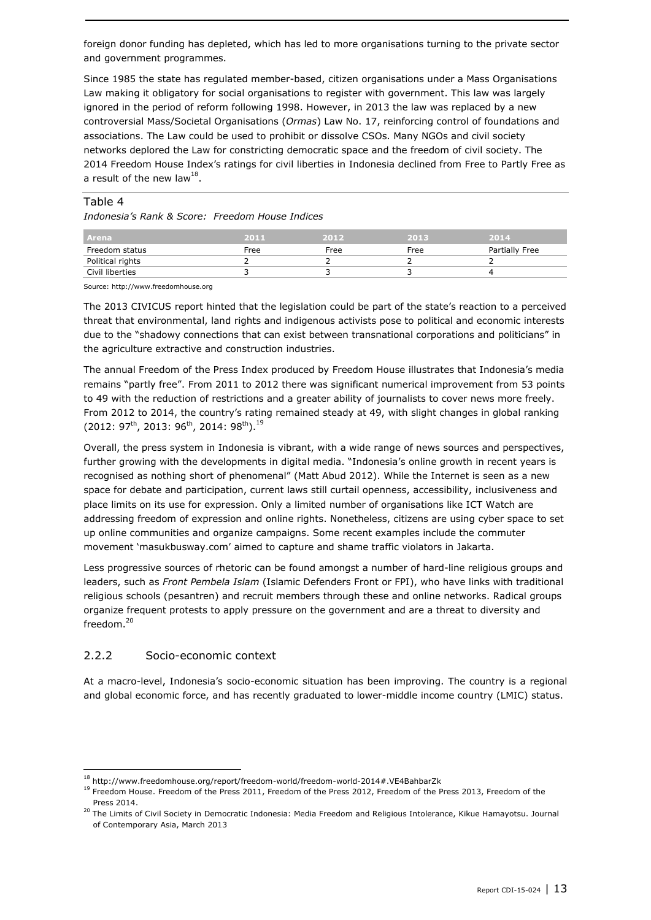foreign donor funding has depleted, which has led to more organisations turning to the private sector and government programmes.

Since 1985 the state has regulated member-based, citizen organisations under a Mass Organisations Law making it obligatory for social organisations to register with government. This law was largely ignored in the period of reform following 1998. However, in 2013 the law was replaced by a new controversial Mass/Societal Organisations (*Ormas*) Law No. 17, reinforcing control of foundations and associations. The Law could be used to prohibit or dissolve CSOs. Many NGOs and civil society networks deplored the Law for constricting democratic space and the freedom of civil society. The 2014 Freedom House Index's ratings for civil liberties in Indonesia declined from Free to Partly Free as a result of the new law<sup>18</sup>.

#### Table 4

*Indonesia's Rank & Score: Freedom House Indices*

| l Arena          | 2011 | 2012 | 2013 | 2014           |
|------------------|------|------|------|----------------|
| Freedom status   | Free | Free | Free | Partially Free |
| Political rights |      |      |      |                |
| Civil liberties  |      |      |      |                |

Source: http://www.freedomhouse.org

The 2013 CIVICUS report hinted that the legislation could be part of the state's reaction to a perceived threat that environmental, land rights and indigenous activists pose to political and economic interests due to the "shadowy connections that can exist between transnational corporations and politicians" in the agriculture extractive and construction industries.

The annual Freedom of the Press Index produced by Freedom House illustrates that Indonesia's media remains "partly free". From 2011 to 2012 there was significant numerical improvement from 53 points to 49 with the reduction of restrictions and a greater ability of journalists to cover news more freely. From 2012 to 2014, the country's rating remained steady at 49, with slight changes in global ranking  $(2012: 97<sup>th</sup>, 2013: 96<sup>th</sup>, 2014: 98<sup>th</sup>).<sup>19</sup>$ 

Overall, the press system in Indonesia is vibrant, with a wide range of news sources and perspectives, further growing with the developments in digital media. "Indonesia's online growth in recent years is recognised as nothing short of phenomenal" (Matt Abud 2012). While the Internet is seen as a new space for debate and participation, current laws still curtail openness, accessibility, inclusiveness and place limits on its use for expression. Only a limited number of organisations like ICT Watch are addressing freedom of expression and online rights. Nonetheless, citizens are using cyber space to set up online communities and organize campaigns. Some recent examples include the commuter movement 'masukbusway.com' aimed to capture and shame traffic violators in Jakarta.

Less progressive sources of rhetoric can be found amongst a number of hard-line religious groups and leaders, such as *Front Pembela Islam* (Islamic Defenders Front or FPI), who have links with traditional religious schools (pesantren) and recruit members through these and online networks. Radical groups organize frequent protests to apply pressure on the government and are a threat to diversity and freedom.<sup>20</sup>

### <span id="page-12-0"></span>2.2.2 Socio-economic context

1

At a macro-level, Indonesia's socio-economic situation has been improving. The country is a regional and global economic force, and has recently graduated to lower-middle income country (LMIC) status.

 $^{18}$  http://www.freedomhouse.org/report/freedom-world/freedom-world-2014#.VE4BahbarZk

<sup>&</sup>lt;sup>19</sup> Freedom House. Freedom of the Press 2011, Freedom of the Press 2012, Freedom of the Press 2013, Freedom of the Press 2014.

<sup>&</sup>lt;sup>20</sup> The Limits of Civil Society in Democratic Indonesia: Media Freedom and Religious Intolerance, Kikue Hamayotsu. Journal of Contemporary Asia, March 2013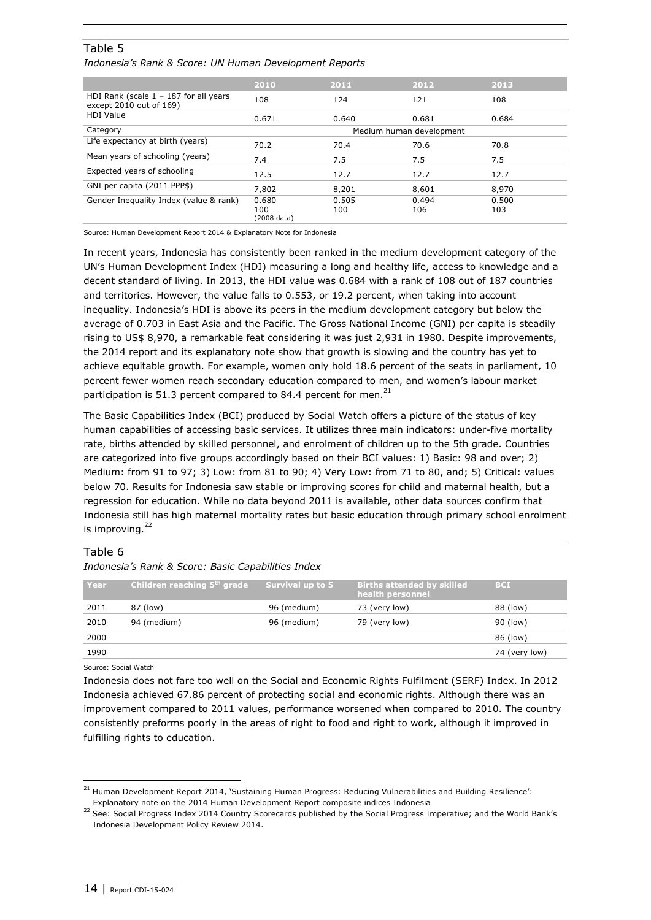### Table 5

*Indonesia's Rank & Score: UN Human Development Reports*

|                                                                    | 2010                        | 2011         | 2012                     | 2013         |
|--------------------------------------------------------------------|-----------------------------|--------------|--------------------------|--------------|
| HDI Rank (scale $1 - 187$ for all years<br>except 2010 out of 169) | 108                         | 124          | 121                      | 108          |
| <b>HDI Value</b>                                                   | 0.671                       | 0.640        | 0.681                    | 0.684        |
| Category                                                           |                             |              | Medium human development |              |
| Life expectancy at birth (years)                                   | 70.2                        | 70.4         | 70.6                     | 70.8         |
| Mean years of schooling (years)                                    | 7.4                         | 7.5          | 7.5                      | 7.5          |
| Expected years of schooling                                        | 12.5                        | 12.7         | 12.7                     | 12.7         |
| GNI per capita (2011 PPP\$)                                        | 7,802                       | 8,201        | 8,601                    | 8,970        |
| Gender Inequality Index (value & rank)                             | 0.680<br>100<br>(2008 data) | 0.505<br>100 | 0.494<br>106             | 0.500<br>103 |

Source: Human Development Report 2014 & Explanatory Note for Indonesia

In recent years, Indonesia has consistently been ranked in the medium development category of the UN's Human Development Index (HDI) measuring a long and healthy life, access to knowledge and a decent standard of living. In 2013, the HDI value was 0.684 with a rank of 108 out of 187 countries and territories. However, the value falls to 0.553, or 19.2 percent, when taking into account inequality. Indonesia's HDI is above its peers in the medium development category but below the average of 0.703 in East Asia and the Pacific. The Gross National Income (GNI) per capita is steadily rising to US\$ 8,970, a remarkable feat considering it was just 2,931 in 1980. Despite improvements, the 2014 report and its explanatory note show that growth is slowing and the country has yet to achieve equitable growth. For example, women only hold 18.6 percent of the seats in parliament, 10 percent fewer women reach secondary education compared to men, and women's labour market participation is 51.3 percent compared to 84.4 percent for men. $^{21}$ 

The Basic Capabilities Index (BCI) produced by Social Watch offers a picture of the status of key human capabilities of accessing basic services. It utilizes three main indicators: under-five mortality rate, births attended by skilled personnel, and enrolment of children up to the 5th grade. Countries are categorized into five groups accordingly based on their BCI values: 1) Basic: 98 and over; 2) Medium: from 91 to 97; 3) Low: from 81 to 90; 4) Very Low: from 71 to 80, and; 5) Critical: values below 70. Results for Indonesia saw stable or improving scores for child and maternal health, but a regression for education. While no data beyond 2011 is available, other data sources confirm that Indonesia still has high maternal mortality rates but basic education through primary school enrolment is improving. $^{22}$ 

#### Table 6

#### *Indonesia's Rank & Score: Basic Capabilities Index*

| Year | Children reaching 5 <sup>th</sup> grade | Survival up to 5 | <b>Births attended by skilled</b><br>health personnel | <b>BCI</b>    |
|------|-----------------------------------------|------------------|-------------------------------------------------------|---------------|
| 2011 | 87 (low)                                | 96 (medium)      | 73 (very low)                                         | 88 (low)      |
| 2010 | 94 (medium)                             | 96 (medium)      | 79 (very low)                                         | 90 (low)      |
| 2000 |                                         |                  |                                                       | 86 (low)      |
| 1990 |                                         |                  |                                                       | 74 (very low) |

Source: Social Watch

ł

Indonesia does not fare too well on the Social and Economic Rights Fulfilment (SERF) Index. In 2012 Indonesia achieved 67.86 percent of protecting social and economic rights. Although there was an improvement compared to 2011 values, performance worsened when compared to 2010. The country consistently preforms poorly in the areas of right to food and right to work, although it improved in fulfilling rights to education.

 $21$  Human Development Report 2014, 'Sustaining Human Progress: Reducing Vulnerabilities and Building Resilience': Explanatory note on the 2014 Human Development Report composite indices Indonesia

<sup>&</sup>lt;sup>22</sup> See: Social Progress Index 2014 Country Scorecards published by the Social Progress Imperative; and the World Bank's Indonesia Development Policy Review 2014.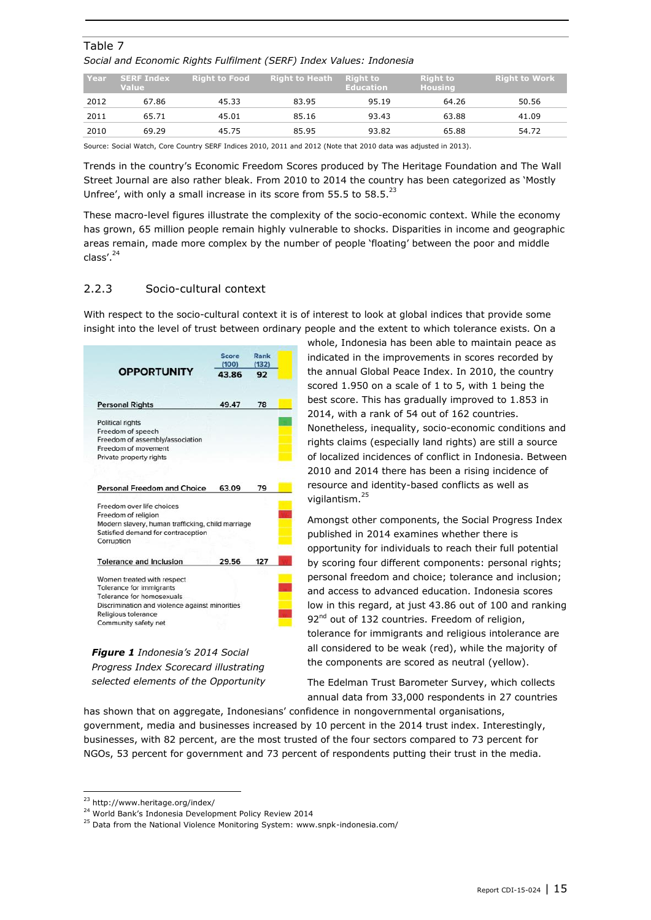| Year | <b>SERF Index</b><br><b>Value</b> | <b>Right to Food</b> | <b>Right to Heath</b> | <b>Right to</b><br><b>Education</b> | <b>Right to</b><br>Housing | <b>Right to Work</b> |
|------|-----------------------------------|----------------------|-----------------------|-------------------------------------|----------------------------|----------------------|
| 2012 | 67.86                             | 45.33                | 83.95                 | 95.19                               | 64.26                      | 50.56                |
| 2011 | 65.71                             | 45.01                | 85.16                 | 93.43                               | 63.88                      | 41.09                |
| 2010 | 69.29                             | 45.75                | 85.95                 | 93.82                               | 65.88                      | 54.72                |

### Table 7 *Social and Economic Rights Fulfilment (SERF) Index Values: Indonesia*

Source: Social Watch, Core Country SERF Indices 2010, 2011 and 2012 (Note that 2010 data was adjusted in 2013).

Trends in the country's Economic Freedom Scores produced by The Heritage Foundation and The Wall Street Journal are also rather bleak. From 2010 to 2014 the country has been categorized as 'Mostly Unfree', with only a small increase in its score from 55.5 to 58.5. $^{23}$ 

These macro-level figures illustrate the complexity of the socio-economic context. While the economy has grown, 65 million people remain highly vulnerable to shocks. Disparities in income and geographic areas remain, made more complex by the number of people 'floating' between the poor and middle class'. $^{24}$ 

### <span id="page-14-0"></span>2.2.3 Socio-cultural context

With respect to the socio-cultural context it is of interest to look at global indices that provide some insight into the level of trust between ordinary people and the extent to which tolerance exists. On a

|                                                   | <b>Score</b><br>(100) | Rank<br>(132) |  |
|---------------------------------------------------|-----------------------|---------------|--|
| <b>OPPORTUNITY</b>                                | 43.86                 | 92            |  |
| <b>Personal Rights</b>                            | 49.47                 | 78            |  |
| Political rights                                  |                       |               |  |
| Freedom of speech                                 |                       |               |  |
| Freedom of assembly/association                   |                       |               |  |
| Freedom of movement                               |                       |               |  |
| Private property rights                           |                       |               |  |
| Personal Freedom and Choice                       | 63.09                 | 79            |  |
| Freedom over life choices                         |                       |               |  |
| Freedom of religion                               |                       |               |  |
| Modern slavery, human trafficking, child marriage |                       |               |  |
| Satisfied demand for contraception<br>Corruption  |                       |               |  |
| <b>Tolerance and Inclusion</b>                    | 29.56                 | 127           |  |
| Women treated with respect                        |                       |               |  |
| Tolerance for immigrants                          |                       |               |  |
| Tolerance for homosexuals                         |                       |               |  |
|                                                   |                       |               |  |
| Discrimination and violence against minorities    |                       |               |  |
| Religious tolerance<br>Community safety net       |                       |               |  |

*Figure 1 Indonesia's 2014 Social Progress Index Scorecard illustrating selected elements of the Opportunity* 

whole, Indonesia has been able to maintain peace as indicated in the improvements in scores recorded by the annual Global Peace Index. In 2010, the country scored 1.950 on a scale of 1 to 5, with 1 being the best score. This has gradually improved to 1.853 in 2014, with a rank of 54 out of 162 countries. Nonetheless, inequality, socio-economic conditions and rights claims (especially land rights) are still a source of localized incidences of conflict in Indonesia. Between 2010 and 2014 there has been a rising incidence of resource and identity-based conflicts as well as vigilantism. 25

Amongst other components, the Social Progress Index published in 2014 examines whether there is opportunity for individuals to reach their full potential by scoring four different components: personal rights; personal freedom and choice; tolerance and inclusion; and access to advanced education. Indonesia scores low in this regard, at just 43.86 out of 100 and ranking 92<sup>nd</sup> out of 132 countries. Freedom of religion, tolerance for immigrants and religious intolerance are all considered to be weak (red), while the majority of the components are scored as neutral (yellow).

The Edelman Trust Barometer Survey, which collects annual data from 33,000 respondents in 27 countries

has shown that on aggregate, Indonesians' confidence in nongovernmental organisations, government, media and businesses increased by 10 percent in the 2014 trust index. Interestingly, businesses, with 82 percent, are the most trusted of the four sectors compared to 73 percent for NGOs, 53 percent for government and 73 percent of respondents putting their trust in the media.

-

<sup>23</sup> http://www.heritage.org/index/

<sup>&</sup>lt;sup>24</sup> World Bank's Indonesia Development Policy Review 2014

 $25$  Data from the National Violence Monitoring System: www.snpk-indonesia.com/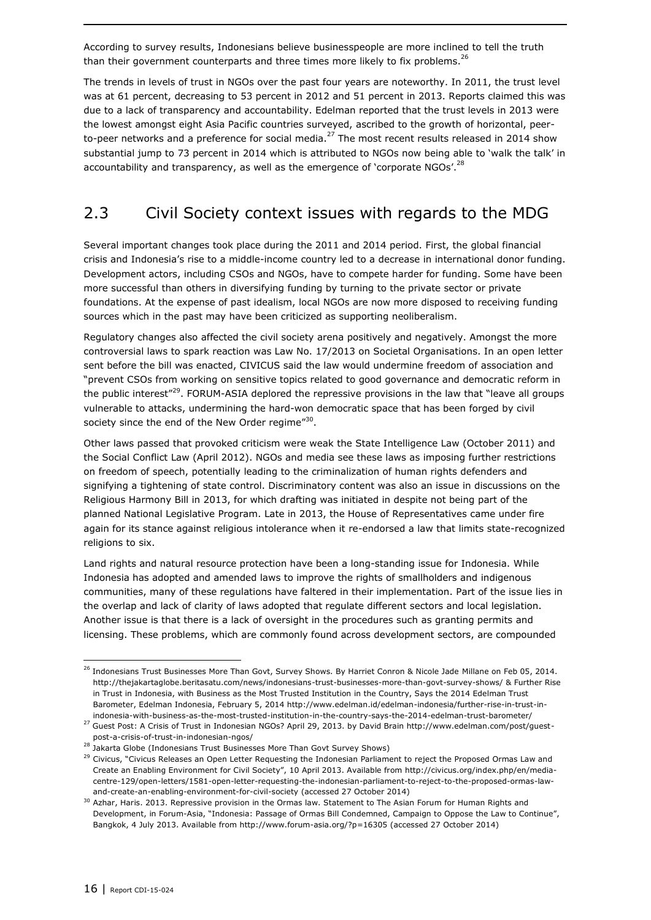According to survey results, Indonesians believe businesspeople are more inclined to tell the truth than their government counterparts and three times more likely to fix problems.<sup>26</sup>

The trends in levels of trust in NGOs over the past four years are noteworthy. In 2011, the trust level was at 61 percent, decreasing to 53 percent in 2012 and 51 percent in 2013. Reports claimed this was due to a lack of transparency and accountability. Edelman reported that the trust levels in 2013 were the lowest amongst eight Asia Pacific countries surveyed, ascribed to the growth of horizontal, peerto-peer networks and a preference for social media.<sup>27</sup> The most recent results released in 2014 show substantial jump to 73 percent in 2014 which is attributed to NGOs now being able to 'walk the talk' in accountability and transparency, as well as the emergence of 'corporate NGOs'.<sup>28</sup>

### <span id="page-15-0"></span>2.3 Civil Society context issues with regards to the MDG

Several important changes took place during the 2011 and 2014 period. First, the global financial crisis and Indonesia's rise to a middle-income country led to a decrease in international donor funding. Development actors, including CSOs and NGOs, have to compete harder for funding. Some have been more successful than others in diversifying funding by turning to the private sector or private foundations. At the expense of past idealism, local NGOs are now more disposed to receiving funding sources which in the past may have been criticized as supporting neoliberalism.

Regulatory changes also affected the civil society arena positively and negatively. Amongst the more controversial laws to spark reaction was Law No. 17/2013 on Societal Organisations. In an open letter sent before the bill was enacted, CIVICUS said the law would undermine freedom of association and "prevent CSOs from working on sensitive topics related to good governance and democratic reform in the public interest"<sup>29</sup>. FORUM-ASIA deplored the repressive provisions in the law that "leave all groups vulnerable to attacks, undermining the hard-won democratic space that has been forged by civil society since the end of the New Order regime" $^{30}$ .

Other laws passed that provoked criticism were weak the State Intelligence Law (October 2011) and the Social Conflict Law (April 2012). NGOs and media see these laws as imposing further restrictions on freedom of speech, potentially leading to the criminalization of human rights defenders and signifying a tightening of state control. Discriminatory content was also an issue in discussions on the Religious Harmony Bill in 2013, for which drafting was initiated in despite not being part of the planned National Legislative Program. Late in 2013, the House of Representatives came under fire again for its stance against religious intolerance when it re-endorsed a law that limits state-recognized religions to six.

Land rights and natural resource protection have been a long-standing issue for Indonesia. While Indonesia has adopted and amended laws to improve the rights of smallholders and indigenous communities, many of these regulations have faltered in their implementation. Part of the issue lies in the overlap and lack of clarity of laws adopted that regulate different sectors and local legislation. Another issue is that there is a lack of oversight in the procedures such as granting permits and licensing. These problems, which are commonly found across development sectors, are compounded

<sup>&</sup>lt;sup>26</sup> Indonesians Trust Businesses More Than Govt, Survey Shows. By Harriet Conron & Nicole Jade Millane on Feb 05, 2014. <http://thejakartaglobe.beritasatu.com/news/indonesians-trust-businesses-more-than-govt-survey-shows/> & Further Rise in Trust in Indonesia, with Business as the Most Trusted Institution in the Country, Says the 2014 Edelman Trust Barometer, Edelman Indonesia, February 5, 2014 http://www.edelman.id/edelman-indonesia/further-rise-in-trust-inindonesia-with-business-as-the-most-trusted-institution-in-the-country-says-the-2014-edelman-trust-barometer/

<sup>27</sup> Guest Post: A Crisis of Trust in Indonesian NGOs? April 29, 2013. by David Brain http://www.edelman.com/post/guestpost-a-crisis-of-trust-in-indonesian-ngos/

<sup>28</sup> Jakarta Globe (Indonesians Trust Businesses More Than Govt Survey Shows)

<sup>&</sup>lt;sup>29</sup> Civicus, "Civicus Releases an Open Letter Requesting the Indonesian Parliament to reject the Proposed Ormas Law and Create an Enabling Environment for Civil Society", 10 April 2013. Available from [http://civicus.org/index.php/en/media](http://civicus.org/index.php/en/media-centre-129/open-letters/1581-open-letter-requesting-the-indonesian-parliament-to-reject-to-the-proposed-ormas-law-and-create-an-enabling-environment-for-civil-society)[centre-129/open-letters/1581-open-letter-requesting-the-indonesian-parliament-to-reject-to-the-proposed-ormas-law](http://civicus.org/index.php/en/media-centre-129/open-letters/1581-open-letter-requesting-the-indonesian-parliament-to-reject-to-the-proposed-ormas-law-and-create-an-enabling-environment-for-civil-society)[and-create-an-enabling-environment-for-civil-society](http://civicus.org/index.php/en/media-centre-129/open-letters/1581-open-letter-requesting-the-indonesian-parliament-to-reject-to-the-proposed-ormas-law-and-create-an-enabling-environment-for-civil-society) (accessed 27 October 2014)

<sup>&</sup>lt;sup>30</sup> Azhar, Haris. 2013. Repressive provision in the Ormas law. Statement to The Asian Forum for Human Rights and Development, in Forum-Asia, "Indonesia: Passage of Ormas Bill Condemned, Campaign to Oppose the Law to Continue", Bangkok, 4 July 2013. Available from<http://www.forum-asia.org/?p=16305> (accessed 27 October 2014)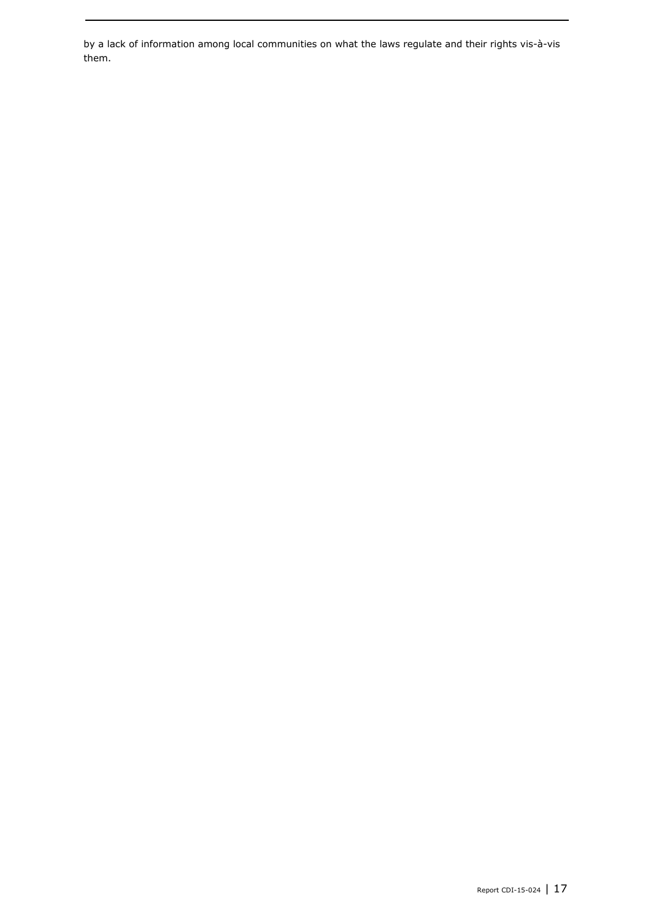by a lack of information among local communities on what the laws regulate and their rights vis-à-vis them.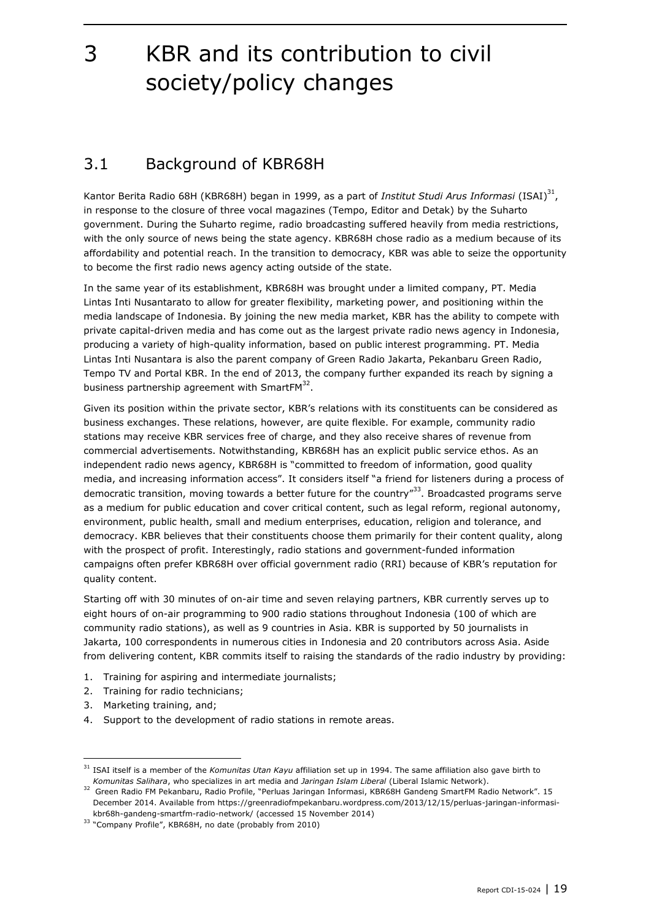# <span id="page-18-0"></span>3 KBR and its contribution to civil society/policy changes

## <span id="page-18-1"></span>3.1 Background of KBR68H

Kantor Berita Radio 68H (KBR68H) began in 1999, as a part of *Institut Studi Arus Informasi* (ISAI) 31 , in response to the closure of three vocal magazines (Tempo, Editor and Detak) by the Suharto government. During the Suharto regime, radio broadcasting suffered heavily from media restrictions, with the only source of news being the state agency. KBR68H chose radio as a medium because of its affordability and potential reach. In the transition to democracy, KBR was able to seize the opportunity to become the first radio news agency acting outside of the state.

In the same year of its establishment, KBR68H was brought under a limited company, PT. Media Lintas Inti Nusantarato to allow for greater flexibility, marketing power, and positioning within the media landscape of Indonesia. By joining the new media market, KBR has the ability to compete with private capital-driven media and has come out as the largest private radio news agency in Indonesia, producing a variety of high-quality information, based on public interest programming. PT. Media Lintas Inti Nusantara is also the parent company of Green Radio Jakarta, Pekanbaru Green Radio, Tempo TV and Portal KBR. In the end of 2013, the company further expanded its reach by signing a business partnership agreement with SmartFM $^{32}$ .

Given its position within the private sector, KBR's relations with its constituents can be considered as business exchanges. These relations, however, are quite flexible. For example, community radio stations may receive KBR services free of charge, and they also receive shares of revenue from commercial advertisements. Notwithstanding, KBR68H has an explicit public service ethos. As an independent radio news agency, KBR68H is "committed to freedom of information, good quality media, and increasing information access". It considers itself "a friend for listeners during a process of democratic transition, moving towards a better future for the country"<sup>33</sup>. Broadcasted programs serve as a medium for public education and cover critical content, such as legal reform, regional autonomy, environment, public health, small and medium enterprises, education, religion and tolerance, and democracy. KBR believes that their constituents choose them primarily for their content quality, along with the prospect of profit. Interestingly, radio stations and government-funded information campaigns often prefer KBR68H over official government radio (RRI) because of KBR's reputation for quality content.

Starting off with 30 minutes of on-air time and seven relaying partners, KBR currently serves up to eight hours of on-air programming to 900 radio stations throughout Indonesia (100 of which are community radio stations), as well as 9 countries in Asia. KBR is supported by 50 journalists in Jakarta, 100 correspondents in numerous cities in Indonesia and 20 contributors across Asia. Aside from delivering content, KBR commits itself to raising the standards of the radio industry by providing:

- 1. Training for aspiring and intermediate journalists;
- 2. Training for radio technicians;
- 3. Marketing training, and;

-

4. Support to the development of radio stations in remote areas.

<sup>&</sup>lt;sup>31</sup> ISAI itself is a member of the *Komunitas Utan Kayu* affiliation set up in 1994. The same affiliation also gave birth to *Komunitas Salihara*, who specializes in art media and *Jaringan Islam Liberal* (Liberal Islamic Network).

<sup>32</sup> Green Radio FM Pekanbaru, Radio Profile, "Perluas Jaringan Informasi, KBR68H Gandeng SmartFM Radio Network". 15 December 2014. Available from [https://greenradiofmpekanbaru.wordpress.com/2013/12/15/perluas-jaringan-informasi](https://greenradiofmpekanbaru.wordpress.com/2013/12/15/perluas-jaringan-informasi-kbr68h-gandeng-smartfm-radio-network/)[kbr68h-gandeng-smartfm-radio-network/](https://greenradiofmpekanbaru.wordpress.com/2013/12/15/perluas-jaringan-informasi-kbr68h-gandeng-smartfm-radio-network/) (accessed 15 November 2014)

<sup>&</sup>lt;sup>33</sup> "Company Profile", KBR68H, no date (probably from 2010)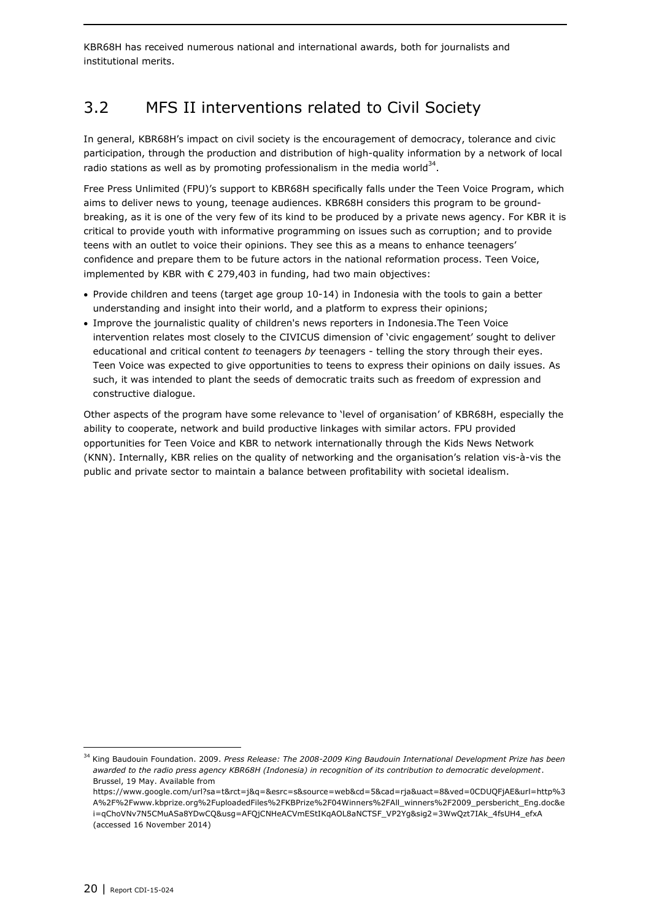KBR68H has received numerous national and international awards, both for journalists and institutional merits.

## <span id="page-19-0"></span>3.2 MFS II interventions related to Civil Society

In general, KBR68H's impact on civil society is the encouragement of democracy, tolerance and civic participation, through the production and distribution of high-quality information by a network of local radio stations as well as by promoting professionalism in the media world  $34$ .

Free Press Unlimited (FPU)'s support to KBR68H specifically falls under the Teen Voice Program, which aims to deliver news to young, teenage audiences. KBR68H considers this program to be groundbreaking, as it is one of the very few of its kind to be produced by a private news agency. For KBR it is critical to provide youth with informative programming on issues such as corruption; and to provide teens with an outlet to voice their opinions. They see this as a means to enhance teenagers' confidence and prepare them to be future actors in the national reformation process. Teen Voice, implemented by KBR with € 279,403 in funding, had two main objectives:

- Provide children and teens (target age group 10-14) in Indonesia with the tools to gain a better understanding and insight into their world, and a platform to express their opinions;
- Improve the journalistic quality of children's news reporters in Indonesia.The Teen Voice intervention relates most closely to the CIVICUS dimension of 'civic engagement' sought to deliver educational and critical content *to* teenagers *by* teenagers - telling the story through their eyes. Teen Voice was expected to give opportunities to teens to express their opinions on daily issues. As such, it was intended to plant the seeds of democratic traits such as freedom of expression and constructive dialogue.

Other aspects of the program have some relevance to 'level of organisation' of KBR68H, especially the ability to cooperate, network and build productive linkages with similar actors. FPU provided opportunities for Teen Voice and KBR to network internationally through the Kids News Network (KNN). Internally, KBR relies on the quality of networking and the organisation's relation vis-à-vis the public and private sector to maintain a balance between profitability with societal idealism.

ł

<sup>34</sup> King Baudouin Foundation. 2009. *Press Release: The 2008-2009 King Baudouin International Development Prize has been awarded to the radio press agency KBR68H (Indonesia) in recognition of its contribution to democratic development*. Brussel, 19 May. Available from

[https://www.google.com/url?sa=t&rct=j&q=&esrc=s&source=web&cd=5&cad=rja&uact=8&ved=0CDUQFjAE&url=http%3](https://www.google.com/url?sa=t&rct=j&q=&esrc=s&source=web&cd=5&cad=rja&uact=8&ved=0CDUQFjAE&url=http%3A%2F%2Fwww.kbprize.org%2FuploadedFiles%2FKBPrize%2F04Winners%2FAll_winners%2F2009_persbericht_Eng.doc&ei=qChoVNv7N5CMuASa8YDwCQ&usg=AFQjCNHeACVmEStIKqAOL8aNCTSF_VP2Yg&sig2=3WwQzt7IAk_4fsUH4_efxA) [A%2F%2Fwww.kbprize.org%2FuploadedFiles%2FKBPrize%2F04Winners%2FAll\\_winners%2F2009\\_persbericht\\_Eng.doc&e](https://www.google.com/url?sa=t&rct=j&q=&esrc=s&source=web&cd=5&cad=rja&uact=8&ved=0CDUQFjAE&url=http%3A%2F%2Fwww.kbprize.org%2FuploadedFiles%2FKBPrize%2F04Winners%2FAll_winners%2F2009_persbericht_Eng.doc&ei=qChoVNv7N5CMuASa8YDwCQ&usg=AFQjCNHeACVmEStIKqAOL8aNCTSF_VP2Yg&sig2=3WwQzt7IAk_4fsUH4_efxA) [i=qChoVNv7N5CMuASa8YDwCQ&usg=AFQjCNHeACVmEStIKqAOL8aNCTSF\\_VP2Yg&sig2=3WwQzt7IAk\\_4fsUH4\\_efxA](https://www.google.com/url?sa=t&rct=j&q=&esrc=s&source=web&cd=5&cad=rja&uact=8&ved=0CDUQFjAE&url=http%3A%2F%2Fwww.kbprize.org%2FuploadedFiles%2FKBPrize%2F04Winners%2FAll_winners%2F2009_persbericht_Eng.doc&ei=qChoVNv7N5CMuASa8YDwCQ&usg=AFQjCNHeACVmEStIKqAOL8aNCTSF_VP2Yg&sig2=3WwQzt7IAk_4fsUH4_efxA) (accessed 16 November 2014)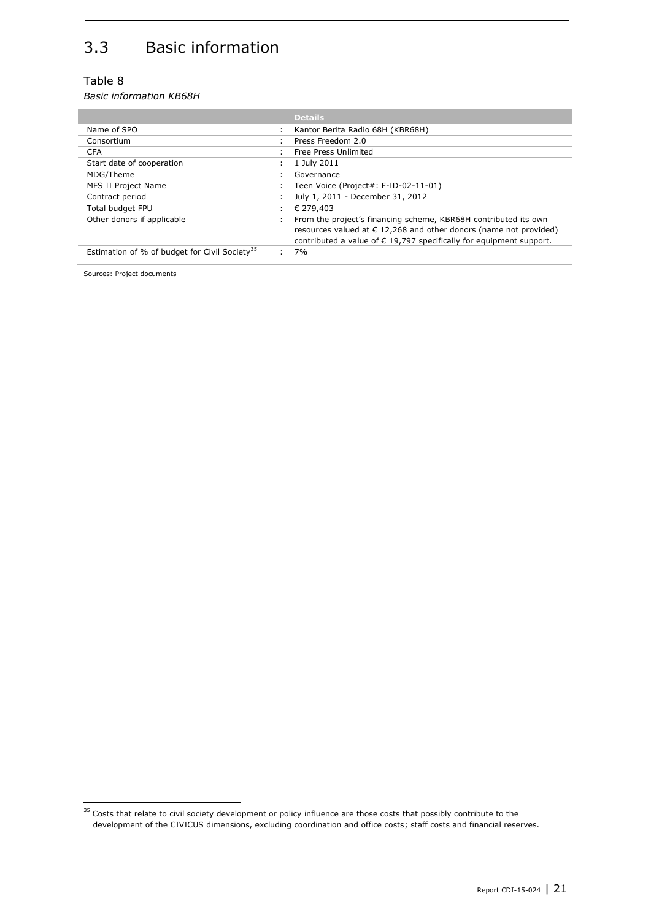# <span id="page-20-0"></span>3.3 Basic information

### Table 8

*Basic information KB68H*

|                                                           | <b>Details</b>                                                               |
|-----------------------------------------------------------|------------------------------------------------------------------------------|
|                                                           |                                                                              |
| Name of SPO                                               | Kantor Berita Radio 68H (KBR68H)                                             |
| Consortium                                                | Press Freedom 2.0                                                            |
| <b>CFA</b>                                                | Free Press Unlimited                                                         |
| Start date of cooperation                                 | 1 July 2011                                                                  |
| MDG/Theme                                                 | Governance                                                                   |
| MFS II Project Name                                       | Teen Voice (Project#: F-ID-02-11-01)                                         |
| Contract period                                           | July 1, 2011 - December 31, 2012                                             |
| Total budget FPU                                          | € 279,403                                                                    |
| Other donors if applicable                                | From the project's financing scheme, KBR68H contributed its own              |
|                                                           | resources valued at $\epsilon$ 12,268 and other donors (name not provided)   |
|                                                           | contributed a value of $\epsilon$ 19,797 specifically for equipment support. |
| Estimation of % of budget for Civil Society <sup>35</sup> | 7%                                                                           |

Sources: Project documents

 $35$  Costs that relate to civil society development or policy influence are those costs that possibly contribute to the development of the CIVICUS dimensions, excluding coordination and office costs; staff costs and financial reserves.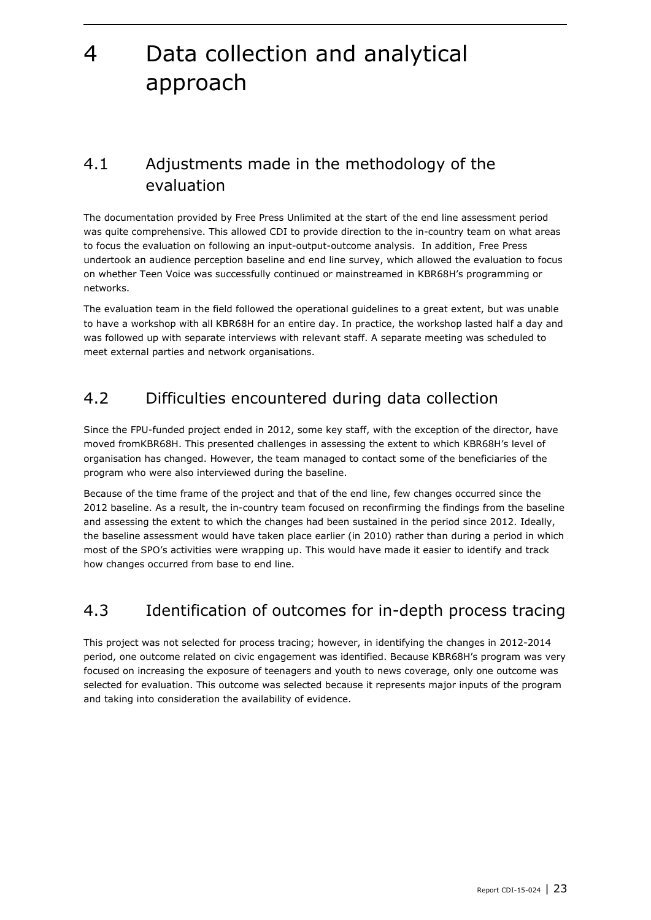# <span id="page-22-0"></span>4 Data collection and analytical approach

## <span id="page-22-1"></span>4.1 Adjustments made in the methodology of the evaluation

The documentation provided by Free Press Unlimited at the start of the end line assessment period was quite comprehensive. This allowed CDI to provide direction to the in-country team on what areas to focus the evaluation on following an input-output-outcome analysis. In addition, Free Press undertook an audience perception baseline and end line survey, which allowed the evaluation to focus on whether Teen Voice was successfully continued or mainstreamed in KBR68H's programming or networks.

The evaluation team in the field followed the operational guidelines to a great extent, but was unable to have a workshop with all KBR68H for an entire day. In practice, the workshop lasted half a day and was followed up with separate interviews with relevant staff. A separate meeting was scheduled to meet external parties and network organisations.

## <span id="page-22-2"></span>4.2 Difficulties encountered during data collection

Since the FPU-funded project ended in 2012, some key staff, with the exception of the director, have moved fromKBR68H. This presented challenges in assessing the extent to which KBR68H's level of organisation has changed. However, the team managed to contact some of the beneficiaries of the program who were also interviewed during the baseline.

Because of the time frame of the project and that of the end line, few changes occurred since the 2012 baseline. As a result, the in-country team focused on reconfirming the findings from the baseline and assessing the extent to which the changes had been sustained in the period since 2012. Ideally, the baseline assessment would have taken place earlier (in 2010) rather than during a period in which most of the SPO's activities were wrapping up. This would have made it easier to identify and track how changes occurred from base to end line.

### <span id="page-22-3"></span>4.3 Identification of outcomes for in-depth process tracing

This project was not selected for process tracing; however, in identifying the changes in 2012-2014 period, one outcome related on civic engagement was identified. Because KBR68H's program was very focused on increasing the exposure of teenagers and youth to news coverage, only one outcome was selected for evaluation. This outcome was selected because it represents major inputs of the program and taking into consideration the availability of evidence.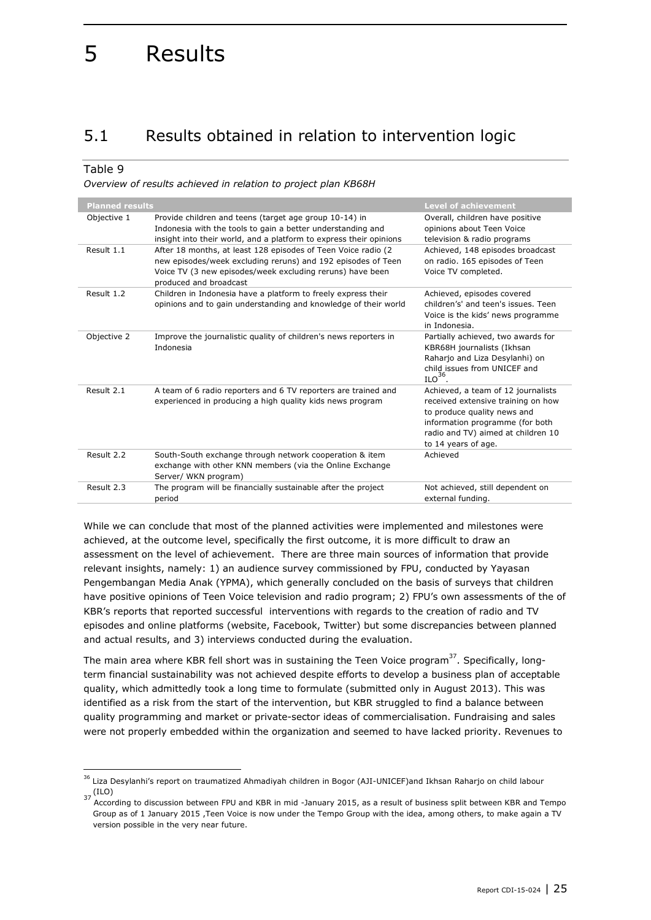# <span id="page-24-0"></span>5 Results

## <span id="page-24-1"></span>5.1 Results obtained in relation to intervention logic

### Table 9

1

*Overview of results achieved in relation to project plan KB68H*

| <b>Planned results</b> |                                                                                                                                                                                                                       | <b>Level of achievement</b>                                                                                                                                                                             |
|------------------------|-----------------------------------------------------------------------------------------------------------------------------------------------------------------------------------------------------------------------|---------------------------------------------------------------------------------------------------------------------------------------------------------------------------------------------------------|
| Objective 1            | Provide children and teens (target age group 10-14) in<br>Indonesia with the tools to gain a better understanding and<br>insight into their world, and a platform to express their opinions                           | Overall, children have positive<br>opinions about Teen Voice<br>television & radio programs                                                                                                             |
| Result 1.1             | After 18 months, at least 128 episodes of Teen Voice radio (2)<br>new episodes/week excluding reruns) and 192 episodes of Teen<br>Voice TV (3 new episodes/week excluding reruns) have been<br>produced and broadcast | Achieved, 148 episodes broadcast<br>on radio. 165 episodes of Teen<br>Voice TV completed.                                                                                                               |
| Result 1.2             | Children in Indonesia have a platform to freely express their<br>opinions and to gain understanding and knowledge of their world                                                                                      | Achieved, episodes covered<br>children's' and teen's issues. Teen<br>Voice is the kids' news programme<br>in Indonesia.                                                                                 |
| Objective 2            | Improve the journalistic quality of children's news reporters in<br>Indonesia                                                                                                                                         | Partially achieved, two awards for<br>KBR68H journalists (Ikhsan<br>Raharjo and Liza Desylanhi) on<br>child issues from UNICEF and<br>$ILO36$ .                                                         |
| Result 2.1             | A team of 6 radio reporters and 6 TV reporters are trained and<br>experienced in producing a high quality kids news program                                                                                           | Achieved, a team of 12 journalists<br>received extensive training on how<br>to produce quality news and<br>information programme (for both<br>radio and TV) aimed at children 10<br>to 14 years of age. |
| Result 2.2             | South-South exchange through network cooperation & item<br>exchange with other KNN members (via the Online Exchange<br>Server/ WKN program)                                                                           | Achieved                                                                                                                                                                                                |
| Result 2.3             | The program will be financially sustainable after the project<br>period                                                                                                                                               | Not achieved, still dependent on<br>external funding.                                                                                                                                                   |

While we can conclude that most of the planned activities were implemented and milestones were achieved, at the outcome level, specifically the first outcome, it is more difficult to draw an assessment on the level of achievement. There are three main sources of information that provide relevant insights, namely: 1) an audience survey commissioned by FPU, conducted by Yayasan Pengembangan Media Anak (YPMA), which generally concluded on the basis of surveys that children have positive opinions of Teen Voice television and radio program; 2) FPU's own assessments of the of KBR's reports that reported successful interventions with regards to the creation of radio and TV episodes and online platforms (website, Facebook, Twitter) but some discrepancies between planned and actual results, and 3) interviews conducted during the evaluation.

The main area where KBR fell short was in sustaining the Teen Voice program<sup>37</sup>. Specifically, longterm financial sustainability was not achieved despite efforts to develop a business plan of acceptable quality, which admittedly took a long time to formulate (submitted only in August 2013). This was identified as a risk from the start of the intervention, but KBR struggled to find a balance between quality programming and market or private-sector ideas of commercialisation. Fundraising and sales were not properly embedded within the organization and seemed to have lacked priority. Revenues to

<sup>&</sup>lt;sup>36</sup> Liza Desylanhi's report on traumatized Ahmadiyah children in Bogor (AJI-UNICEF)and Ikhsan Raharjo on child labour (ILO)

<sup>37 (</sup>ILO)<br>According to discussion between FPU and KBR in mid -January 2015, as a result of business split between KBR and Tempo Group as of 1 January 2015 ,Teen Voice is now under the Tempo Group with the idea, among others, to make again a TV version possible in the very near future.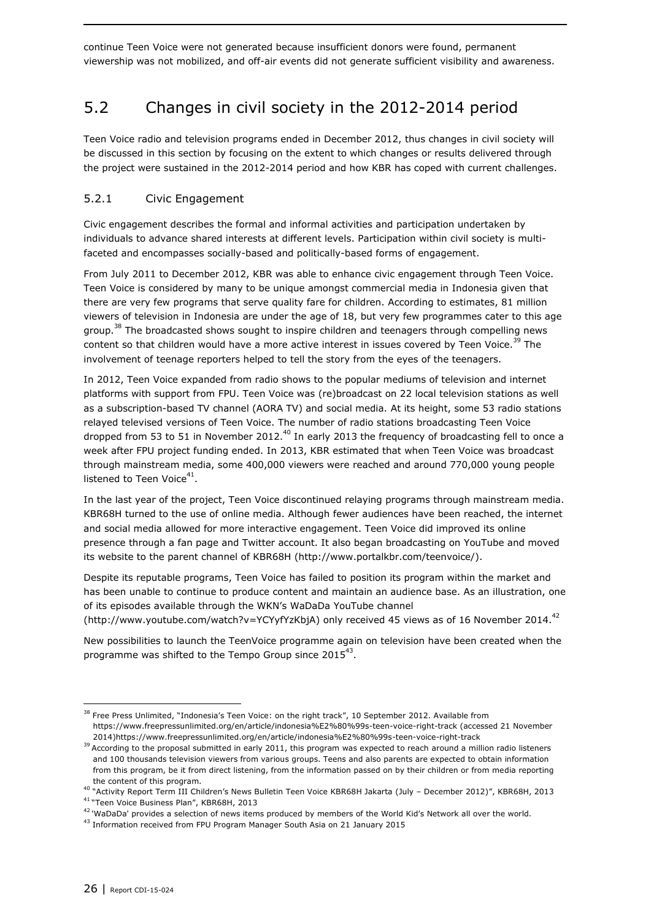continue Teen Voice were not generated because insufficient donors were found, permanent viewership was not mobilized, and off-air events did not generate sufficient visibility and awareness.

### <span id="page-25-0"></span>5.2 Changes in civil society in the 2012-2014 period

Teen Voice radio and television programs ended in December 2012, thus changes in civil society will be discussed in this section by focusing on the extent to which changes or results delivered through the project were sustained in the 2012-2014 period and how KBR has coped with current challenges.

### <span id="page-25-1"></span>5.2.1 Civic Engagement

Civic engagement describes the formal and informal activities and participation undertaken by individuals to advance shared interests at different levels. Participation within civil society is multifaceted and encompasses socially-based and politically-based forms of engagement.

From July 2011 to December 2012, KBR was able to enhance civic engagement through Teen Voice. Teen Voice is considered by many to be unique amongst commercial media in Indonesia given that there are very few programs that serve quality fare for children. According to estimates, 81 million viewers of television in Indonesia are under the age of 18, but very few programmes cater to this age group.<sup>38</sup> The broadcasted shows sought to inspire children and teenagers through compelling news content so that children would have a more active interest in issues covered by Teen Voice.<sup>39</sup> The involvement of teenage reporters helped to tell the story from the eyes of the teenagers.

In 2012, Teen Voice expanded from radio shows to the popular mediums of television and internet platforms with support from FPU. Teen Voice was (re)broadcast on 22 local television stations as well as a subscription-based TV channel (AORA TV) and social media. At its height, some 53 radio stations relayed televised versions of Teen Voice. The number of radio stations broadcasting Teen Voice dropped from 53 to 51 in November 2012.<sup>40</sup> In early 2013 the frequency of broadcasting fell to once a week after FPU project funding ended. In 2013, KBR estimated that when Teen Voice was broadcast through mainstream media, some 400,000 viewers were reached and around 770,000 young people listened to Teen Voice $^{41}$ .

In the last year of the project, Teen Voice discontinued relaying programs through mainstream media. KBR68H turned to the use of online media. Although fewer audiences have been reached, the internet and social media allowed for more interactive engagement. Teen Voice did improved its online presence through a fan page and Twitter account. It also began broadcasting on YouTube and moved its website to the parent channel of KBR68H [\(http://www.portalkbr.com/teenvoice/\)](http://www.portalkbr.com/teenvoice/).

Despite its reputable programs, Teen Voice has failed to position its program within the market and has been unable to continue to produce content and maintain an audience base. As an illustration, one of its episodes available through the WKN's WaDaDa YouTube channel [\(http://www.youtube.com/watch?v=YCYyfYzKbjA\)](http://www.youtube.com/watch?v=YCYyfYzKbjA) only received 45 views as of 16 November 2014.<sup>42</sup>

New possibilities to launch the TeenVoice programme again on television have been created when the programme was shifted to the Tempo Group since 2015<sup>43</sup>.

<sup>&</sup>lt;sup>38</sup> Free Press Unlimited, "Indonesia's Teen Voice: on the right track", 10 September 2012. Available from <https://www.freepressunlimited.org/en/article/indonesia%E2%80%99s-teen-voice-right-track> (accessed 21 November 2014)https://www.freepressunlimited.org/en/article/indonesia%E2%80%99s-teen-voice-right-track

<sup>&</sup>lt;sup>39</sup> According to the proposal submitted in early 2011, this program was expected to reach around a million radio listeners and 100 thousands television viewers from various groups. Teens and also parents are expected to obtain information from this program, be it from direct listening, from the information passed on by their children or from media reporting the content of this program.

<sup>40</sup> "Activity Report Term III Children's News Bulletin Teen Voice KBR68H Jakarta (July – December 2012)", KBR68H, 2013

<sup>41</sup> "Teen Voice Business Plan", KBR68H, 2013

<sup>&</sup>lt;sup>42</sup> 'WaDaDa' provides a selection of news items produced by members of the World Kid's Network all over the world.

<sup>&</sup>lt;sup>43</sup> Information received from FPU Program Manager South Asia on 21 January 2015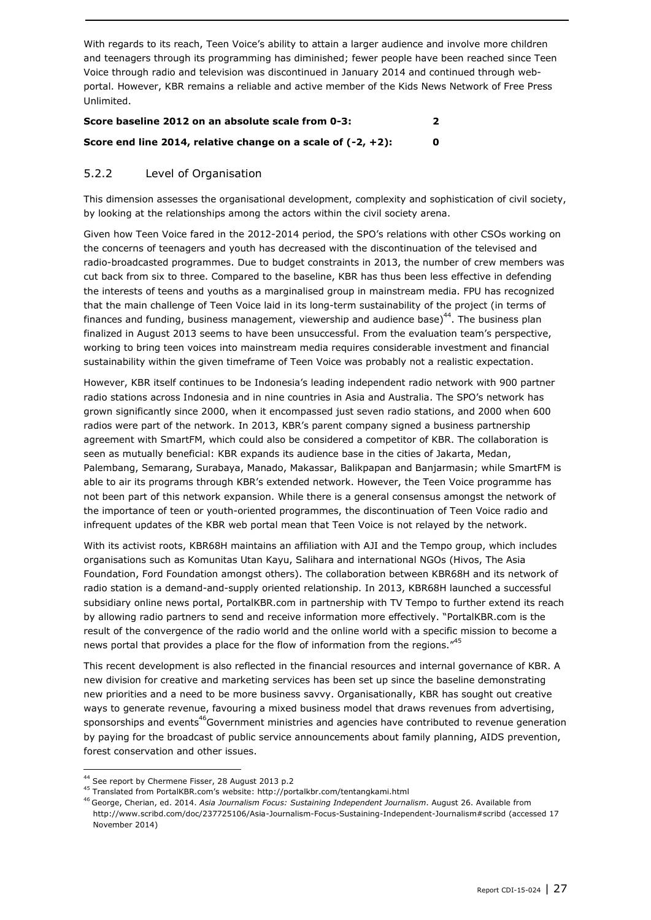With regards to its reach, Teen Voice's ability to attain a larger audience and involve more children and teenagers through its programming has diminished; fewer people have been reached since Teen Voice through radio and television was discontinued in January 2014 and continued through webportal. However, KBR remains a reliable and active member of the Kids News Network of Free Press Unlimited.

| Score baseline 2012 on an absolute scale from 0-3:              |    |
|-----------------------------------------------------------------|----|
| Score end line 2014, relative change on a scale of $(-2, +2)$ : | n. |

### <span id="page-26-0"></span>5.2.2 Level of Organisation

This dimension assesses the organisational development, complexity and sophistication of civil society, by looking at the relationships among the actors within the civil society arena.

Given how Teen Voice fared in the 2012-2014 period, the SPO's relations with other CSOs working on the concerns of teenagers and youth has decreased with the discontinuation of the televised and radio-broadcasted programmes. Due to budget constraints in 2013, the number of crew members was cut back from six to three. Compared to the baseline, KBR has thus been less effective in defending the interests of teens and youths as a marginalised group in mainstream media. FPU has recognized that the main challenge of Teen Voice laid in its long-term sustainability of the project (in terms of finances and funding, business management, viewership and audience base)<sup>44</sup>. The business plan finalized in August 2013 seems to have been unsuccessful. From the evaluation team's perspective, working to bring teen voices into mainstream media requires considerable investment and financial sustainability within the given timeframe of Teen Voice was probably not a realistic expectation.

However, KBR itself continues to be Indonesia's leading independent radio network with 900 partner radio stations across Indonesia and in nine countries in Asia and Australia. The SPO's network has grown significantly since 2000, when it encompassed just seven radio stations, and 2000 when 600 radios were part of the network. In 2013, KBR's parent company signed a business partnership agreement with SmartFM, which could also be considered a competitor of KBR. The collaboration is seen as mutually beneficial: KBR expands its audience base in the cities of Jakarta, Medan, Palembang, Semarang, Surabaya, Manado, Makassar, Balikpapan and Banjarmasin; while SmartFM is able to air its programs through KBR's extended network. However, the Teen Voice programme has not been part of this network expansion. While there is a general consensus amongst the network of the importance of teen or youth-oriented programmes, the discontinuation of Teen Voice radio and infrequent updates of the KBR web portal mean that Teen Voice is not relayed by the network.

With its activist roots, KBR68H maintains an affiliation with AJI and the Tempo group, which includes organisations such as Komunitas Utan Kayu, Salihara and international NGOs (Hivos, The Asia Foundation, Ford Foundation amongst others). The collaboration between KBR68H and its network of radio station is a demand-and-supply oriented relationship. In 2013, KBR68H launched a successful subsidiary online news portal, PortalKBR.com in partnership with TV Tempo to further extend its reach by allowing radio partners to send and receive information more effectively. "PortalKBR.com is the result of the convergence of the radio world and the online world with a specific mission to become a news portal that provides a place for the flow of information from the regions."<sup>45</sup>

This recent development is also reflected in the financial resources and internal governance of KBR. A new division for creative and marketing services has been set up since the baseline demonstrating new priorities and a need to be more business savvy. Organisationally, KBR has sought out creative ways to generate revenue, favouring a mixed business model that draws revenues from advertising, sponsorships and events<sup>46</sup>Government ministries and agencies have contributed to revenue generation by paying for the broadcast of public service announcements about family planning, AIDS prevention, forest conservation and other issues.

<sup>44</sup> See report by Chermene Fisser, 28 August 2013 p.2

<sup>45</sup> Translated from PortalKBR.com's website: http://portalkbr.com/tentangkami.html

<sup>46</sup> George, Cherian, ed. 2014. *Asia Journalism Focus: Sustaining Independent Journalism*. August 26. Available from <http://www.scribd.com/doc/237725106/Asia-Journalism-Focus-Sustaining-Independent-Journalism#scribd> (accessed 17 November 2014)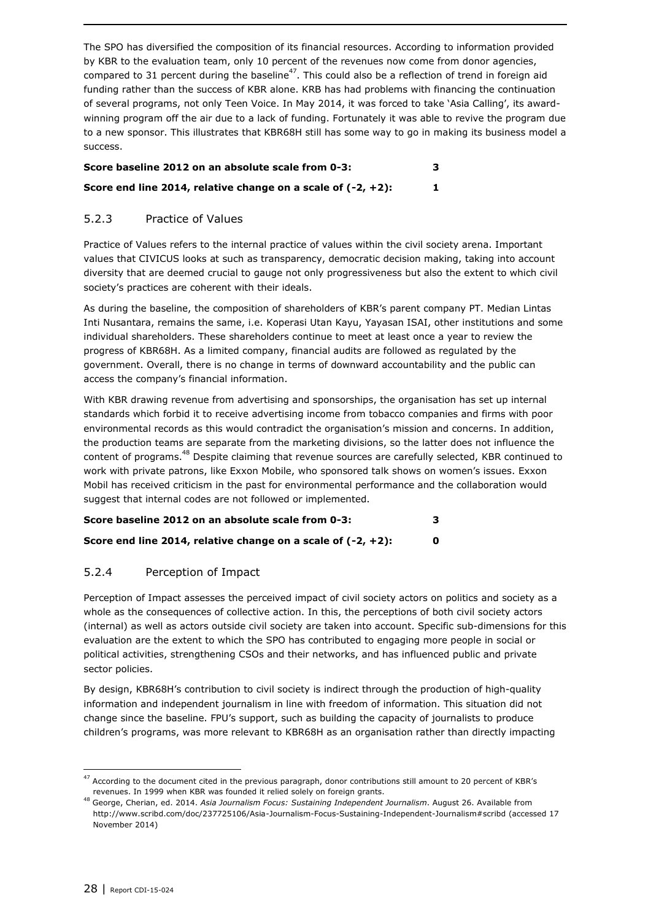The SPO has diversified the composition of its financial resources. According to information provided by KBR to the evaluation team, only 10 percent of the revenues now come from donor agencies, compared to 31 percent during the baseline<sup>47</sup>. This could also be a reflection of trend in foreign aid funding rather than the success of KBR alone. KRB has had problems with financing the continuation of several programs, not only Teen Voice. In May 2014, it was forced to take 'Asia Calling', its awardwinning program off the air due to a lack of funding. Fortunately it was able to revive the program due to a new sponsor. This illustrates that KBR68H still has some way to go in making its business model a success.

| Score baseline 2012 on an absolute scale from 0-3:              | 3 |
|-----------------------------------------------------------------|---|
| Score end line 2014, relative change on a scale of $(-2, +2)$ : |   |

### <span id="page-27-0"></span>5.2.3 Practice of Values

Practice of Values refers to the internal practice of values within the civil society arena. Important values that CIVICUS looks at such as transparency, democratic decision making, taking into account diversity that are deemed crucial to gauge not only progressiveness but also the extent to which civil society's practices are coherent with their ideals.

As during the baseline, the composition of shareholders of KBR's parent company PT. Median Lintas Inti Nusantara, remains the same, i.e. Koperasi Utan Kayu, Yayasan ISAI, other institutions and some individual shareholders. These shareholders continue to meet at least once a year to review the progress of KBR68H. As a limited company, financial audits are followed as regulated by the government. Overall, there is no change in terms of downward accountability and the public can access the company's financial information.

With KBR drawing revenue from advertising and sponsorships, the organisation has set up internal standards which forbid it to receive advertising income from tobacco companies and firms with poor environmental records as this would contradict the organisation's mission and concerns. In addition, the production teams are separate from the marketing divisions, so the latter does not influence the content of programs.<sup>48</sup> Despite claiming that revenue sources are carefully selected, KBR continued to work with private patrons, like Exxon Mobile, who sponsored talk shows on women's issues. Exxon Mobil has received criticism in the past for environmental performance and the collaboration would suggest that internal codes are not followed or implemented.

| Score baseline 2012 on an absolute scale from 0-3: |  |
|----------------------------------------------------|--|
|                                                    |  |

### <span id="page-27-1"></span>5.2.4 Perception of Impact

Perception of Impact assesses the perceived impact of civil society actors on politics and society as a whole as the consequences of collective action. In this, the perceptions of both civil society actors (internal) as well as actors outside civil society are taken into account. Specific sub-dimensions for this evaluation are the extent to which the SPO has contributed to engaging more people in social or political activities, strengthening CSOs and their networks, and has influenced public and private sector policies.

By design, KBR68H's contribution to civil society is indirect through the production of high-quality information and independent journalism in line with freedom of information. This situation did not change since the baseline. FPU's support, such as building the capacity of journalists to produce children's programs, was more relevant to KBR68H as an organisation rather than directly impacting

 $47$  According to the document cited in the previous paragraph, donor contributions still amount to 20 percent of KBR's revenues. In 1999 when KBR was founded it relied solely on foreign grants.

<sup>48</sup> George, Cherian, ed. 2014. *Asia Journalism Focus: Sustaining Independent Journalism*. August 26. Available from <http://www.scribd.com/doc/237725106/Asia-Journalism-Focus-Sustaining-Independent-Journalism#scribd> (accessed 17 November 2014)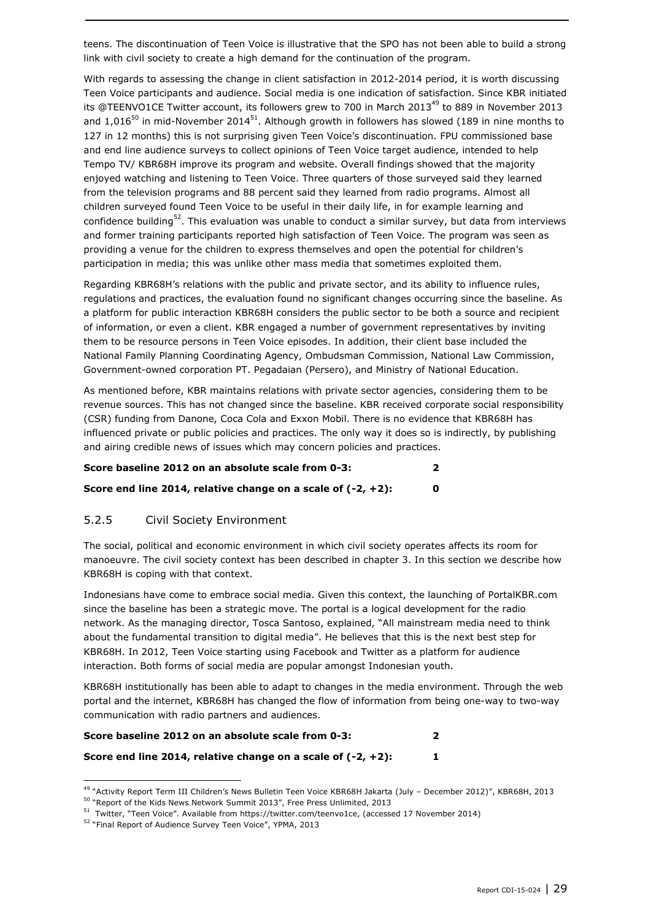teens. The discontinuation of Teen Voice is illustrative that the SPO has not been able to build a strong link with civil society to create a high demand for the continuation of the program.

With regards to assessing the change in client satisfaction in 2012-2014 period, it is worth discussing Teen Voice participants and audience. Social media is one indication of satisfaction. Since KBR initiated its @TEENVO1CE Twitter account, its followers grew to 700 in March 2013 $^{49}$  to 889 in November 2013 and 1,016<sup>50</sup> in mid-November 2014<sup>51</sup>. Although growth in followers has slowed (189 in nine months to 127 in 12 months) this is not surprising given Teen Voice's discontinuation. FPU commissioned base and end line audience surveys to collect opinions of Teen Voice target audience, intended to help Tempo TV/ KBR68H improve its program and website. Overall findings showed that the majority enjoyed watching and listening to Teen Voice. Three quarters of those surveyed said they learned from the television programs and 88 percent said they learned from radio programs. Almost all children surveyed found Teen Voice to be useful in their daily life, in for example learning and confidence building<sup>52</sup>. This evaluation was unable to conduct a similar survey, but data from interviews and former training participants reported high satisfaction of Teen Voice. The program was seen as providing a venue for the children to express themselves and open the potential for children's participation in media; this was unlike other mass media that sometimes exploited them.

Regarding KBR68H's relations with the public and private sector, and its ability to influence rules, regulations and practices, the evaluation found no significant changes occurring since the baseline. As a platform for public interaction KBR68H considers the public sector to be both a source and recipient of information, or even a client. KBR engaged a number of government representatives by inviting them to be resource persons in Teen Voice episodes. In addition, their client base included the National Family Planning Coordinating Agency, Ombudsman Commission, National Law Commission, Government-owned corporation PT. Pegadaian (Persero), and Ministry of National Education.

As mentioned before, KBR maintains relations with private sector agencies, considering them to be revenue sources. This has not changed since the baseline. KBR received corporate social responsibility (CSR) funding from Danone, Coca Cola and Exxon Mobil. There is no evidence that KBR68H has influenced private or public policies and practices. The only way it does so is indirectly, by publishing and airing credible news of issues which may concern policies and practices.

| Score baseline 2012 on an absolute scale from 0-3:              |  |
|-----------------------------------------------------------------|--|
| Score end line 2014, relative change on a scale of $(-2, +2)$ : |  |

### <span id="page-28-0"></span>5.2.5 Civil Society Environment

The social, political and economic environment in which civil society operates affects its room for manoeuvre. The civil society context has been described in chapter 3. In this section we describe how KBR68H is coping with that context.

Indonesians have come to embrace social media. Given this context, the launching of PortalKBR.com since the baseline has been a strategic move. The portal is a logical development for the radio network. As the managing director, Tosca Santoso, explained, "All mainstream media need to think about the fundamental transition to digital media". He believes that this is the next best step for KBR68H. In 2012, Teen Voice starting using Facebook and Twitter as a platform for audience interaction. Both forms of social media are popular amongst Indonesian youth.

KBR68H institutionally has been able to adapt to changes in the media environment. Through the web portal and the internet, KBR68H has changed the flow of information from being one-way to two-way communication with radio partners and audiences.

| Score baseline 2012 on an absolute scale from 0-3:              |  |
|-----------------------------------------------------------------|--|
| Score end line 2014, relative change on a scale of $(-2, +2)$ : |  |

<sup>49</sup> "Activity Report Term III Children's News Bulletin Teen Voice KBR68H Jakarta (July – December 2012)", KBR68H, 2013

ł

<sup>&</sup>lt;sup>50</sup> "Report of the Kids News Network Summit 2013", Free Press Unlimited, 2013

<sup>51</sup> Twitter, "Teen Voice". Available fro[m https://twitter.com/teenvo1ce,](https://twitter.com/teenvo1ce) (accessed 17 November 2014)

<sup>52</sup> "Final Report of Audience Survey Teen Voice", YPMA, 2013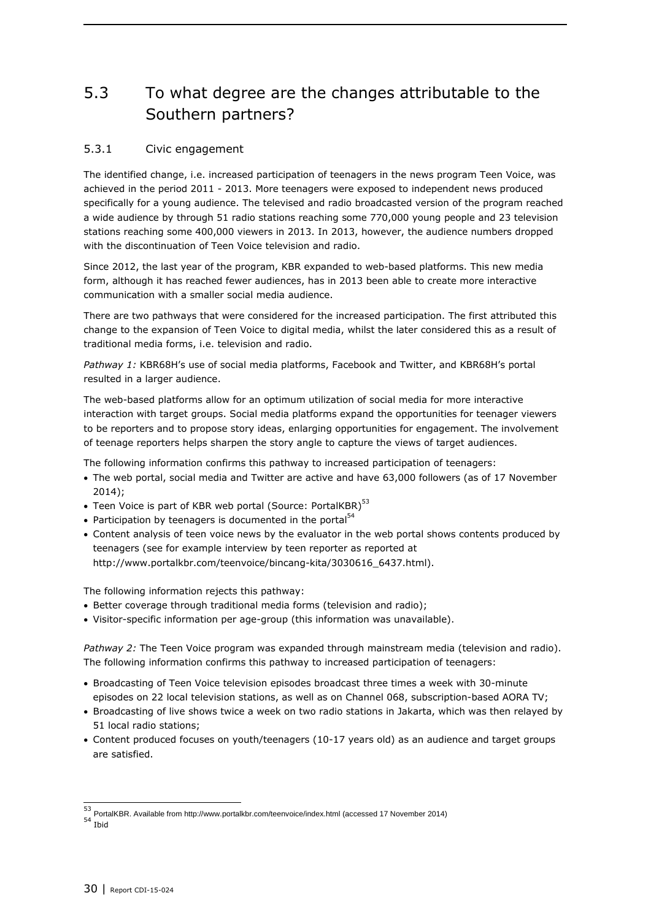### <span id="page-29-0"></span>5.3 To what degree are the changes attributable to the Southern partners?

### <span id="page-29-1"></span>5.3.1 Civic engagement

The identified change, i.e. increased participation of teenagers in the news program Teen Voice, was achieved in the period 2011 - 2013. More teenagers were exposed to independent news produced specifically for a young audience. The televised and radio broadcasted version of the program reached a wide audience by through 51 radio stations reaching some 770,000 young people and 23 television stations reaching some 400,000 viewers in 2013. In 2013, however, the audience numbers dropped with the discontinuation of Teen Voice television and radio.

Since 2012, the last year of the program, KBR expanded to web-based platforms. This new media form, although it has reached fewer audiences, has in 2013 been able to create more interactive communication with a smaller social media audience.

There are two pathways that were considered for the increased participation. The first attributed this change to the expansion of Teen Voice to digital media, whilst the later considered this as a result of traditional media forms, i.e. television and radio.

*Pathway 1:* KBR68H's use of social media platforms, Facebook and Twitter, and KBR68H's portal resulted in a larger audience.

The web-based platforms allow for an optimum utilization of social media for more interactive interaction with target groups. Social media platforms expand the opportunities for teenager viewers to be reporters and to propose story ideas, enlarging opportunities for engagement. The involvement of teenage reporters helps sharpen the story angle to capture the views of target audiences.

The following information confirms this pathway to increased participation of teenagers:

- The web portal, social media and Twitter are active and have 63,000 followers (as of 17 November 2014);
- $\bullet$  Teen Voice is part of KBR web portal (Source: PortalKBR) $^{53}$
- Participation by teenagers is documented in the portal $54$
- Content analysis of teen voice news by the evaluator in the web portal shows contents produced by teenagers (see for example interview by teen reporter as reported at http://www.portalkbr.com/teenvoice/bincang-kita/3030616\_6437.html).

The following information rejects this pathway:

- Better coverage through traditional media forms (television and radio);
- Visitor-specific information per age-group (this information was unavailable).

*Pathway 2:* The Teen Voice program was expanded through mainstream media (television and radio). The following information confirms this pathway to increased participation of teenagers:

- Broadcasting of Teen Voice television episodes broadcast three times a week with 30-minute episodes on 22 local television stations, as well as on Channel 068, subscription-based AORA TV;
- Broadcasting of live shows twice a week on two radio stations in Jakarta, which was then relayed by 51 local radio stations;
- Content produced focuses on youth/teenagers (10-17 years old) as an audience and target groups are satisfied.

 53 PortalKBR. Available from http://www.portalkbr.com/teenvoice/index.html (accessed 17 November 2014) <sup>54</sup> Ibid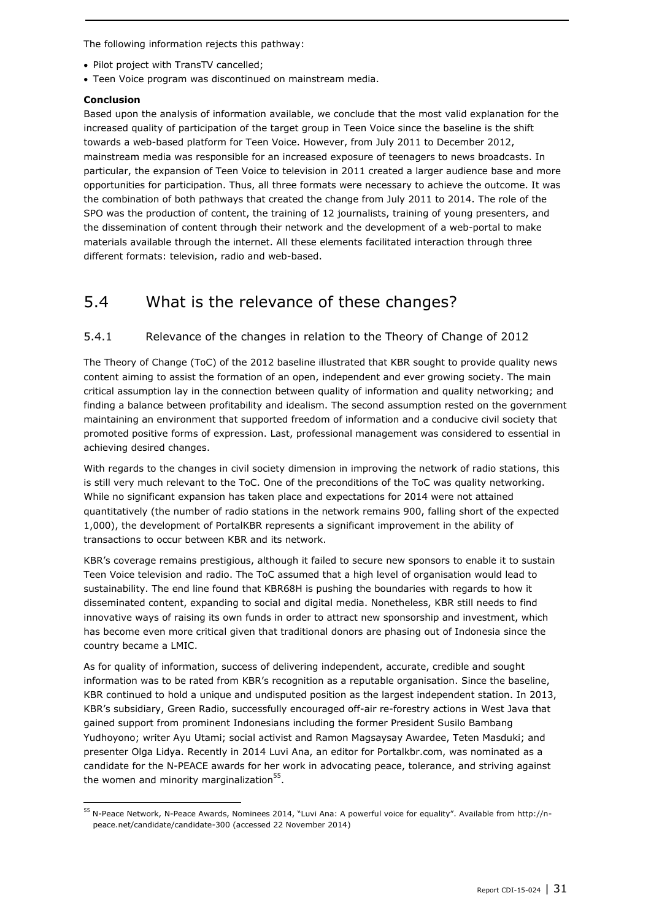The following information rejects this pathway:

- Pilot project with TransTV cancelled;
- Teen Voice program was discontinued on mainstream media.

#### **Conclusion**

1

Based upon the analysis of information available, we conclude that the most valid explanation for the increased quality of participation of the target group in Teen Voice since the baseline is the shift towards a web-based platform for Teen Voice. However, from July 2011 to December 2012, mainstream media was responsible for an increased exposure of teenagers to news broadcasts. In particular, the expansion of Teen Voice to television in 2011 created a larger audience base and more opportunities for participation. Thus, all three formats were necessary to achieve the outcome. It was the combination of both pathways that created the change from July 2011 to 2014. The role of the SPO was the production of content, the training of 12 journalists, training of young presenters, and the dissemination of content through their network and the development of a web-portal to make materials available through the internet. All these elements facilitated interaction through three different formats: television, radio and web-based.

### <span id="page-30-0"></span>5.4 What is the relevance of these changes?

### <span id="page-30-1"></span>5.4.1 Relevance of the changes in relation to the Theory of Change of 2012

The Theory of Change (ToC) of the 2012 baseline illustrated that KBR sought to provide quality news content aiming to assist the formation of an open, independent and ever growing society. The main critical assumption lay in the connection between quality of information and quality networking; and finding a balance between profitability and idealism. The second assumption rested on the government maintaining an environment that supported freedom of information and a conducive civil society that promoted positive forms of expression. Last, professional management was considered to essential in achieving desired changes.

With regards to the changes in civil society dimension in improving the network of radio stations, this is still very much relevant to the ToC. One of the preconditions of the ToC was quality networking. While no significant expansion has taken place and expectations for 2014 were not attained quantitatively (the number of radio stations in the network remains 900, falling short of the expected 1,000), the development of PortalKBR represents a significant improvement in the ability of transactions to occur between KBR and its network.

KBR's coverage remains prestigious, although it failed to secure new sponsors to enable it to sustain Teen Voice television and radio. The ToC assumed that a high level of organisation would lead to sustainability. The end line found that KBR68H is pushing the boundaries with regards to how it disseminated content, expanding to social and digital media. Nonetheless, KBR still needs to find innovative ways of raising its own funds in order to attract new sponsorship and investment, which has become even more critical given that traditional donors are phasing out of Indonesia since the country became a LMIC.

As for quality of information, success of delivering independent, accurate, credible and sought information was to be rated from KBR's recognition as a reputable organisation. Since the baseline, KBR continued to hold a unique and undisputed position as the largest independent station. In 2013, KBR's subsidiary, Green Radio, successfully encouraged off-air re-forestry actions in West Java that gained support from prominent Indonesians including the former President Susilo Bambang Yudhoyono; writer Ayu Utami; social activist and Ramon Magsaysay Awardee, Teten Masduki; and presenter Olga Lidya. Recently in 2014 Luvi Ana, an editor for Portalkbr.com, was nominated as a candidate for the N-PEACE awards for her work in advocating peace, tolerance, and striving against the women and minority marginalization<sup>55</sup>.

<sup>55</sup> N-Peace Network, N-Peace Awards, Nominees 2014, "Luvi Ana: A powerful voice for equality". Available from [http://n](http://n-peace.net/candidate/candidate-300)[peace.net/candidate/candidate-300](http://n-peace.net/candidate/candidate-300) (accessed 22 November 2014)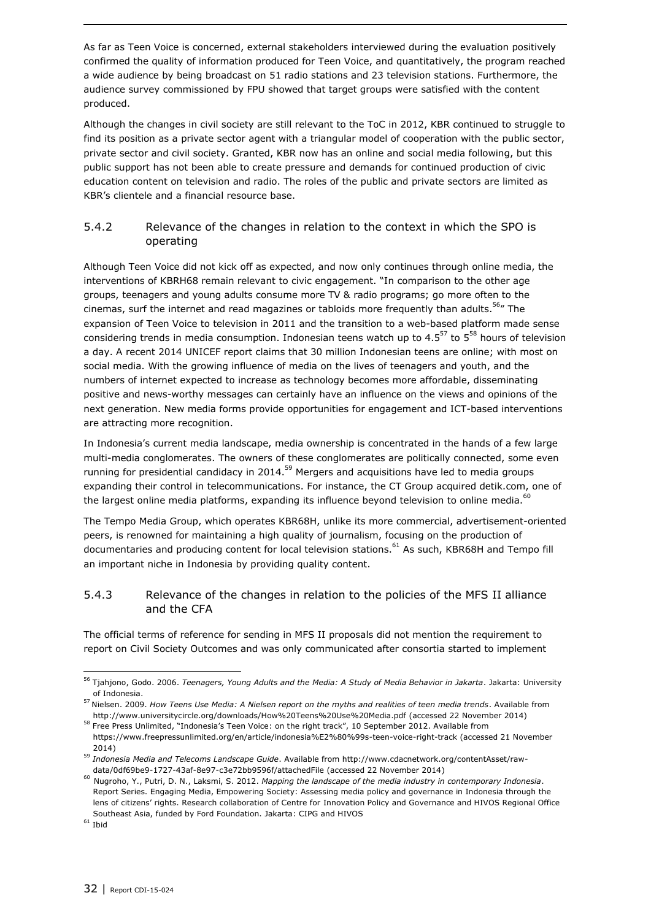As far as Teen Voice is concerned, external stakeholders interviewed during the evaluation positively confirmed the quality of information produced for Teen Voice, and quantitatively, the program reached a wide audience by being broadcast on 51 radio stations and 23 television stations. Furthermore, the audience survey commissioned by FPU showed that target groups were satisfied with the content produced.

Although the changes in civil society are still relevant to the ToC in 2012, KBR continued to struggle to find its position as a private sector agent with a triangular model of cooperation with the public sector, private sector and civil society. Granted, KBR now has an online and social media following, but this public support has not been able to create pressure and demands for continued production of civic education content on television and radio. The roles of the public and private sectors are limited as KBR's clientele and a financial resource base.

### <span id="page-31-0"></span>5.4.2 Relevance of the changes in relation to the context in which the SPO is operating

Although Teen Voice did not kick off as expected, and now only continues through online media, the interventions of KBRH68 remain relevant to civic engagement. "In comparison to the other age groups, teenagers and young adults consume more TV & radio programs; go more often to the cinemas, surf the internet and read magazines or tabloids more frequently than adults.<sup>56</sup>" The expansion of Teen Voice to television in 2011 and the transition to a web-based platform made sense considering trends in media consumption. Indonesian teens watch up to  $4.5^{57}$  to  $5^{58}$  hours of television a day. A recent 2014 UNICEF report claims that 30 million Indonesian teens are online; with most on social media. With the growing influence of media on the lives of teenagers and youth, and the numbers of internet expected to increase as technology becomes more affordable, disseminating positive and news-worthy messages can certainly have an influence on the views and opinions of the next generation. New media forms provide opportunities for engagement and ICT-based interventions are attracting more recognition.

In Indonesia's current media landscape, media ownership is concentrated in the hands of a few large multi-media conglomerates. The owners of these conglomerates are politically connected, some even running for presidential candidacy in 2014.<sup>59</sup> Mergers and acquisitions have led to media groups expanding their control in telecommunications. For instance, the CT Group acquired detik.com, one of the largest online media platforms, expanding its influence beyond television to online media.<sup>60</sup>

The Tempo Media Group, which operates KBR68H, unlike its more commercial, advertisement-oriented peers, is renowned for maintaining a high quality of journalism, focusing on the production of documentaries and producing content for local television stations.<sup>61</sup> As such, KBR68H and Tempo fill an important niche in Indonesia by providing quality content.

### <span id="page-31-1"></span>5.4.3 Relevance of the changes in relation to the policies of the MFS II alliance and the CFA

The official terms of reference for sending in MFS II proposals did not mention the requirement to report on Civil Society Outcomes and was only communicated after consortia started to implement

<sup>56</sup> Tjahjono, Godo. 2006. *Teenagers, Young Adults and the Media: A Study of Media Behavior in Jakarta*. Jakarta: University of Indonesia.

<sup>57</sup> Nielsen. 2009. *How Teens Use Media: A Nielsen report on the myths and realities of teen media trends*. Available from <http://www.universitycircle.org/downloads/How%20Teens%20Use%20Media.pdf> (accessed 22 November 2014)

<sup>&</sup>lt;sup>58</sup> Free Press Unlimited, "Indonesia's Teen Voice: on the right track", 10 September 2012. Available from https://www.freepressunlimited.org/en/article/indonesia%E2%80%99s-teen-voice-right-track (accessed 21 November 2014)

<sup>59</sup> *Indonesia Media and Telecoms Landscape Guide*. Available from [http://www.cdacnetwork.org/contentAsset/raw](http://www.cdacnetwork.org/contentAsset/raw-data/0df69be9-1727-43af-8e97-c3e72bb9596f/attachedFile)[data/0df69be9-1727-43af-8e97-c3e72bb9596f/attachedFile](http://www.cdacnetwork.org/contentAsset/raw-data/0df69be9-1727-43af-8e97-c3e72bb9596f/attachedFile) (accessed 22 November 2014)

<sup>60</sup> Nugroho, Y., Putri, D. N., Laksmi, S. 2012. *Mapping the landscape of the media industry in contemporary Indonesia*. Report Series. Engaging Media, Empowering Society: Assessing media policy and governance in Indonesia through the lens of citizens' rights. Research collaboration of Centre for Innovation Policy and Governance and HIVOS Regional Office Southeast Asia, funded by Ford Foundation. Jakarta: CIPG and HIVOS

 $61$  Ibid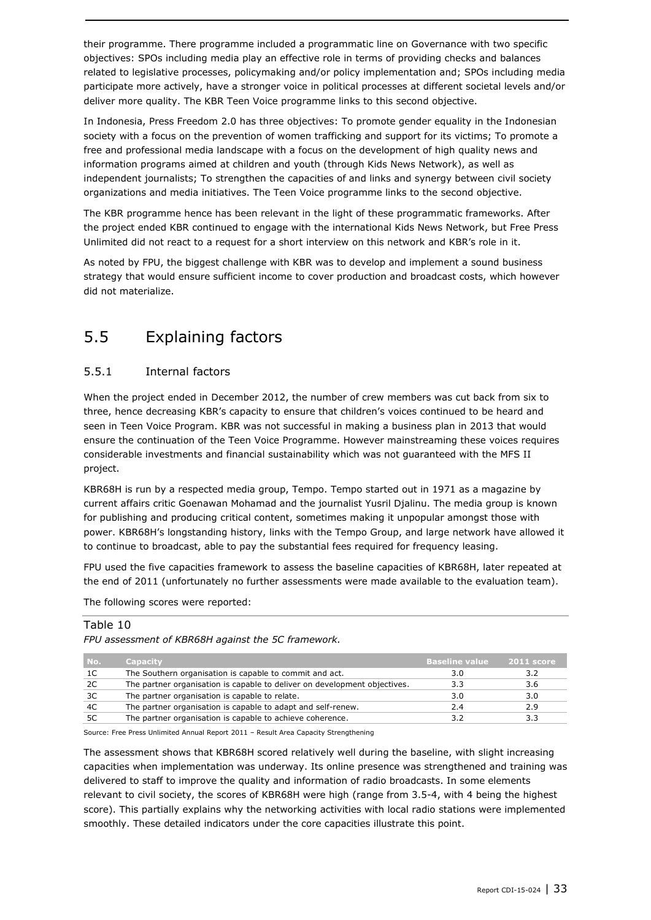their programme. There programme included a programmatic line on Governance with two specific objectives: SPOs including media play an effective role in terms of providing checks and balances related to legislative processes, policymaking and/or policy implementation and; SPOs including media participate more actively, have a stronger voice in political processes at different societal levels and/or deliver more quality. The KBR Teen Voice programme links to this second objective.

In Indonesia, Press Freedom 2.0 has three objectives: To promote gender equality in the Indonesian society with a focus on the prevention of women trafficking and support for its victims; To promote a free and professional media landscape with a focus on the development of high quality news and information programs aimed at children and youth (through Kids News Network), as well as independent journalists; To strengthen the capacities of and links and synergy between civil society organizations and media initiatives. The Teen Voice programme links to the second objective.

The KBR programme hence has been relevant in the light of these programmatic frameworks. After the project ended KBR continued to engage with the international Kids News Network, but Free Press Unlimited did not react to a request for a short interview on this network and KBR's role in it.

As noted by FPU, the biggest challenge with KBR was to develop and implement a sound business strategy that would ensure sufficient income to cover production and broadcast costs, which however did not materialize.

## <span id="page-32-0"></span>5.5 Explaining factors

### <span id="page-32-1"></span>5.5.1 Internal factors

When the project ended in December 2012, the number of crew members was cut back from six to three, hence decreasing KBR's capacity to ensure that children's voices continued to be heard and seen in Teen Voice Program. KBR was not successful in making a business plan in 2013 that would ensure the continuation of the Teen Voice Programme. However mainstreaming these voices requires considerable investments and financial sustainability which was not guaranteed with the MFS II project.

KBR68H is run by a respected media group, Tempo. Tempo started out in 1971 as a magazine by current affairs critic Goenawan Mohamad and the journalist Yusril Djalinu. The media group is known for publishing and producing critical content, sometimes making it unpopular amongst those with power. KBR68H's longstanding history, links with the Tempo Group, and large network have allowed it to continue to broadcast, able to pay the substantial fees required for frequency leasing.

FPU used the five capacities framework to assess the baseline capacities of KBR68H, later repeated at the end of 2011 (unfortunately no further assessments were made available to the evaluation team).

The following scores were reported:

#### Table 10

*FPU assessment of KBR68H against the 5C framework.*

| No. | <b>Capacity</b>                                                           | <b>Baseline value</b> | $2011$ score |
|-----|---------------------------------------------------------------------------|-----------------------|--------------|
| 1C  | The Southern organisation is capable to commit and act.                   | 3.0                   | 3.2          |
| 2C  | The partner organisation is capable to deliver on development objectives. | 3.3                   | 3.6          |
| 3C  | The partner organisation is capable to relate.                            | 3.0                   | 3.0          |
| 4C  | The partner organisation is capable to adapt and self-renew.              | 2.4                   | 2.9          |
| 5C  | The partner organisation is capable to achieve coherence.                 |                       |              |

Source: Free Press Unlimited Annual Report 2011 – Result Area Capacity Strengthening

The assessment shows that KBR68H scored relatively well during the baseline, with slight increasing capacities when implementation was underway. Its online presence was strengthened and training was delivered to staff to improve the quality and information of radio broadcasts. In some elements relevant to civil society, the scores of KBR68H were high (range from 3.5-4, with 4 being the highest score). This partially explains why the networking activities with local radio stations were implemented smoothly. These detailed indicators under the core capacities illustrate this point.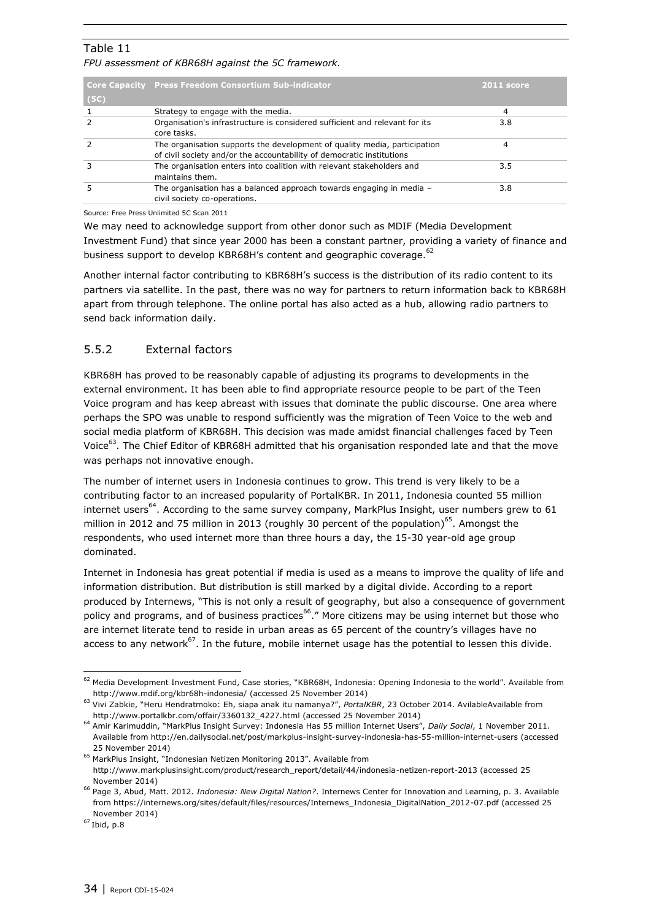### Table 11

*FPU assessment of KBR68H against the 5C framework.*

| (5C) | <b>Core Capacity Press Freedom Consortium Sub-indicator</b>                                                                                        | 2011 score |
|------|----------------------------------------------------------------------------------------------------------------------------------------------------|------------|
|      | Strategy to engage with the media.                                                                                                                 | 4          |
|      | Organisation's infrastructure is considered sufficient and relevant for its<br>core tasks.                                                         | 3.8        |
|      | The organisation supports the development of quality media, participation<br>of civil society and/or the accountability of democratic institutions | 4          |
|      | The organisation enters into coalition with relevant stakeholders and<br>maintains them.                                                           | 3.5        |
|      | The organisation has a balanced approach towards engaging in media -<br>civil society co-operations.                                               | 3.8        |

Source: Free Press Unlimited 5C Scan 2011

We may need to acknowledge support from other donor such as MDIF (Media Development Investment Fund) that since year 2000 has been a constant partner, providing a variety of finance and business support to develop KBR68H's content and geographic coverage.<sup>62</sup>

Another internal factor contributing to KBR68H's success is the distribution of its radio content to its partners via satellite. In the past, there was no way for partners to return information back to KBR68H apart from through telephone. The online portal has also acted as a hub, allowing radio partners to send back information daily.

### <span id="page-33-0"></span>5.5.2 External factors

KBR68H has proved to be reasonably capable of adjusting its programs to developments in the external environment. It has been able to find appropriate resource people to be part of the Teen Voice program and has keep abreast with issues that dominate the public discourse. One area where perhaps the SPO was unable to respond sufficiently was the migration of Teen Voice to the web and social media platform of KBR68H. This decision was made amidst financial challenges faced by Teen Voice<sup>63</sup>. The Chief Editor of KBR68H admitted that his organisation responded late and that the move was perhaps not innovative enough.

The number of internet users in Indonesia continues to grow. This trend is very likely to be a contributing factor to an increased popularity of PortalKBR. In 2011, Indonesia counted 55 million internet users<sup>64</sup>. According to the same survey company, MarkPlus Insight, user numbers grew to 61 million in 2012 and 75 million in 2013 (roughly 30 percent of the population)<sup>65</sup>. Amongst the respondents, who used internet more than three hours a day, the 15-30 year-old age group dominated.

Internet in Indonesia has great potential if media is used as a means to improve the quality of life and information distribution. But distribution is still marked by a digital divide. According to a report produced by Internews, "This is not only a result of geography, but also a consequence of government policy and programs, and of business practices<sup>66</sup>." More citizens may be using internet but those who are internet literate tend to reside in urban areas as 65 percent of the country's villages have no access to any network<sup>67</sup>. In the future, mobile internet usage has the potential to lessen this divide.

 $62$  Media Development Investment Fund, Case stories, "KBR68H, Indonesia: Opening Indonesia to the world". Available from <http://www.mdif.org/kbr68h-indonesia/> (accessed 25 November 2014)

<sup>63</sup> Vivi Zabkie, "Heru Hendratmoko: Eh, siapa anak itu namanya?", *PortalKBR*, 23 October 2014. AvilableAvailable from [http://www.portalkbr.com/offair/3360132\\_4227.html](http://www.portalkbr.com/offair/3360132_4227.html) (accessed 25 November 2014)

<sup>64</sup> Amir Karimuddin, "MarkPlus Insight Survey: Indonesia Has 55 million Internet Users", *Daily Social*, 1 November 2011. Available from<http://en.dailysocial.net/post/markplus-insight-survey-indonesia-has-55-million-internet-users> (accessed 25 November 2014)

<sup>&</sup>lt;sup>65</sup> MarkPlus Insight, "Indonesian Netizen Monitoring 2013". Available from [http://www.markplusinsight.com/product/research\\_report/detail/44/indonesia-netizen-report-2013](http://www.markplusinsight.com/product/research_report/detail/44/indonesia-netizen-report-2013) (accessed 25 November 2014)

<sup>66</sup> Page 3, Abud, Matt. 2012. *Indonesia: New Digital Nation?*. Internews Center for Innovation and Learning, p. 3. Available from [https://internews.org/sites/default/files/resources/Internews\\_Indonesia\\_DigitalNation\\_2012-07.pdf](https://internews.org/sites/default/files/resources/Internews_Indonesia_DigitalNation_2012-07.pdf) (accessed 25 November 2014)

 $67$  Ibid, p.8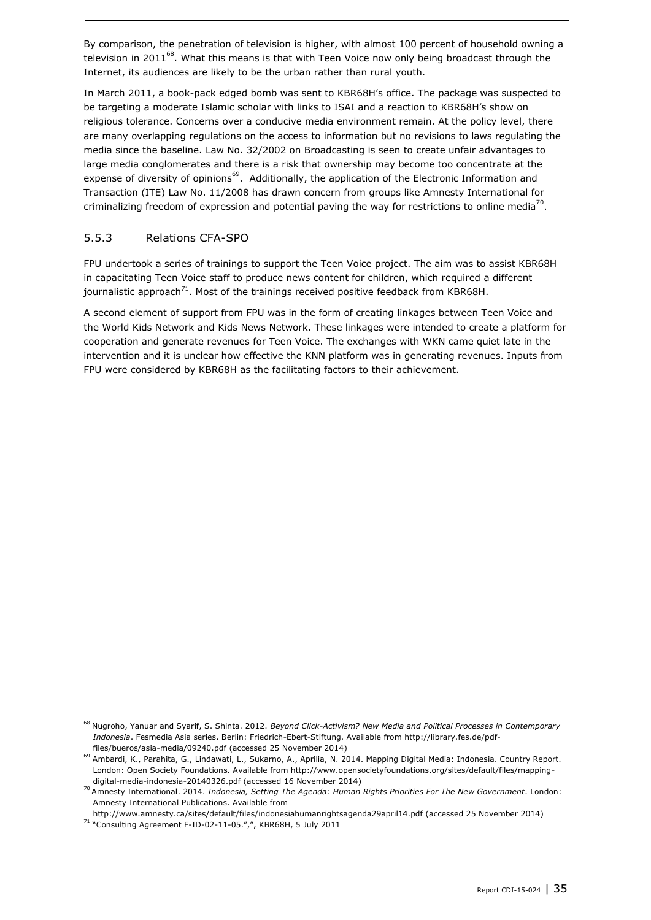By comparison, the penetration of television is higher, with almost 100 percent of household owning a television in 2011 $^{68}$ . What this means is that with Teen Voice now only being broadcast through the Internet, its audiences are likely to be the urban rather than rural youth.

In March 2011, a book-pack edged bomb was sent to KBR68H's office. The package was suspected to be targeting a moderate Islamic scholar with links to ISAI and a reaction to KBR68H's show on religious tolerance. Concerns over a conducive media environment remain. At the policy level, there are many overlapping regulations on the access to information but no revisions to laws regulating the media since the baseline. Law No. 32/2002 on Broadcasting is seen to create unfair advantages to large media conglomerates and there is a risk that ownership may become too concentrate at the expense of diversity of opinions<sup>69</sup>. Additionally, the application of the Electronic Information and Transaction (ITE) Law No. 11/2008 has drawn concern from groups like Amnesty International for criminalizing freedom of expression and potential paving the way for restrictions to online media<sup>70</sup>.

### <span id="page-34-0"></span>5.5.3 Relations CFA-SPO

FPU undertook a series of trainings to support the Teen Voice project. The aim was to assist KBR68H in capacitating Teen Voice staff to produce news content for children, which required a different journalistic approach<sup>71</sup>. Most of the trainings received positive feedback from KBR68H.

A second element of support from FPU was in the form of creating linkages between Teen Voice and the World Kids Network and Kids News Network. These linkages were intended to create a platform for cooperation and generate revenues for Teen Voice. The exchanges with WKN came quiet late in the intervention and it is unclear how effective the KNN platform was in generating revenues. Inputs from FPU were considered by KBR68H as the facilitating factors to their achievement.

<http://www.amnesty.ca/sites/default/files/indonesiahumanrightsagenda29april14.pdf> (accessed 25 November 2014)

ł

<sup>68</sup> Nugroho, Yanuar and Syarif, S. Shinta. 2012. *Beyond Click-Activism? New Media and Political Processes in Contemporary Indonesia*. Fesmedia Asia series. Berlin: Friedrich-Ebert-Stiftung. Available from [http://library.fes.de/pdf](http://library.fes.de/pdf-files/bueros/asia-media/09240.pdf)[files/bueros/asia-media/09240.pdf](http://library.fes.de/pdf-files/bueros/asia-media/09240.pdf) (accessed 25 November 2014)

<sup>69</sup> Ambardi, K., Parahita, G., Lindawati, L., Sukarno, A., Aprilia, N. 2014. Mapping Digital Media: Indonesia. Country Report. London: Open Society Foundations. Available from http://www.opensocietyfoundations.org/sites/default/files/mappingdigital-media-indonesia-20140326.pdf (accessed 16 November 2014)

<sup>70</sup> Amnesty International. 2014. *Indonesia, Setting The Agenda: Human Rights Priorities For The New Government*. London: Amnesty International Publications. Available from

<sup>71</sup> "Consulting Agreement F-ID-02-11-05.",", KBR68H, 5 July 2011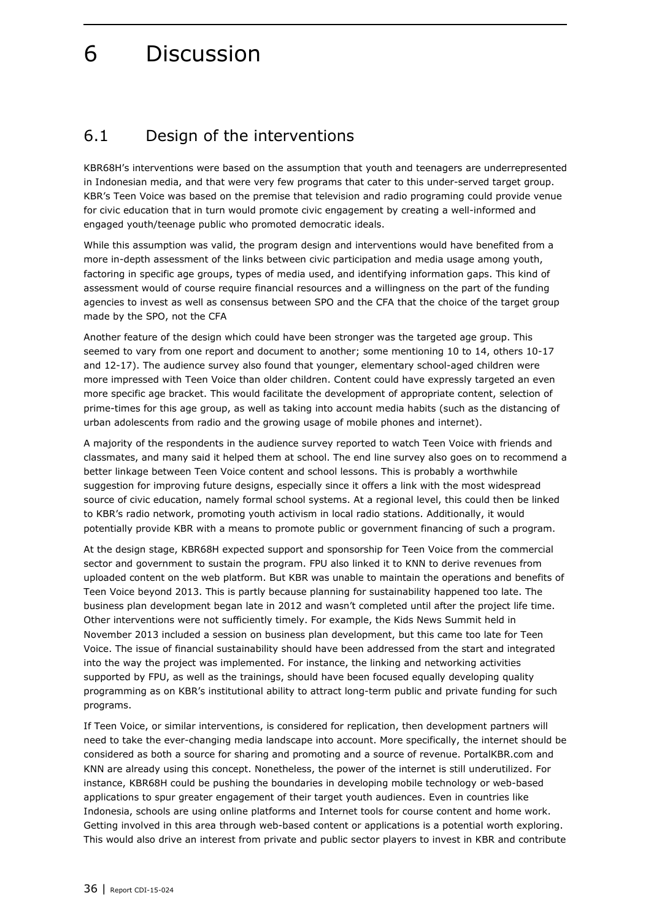# <span id="page-35-0"></span>6 Discussion

### <span id="page-35-1"></span>6.1 Design of the interventions

KBR68H's interventions were based on the assumption that youth and teenagers are underrepresented in Indonesian media, and that were very few programs that cater to this under-served target group. KBR's Teen Voice was based on the premise that television and radio programing could provide venue for civic education that in turn would promote civic engagement by creating a well-informed and engaged youth/teenage public who promoted democratic ideals.

While this assumption was valid, the program design and interventions would have benefited from a more in-depth assessment of the links between civic participation and media usage among youth, factoring in specific age groups, types of media used, and identifying information gaps. This kind of assessment would of course require financial resources and a willingness on the part of the funding agencies to invest as well as consensus between SPO and the CFA that the choice of the target group made by the SPO, not the CFA

Another feature of the design which could have been stronger was the targeted age group. This seemed to vary from one report and document to another; some mentioning 10 to 14, others 10-17 and 12-17). The audience survey also found that younger, elementary school-aged children were more impressed with Teen Voice than older children. Content could have expressly targeted an even more specific age bracket. This would facilitate the development of appropriate content, selection of prime-times for this age group, as well as taking into account media habits (such as the distancing of urban adolescents from radio and the growing usage of mobile phones and internet).

A majority of the respondents in the audience survey reported to watch Teen Voice with friends and classmates, and many said it helped them at school. The end line survey also goes on to recommend a better linkage between Teen Voice content and school lessons. This is probably a worthwhile suggestion for improving future designs, especially since it offers a link with the most widespread source of civic education, namely formal school systems. At a regional level, this could then be linked to KBR's radio network, promoting youth activism in local radio stations. Additionally, it would potentially provide KBR with a means to promote public or government financing of such a program.

At the design stage, KBR68H expected support and sponsorship for Teen Voice from the commercial sector and government to sustain the program. FPU also linked it to KNN to derive revenues from uploaded content on the web platform. But KBR was unable to maintain the operations and benefits of Teen Voice beyond 2013. This is partly because planning for sustainability happened too late. The business plan development began late in 2012 and wasn't completed until after the project life time. Other interventions were not sufficiently timely. For example, the Kids News Summit held in November 2013 included a session on business plan development, but this came too late for Teen Voice. The issue of financial sustainability should have been addressed from the start and integrated into the way the project was implemented. For instance, the linking and networking activities supported by FPU, as well as the trainings, should have been focused equally developing quality programming as on KBR's institutional ability to attract long-term public and private funding for such programs.

If Teen Voice, or similar interventions, is considered for replication, then development partners will need to take the ever-changing media landscape into account. More specifically, the internet should be considered as both a source for sharing and promoting and a source of revenue. PortalKBR.com and KNN are already using this concept. Nonetheless, the power of the internet is still underutilized. For instance, KBR68H could be pushing the boundaries in developing mobile technology or web-based applications to spur greater engagement of their target youth audiences. Even in countries like Indonesia, schools are using online platforms and Internet tools for course content and home work. Getting involved in this area through web-based content or applications is a potential worth exploring. This would also drive an interest from private and public sector players to invest in KBR and contribute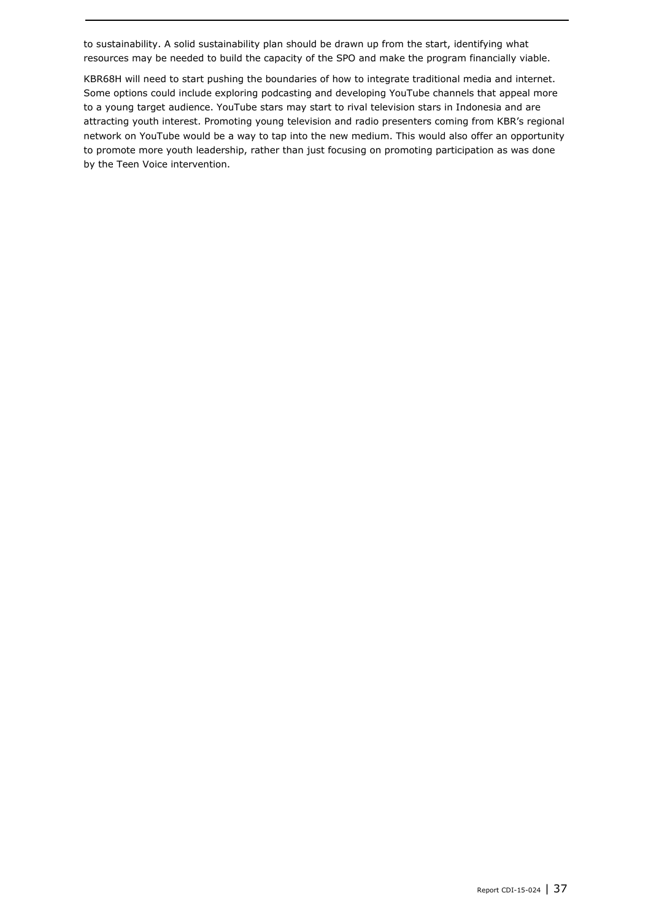to sustainability. A solid sustainability plan should be drawn up from the start, identifying what resources may be needed to build the capacity of the SPO and make the program financially viable.

KBR68H will need to start pushing the boundaries of how to integrate traditional media and internet. Some options could include exploring podcasting and developing YouTube channels that appeal more to a young target audience. YouTube stars may start to rival television stars in Indonesia and are attracting youth interest. Promoting young television and radio presenters coming from KBR's regional network on YouTube would be a way to tap into the new medium. This would also offer an opportunity to promote more youth leadership, rather than just focusing on promoting participation as was done by the Teen Voice intervention.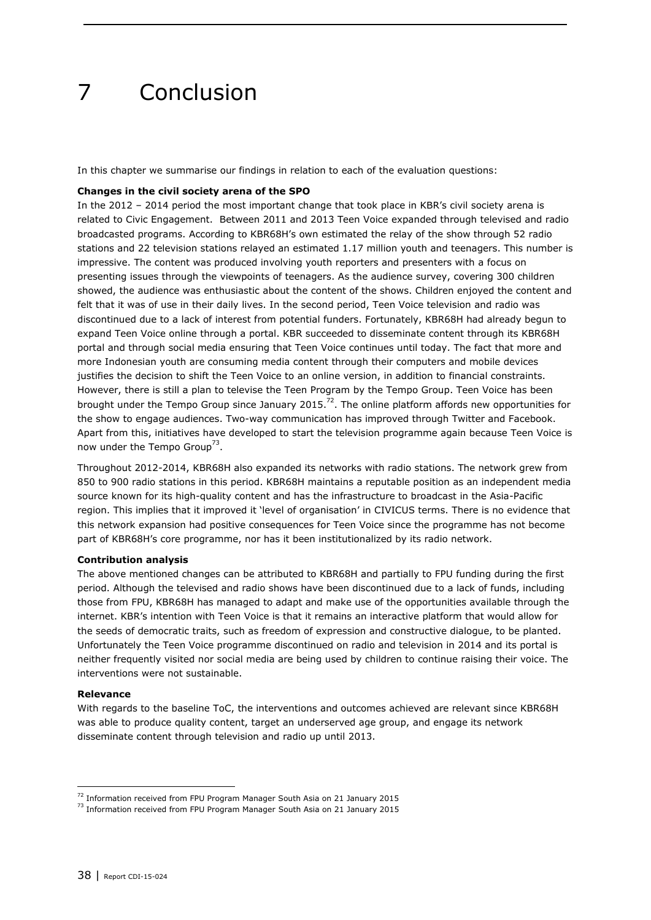# 7 Conclusion

In this chapter we summarise our findings in relation to each of the evaluation questions:

### **Changes in the civil society arena of the SPO**

In the 2012 – 2014 period the most important change that took place in KBR's civil society arena is related to Civic Engagement. Between 2011 and 2013 Teen Voice expanded through televised and radio broadcasted programs. According to KBR68H's own estimated the relay of the show through 52 radio stations and 22 television stations relayed an estimated 1.17 million youth and teenagers. This number is impressive. The content was produced involving youth reporters and presenters with a focus on presenting issues through the viewpoints of teenagers. As the audience survey, covering 300 children showed, the audience was enthusiastic about the content of the shows. Children enjoyed the content and felt that it was of use in their daily lives. In the second period, Teen Voice television and radio was discontinued due to a lack of interest from potential funders. Fortunately, KBR68H had already begun to expand Teen Voice online through a portal. KBR succeeded to disseminate content through its KBR68H portal and through social media ensuring that Teen Voice continues until today. The fact that more and more Indonesian youth are consuming media content through their computers and mobile devices justifies the decision to shift the Teen Voice to an online version, in addition to financial constraints. However, there is still a plan to televise the Teen Program by the Tempo Group. Teen Voice has been brought under the Tempo Group since January 2015.<sup>72</sup>. The online platform affords new opportunities for the show to engage audiences. Two-way communication has improved through Twitter and Facebook. Apart from this, initiatives have developed to start the television programme again because Teen Voice is now under the Tempo Group<sup>73</sup>.

Throughout 2012-2014, KBR68H also expanded its networks with radio stations. The network grew from 850 to 900 radio stations in this period. KBR68H maintains a reputable position as an independent media source known for its high-quality content and has the infrastructure to broadcast in the Asia-Pacific region. This implies that it improved it 'level of organisation' in CIVICUS terms. There is no evidence that this network expansion had positive consequences for Teen Voice since the programme has not become part of KBR68H's core programme, nor has it been institutionalized by its radio network.

#### **Contribution analysis**

The above mentioned changes can be attributed to KBR68H and partially to FPU funding during the first period. Although the televised and radio shows have been discontinued due to a lack of funds, including those from FPU, KBR68H has managed to adapt and make use of the opportunities available through the internet. KBR's intention with Teen Voice is that it remains an interactive platform that would allow for the seeds of democratic traits, such as freedom of expression and constructive dialogue, to be planted. Unfortunately the Teen Voice programme discontinued on radio and television in 2014 and its portal is neither frequently visited nor social media are being used by children to continue raising their voice. The interventions were not sustainable.

#### **Relevance**

-

With regards to the baseline ToC, the interventions and outcomes achieved are relevant since KBR68H was able to produce quality content, target an underserved age group, and engage its network disseminate content through television and radio up until 2013.

<sup>&</sup>lt;sup>72</sup> Information received from FPU Program Manager South Asia on 21 January 2015

<sup>&</sup>lt;sup>73</sup> Information received from FPU Program Manager South Asia on 21 January 2015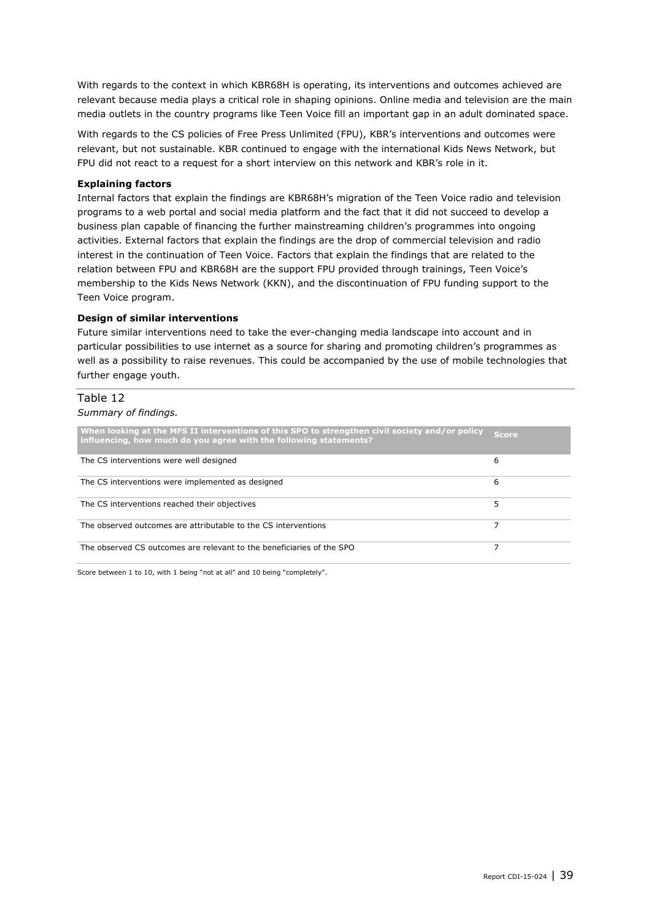With regards to the context in which KBR68H is operating, its interventions and outcomes achieved are relevant because media plays a critical role in shaping opinions. Online media and television are the main media outlets in the country programs like Teen Voice fill an important gap in an adult dominated space.

With regards to the CS policies of Free Press Unlimited (FPU), KBR's interventions and outcomes were relevant, but not sustainable. KBR continued to engage with the international Kids News Network, but FPU did not react to a request for a short interview on this network and KBR's role in it.

#### **Explaining factors**

Internal factors that explain the findings are KBR68H's migration of the Teen Voice radio and television programs to a web portal and social media platform and the fact that it did not succeed to develop a business plan capable of financing the further mainstreaming children's programmes into ongoing activities. External factors that explain the findings are the drop of commercial television and radio interest in the continuation of Teen Voice. Factors that explain the findings that are related to the relation between FPU and KBR68H are the support FPU provided through trainings, Teen Voice's membership to the Kids News Network (KKN), and the discontinuation of FPU funding support to the Teen Voice program.

#### **Design of similar interventions**

Future similar interventions need to take the ever-changing media landscape into account and in particular possibilities to use internet as a source for sharing and promoting children's programmes as well as a possibility to raise revenues. This could be accompanied by the use of mobile technologies that further engage youth.

### Table 12

#### *Summary of findings.*

| When looking at the MFS II interventions of this SPO to strengthen civil society and/or policy<br>influencing, how much do you agree with the following statements? | <i>S</i> core |
|---------------------------------------------------------------------------------------------------------------------------------------------------------------------|---------------|
| The CS interventions were well designed                                                                                                                             | 6             |
| The CS interventions were implemented as designed                                                                                                                   | 6             |
| The CS interventions reached their objectives                                                                                                                       | 5             |
| The observed outcomes are attributable to the CS interventions                                                                                                      |               |
| The observed CS outcomes are relevant to the beneficiaries of the SPO                                                                                               |               |

Score between 1 to 10, with 1 being "not at all" and 10 being "completely".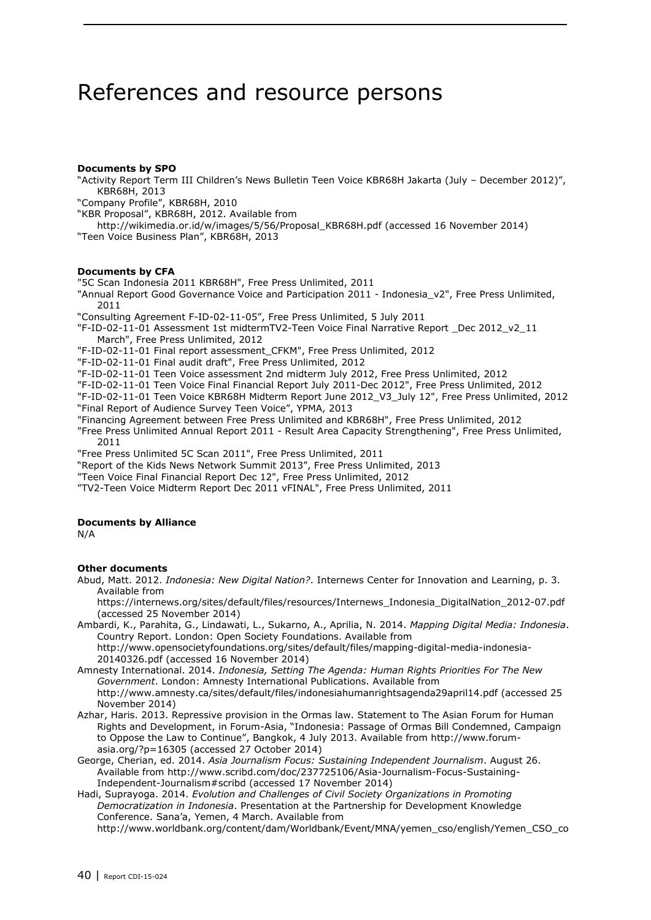## References and resource persons

#### **Documents by SPO**

"Activity Report Term III Children's News Bulletin Teen Voice KBR68H Jakarta (July – December 2012)", KBR68H, 2013

"Company Profile", KBR68H, 2010

"KBR Proposal", KBR68H, 2012. Available from

http://wikimedia.or.id/w/images/5/56/Proposal\_KBR68H.pdf (accessed 16 November 2014) "Teen Voice Business Plan", KBR68H, 2013

#### **Documents by CFA**

"5C Scan Indonesia 2011 KBR68H", Free Press Unlimited, 2011

"Annual Report Good Governance Voice and Participation 2011 - Indonesia v2", Free Press Unlimited, 2011

"Consulting Agreement F-ID-02-11-05", Free Press Unlimited, 5 July 2011

"F-ID-02-11-01 Assessment 1st midtermTV2-Teen Voice Final Narrative Report \_Dec 2012\_v2\_11 March", Free Press Unlimited, 2012

"F-ID-02-11-01 Final report assessment\_CFKM", Free Press Unlimited, 2012

"F-ID-02-11-01 Final audit draft", Free Press Unlimited, 2012

"F-ID-02-11-01 Teen Voice assessment 2nd midterm July 2012, Free Press Unlimited, 2012

"F-ID-02-11-01 Teen Voice Final Financial Report July 2011-Dec 2012", Free Press Unlimited, 2012

"F-ID-02-11-01 Teen Voice KBR68H Midterm Report June 2012\_V3\_July 12", Free Press Unlimited, 2012 "Final Report of Audience Survey Teen Voice", YPMA, 2013

"Financing Agreement between Free Press Unlimited and KBR68H", Free Press Unlimited, 2012 "Free Press Unlimited Annual Report 2011 - Result Area Capacity Strengthening", Free Press Unlimited, 2011

"Free Press Unlimited 5C Scan 2011", Free Press Unlimited, 2011

"Report of the Kids News Network Summit 2013", Free Press Unlimited, 2013

"Teen Voice Final Financial Report Dec 12", Free Press Unlimited, 2012

"TV2-Teen Voice Midterm Report Dec 2011 vFINAL", Free Press Unlimited, 2011

#### **Documents by Alliance**

N/A

#### **Other documents**

Abud, Matt. 2012. *Indonesia: New Digital Nation?*. Internews Center for Innovation and Learning, p. 3. Available from

https://internews.org/sites/default/files/resources/Internews\_Indonesia\_DigitalNation\_2012-07.pdf (accessed 25 November 2014)

Ambardi, K., Parahita, G., Lindawati, L., Sukarno, A., Aprilia, N. 2014. *Mapping Digital Media: Indonesia*. Country Report. London: Open Society Foundations. Available from http://www.opensocietyfoundations.org/sites/default/files/mapping-digital-media-indonesia-

20140326.pdf (accessed 16 November 2014)

- Amnesty International. 2014. *Indonesia, Setting The Agenda: Human Rights Priorities For The New Government*. London: Amnesty International Publications. Available from http://www.amnesty.ca/sites/default/files/indonesiahumanrightsagenda29april14.pdf (accessed 25 November 2014)
- Azhar, Haris. 2013. Repressive provision in the Ormas law. Statement to The Asian Forum for Human Rights and Development, in Forum-Asia, "Indonesia: Passage of Ormas Bill Condemned, Campaign to Oppose the Law to Continue", Bangkok, 4 July 2013. Available from http://www.forumasia.org/?p=16305 (accessed 27 October 2014)
- George, Cherian, ed. 2014. *Asia Journalism Focus: Sustaining Independent Journalism*. August 26. Available from http://www.scribd.com/doc/237725106/Asia-Journalism-Focus-Sustaining-Independent-Journalism#scribd (accessed 17 November 2014)

Hadi, Suprayoga. 2014. *Evolution and Challenges of Civil Society Organizations in Promoting Democratization in Indonesia*. Presentation at the Partnership for Development Knowledge Conference. Sana'a, Yemen, 4 March. Available from http://www.worldbank.org/content/dam/Worldbank/Event/MNA/yemen\_cso/english/Yemen\_CSO\_co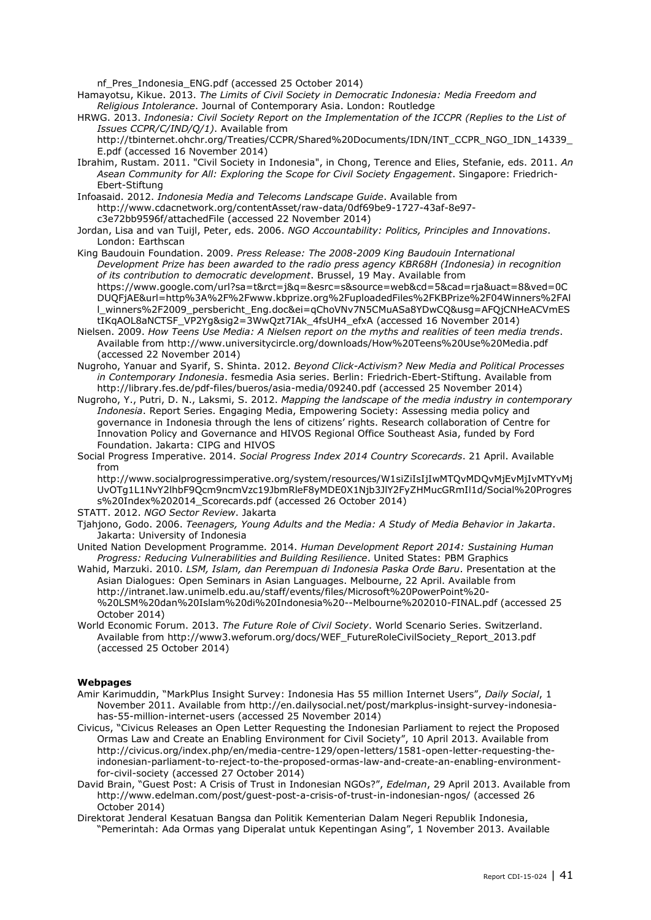nf\_Pres\_Indonesia\_ENG.pdf (accessed 25 October 2014)

- Hamayotsu, Kikue. 2013. *The Limits of Civil Society in Democratic Indonesia: Media Freedom and Religious Intolerance*. Journal of Contemporary Asia. London: Routledge
- HRWG. 2013. *Indonesia: Civil Society Report on the Implementation of the ICCPR (Replies to the List of Issues CCPR/C/IND/Q/1)*. Available from

http://tbinternet.ohchr.org/Treaties/CCPR/Shared%20Documents/IDN/INT\_CCPR\_NGO\_IDN\_14339\_ E.pdf (accessed 16 November 2014)

Ibrahim, Rustam. 2011. "Civil Society in Indonesia", in Chong, Terence and Elies, Stefanie, eds. 2011. *An Asean Community for All: Exploring the Scope for Civil Society Engagement*. Singapore: Friedrich-Ebert-Stiftung

Infoasaid. 2012. *Indonesia Media and Telecoms Landscape Guide*. Available from http://www.cdacnetwork.org/contentAsset/raw-data/0df69be9-1727-43af-8e97 c3e72bb9596f/attachedFile (accessed 22 November 2014)

Jordan, Lisa and van Tuijl, Peter, eds. 2006. *NGO Accountability: Politics, Principles and Innovations*. London: Earthscan

King Baudouin Foundation. 2009. *Press Release: The 2008-2009 King Baudouin International Development Prize has been awarded to the radio press agency KBR68H (Indonesia) in recognition of its contribution to democratic development*. Brussel, 19 May. Available from https://www.google.com/url?sa=t&rct=j&q=&esrc=s&source=web&cd=5&cad=rja&uact=8&ved=0C DUQFjAE&url=http%3A%2F%2Fwww.kbprize.org%2FuploadedFiles%2FKBPrize%2F04Winners%2FAl l\_winners%2F2009\_persbericht\_Eng.doc&ei=qChoVNv7N5CMuASa8YDwCQ&usg=AFQjCNHeACVmES tIKqAOL8aNCTSF\_VP2Yg&sig2=3WwQzt7IAk\_4fsUH4\_efxA (accessed 16 November 2014)

Nielsen. 2009. *How Teens Use Media: A Nielsen report on the myths and realities of teen media trends*. Available from http://www.universitycircle.org/downloads/How%20Teens%20Use%20Media.pdf (accessed 22 November 2014)

- Nugroho, Yanuar and Syarif, S. Shinta. 2012. *Beyond Click-Activism? New Media and Political Processes in Contemporary Indonesia*. fesmedia Asia series. Berlin: Friedrich-Ebert-Stiftung. Available from http://library.fes.de/pdf-files/bueros/asia-media/09240.pdf (accessed 25 November 2014)
- Nugroho, Y., Putri, D. N., Laksmi, S. 2012. *Mapping the landscape of the media industry in contemporary Indonesia*. Report Series. Engaging Media, Empowering Society: Assessing media policy and governance in Indonesia through the lens of citizens' rights. Research collaboration of Centre for Innovation Policy and Governance and HIVOS Regional Office Southeast Asia, funded by Ford Foundation. Jakarta: CIPG and HIVOS
- Social Progress Imperative. 2014. *Social Progress Index 2014 Country Scorecards*. 21 April. Available from

http://www.socialprogressimperative.org/system/resources/W1siZiIsIjIwMTQvMDQvMjEvMjIvMTYvMj UvOTg1L1NvY2lhbF9Qcm9ncmVzc19JbmRleF8yMDE0X1Njb3JlY2FyZHMucGRmIl1d/Social%20Progres s%20Index%202014\_Scorecards.pdf (accessed 26 October 2014)

- STATT. 2012. *NGO Sector Review*. Jakarta
- Tjahjono, Godo. 2006. *Teenagers, Young Adults and the Media: A Study of Media Behavior in Jakarta*. Jakarta: University of Indonesia
- United Nation Development Programme. 2014. *Human Development Report 2014: Sustaining Human Progress: Reducing Vulnerabilities and Building Resilience*. United States: PBM Graphics
- Wahid, Marzuki. 2010. *LSM, Islam, dan Perempuan di Indonesia Paska Orde Baru*. Presentation at the Asian Dialogues: Open Seminars in Asian Languages. Melbourne, 22 April. Available from http://intranet.law.unimelb.edu.au/staff/events/files/Microsoft%20PowerPoint%20- %20LSM%20dan%20Islam%20di%20Indonesia%20--Melbourne%202010-FINAL.pdf (accessed 25 October 2014)
- World Economic Forum. 2013. *The Future Role of Civil Society*. World Scenario Series. Switzerland. Available from http://www3.weforum.org/docs/WEF\_FutureRoleCivilSociety\_Report\_2013.pdf (accessed 25 October 2014)

#### **Webpages**

- Amir Karimuddin, "MarkPlus Insight Survey: Indonesia Has 55 million Internet Users", *Daily Social*, 1 November 2011. Available from http://en.dailysocial.net/post/markplus-insight-survey-indonesiahas-55-million-internet-users (accessed 25 November 2014)
- Civicus, "Civicus Releases an Open Letter Requesting the Indonesian Parliament to reject the Proposed Ormas Law and Create an Enabling Environment for Civil Society", 10 April 2013. Available from http://civicus.org/index.php/en/media-centre-129/open-letters/1581-open-letter-requesting-theindonesian-parliament-to-reject-to-the-proposed-ormas-law-and-create-an-enabling-environmentfor-civil-society (accessed 27 October 2014)
- David Brain, "Guest Post: A Crisis of Trust in Indonesian NGOs?", *Edelman*, 29 April 2013. Available from http://www.edelman.com/post/guest-post-a-crisis-of-trust-in-indonesian-ngos/ (accessed 26 October 2014)
- Direktorat Jenderal Kesatuan Bangsa dan Politik Kementerian Dalam Negeri Republik Indonesia, "Pemerintah: Ada Ormas yang Diperalat untuk Kepentingan Asing", 1 November 2013. Available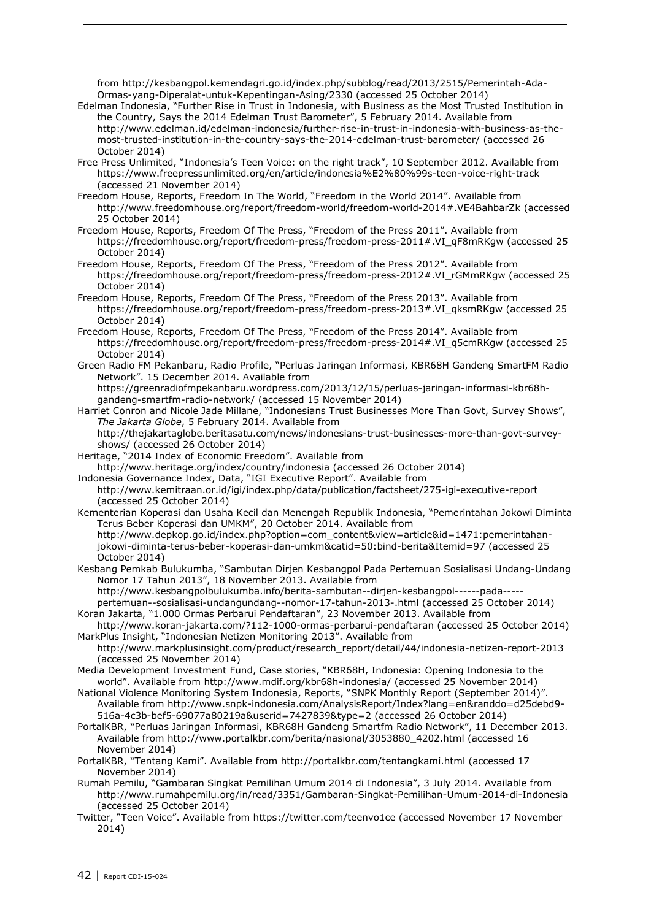from http://kesbangpol.kemendagri.go.id/index.php/subblog/read/2013/2515/Pemerintah-Ada-Ormas-yang-Diperalat-untuk-Kepentingan-Asing/2330 (accessed 25 October 2014)

- Edelman Indonesia, "Further Rise in Trust in Indonesia, with Business as the Most Trusted Institution in the Country, Says the 2014 Edelman Trust Barometer", 5 February 2014. Available from http://www.edelman.id/edelman-indonesia/further-rise-in-trust-in-indonesia-with-business-as-themost-trusted-institution-in-the-country-says-the-2014-edelman-trust-barometer/ (accessed 26 October 2014)
- Free Press Unlimited, "Indonesia's Teen Voice: on the right track", 10 September 2012. Available from https://www.freepressunlimited.org/en/article/indonesia%E2%80%99s-teen-voice-right-track (accessed 21 November 2014)
- Freedom House, Reports, Freedom In The World, "Freedom in the World 2014". Available from http://www.freedomhouse.org/report/freedom-world/freedom-world-2014#.VE4BahbarZk (accessed 25 October 2014)
- Freedom House, Reports, Freedom Of The Press, "Freedom of the Press 2011". Available from https://freedomhouse.org/report/freedom-press/freedom-press-2011#.VI\_qF8mRKgw (accessed 25 October 2014)
- Freedom House, Reports, Freedom Of The Press, "Freedom of the Press 2012". Available from https://freedomhouse.org/report/freedom-press/freedom-press-2012#.VI\_rGMmRKgw (accessed 25 October 2014)
- Freedom House, Reports, Freedom Of The Press, "Freedom of the Press 2013". Available from https://freedomhouse.org/report/freedom-press/freedom-press-2013#.VI\_qksmRKgw (accessed 25 October 2014)
- Freedom House, Reports, Freedom Of The Press, "Freedom of the Press 2014". Available from https://freedomhouse.org/report/freedom-press/freedom-press-2014#.VI\_q5cmRKgw (accessed 25 October 2014)
- Green Radio FM Pekanbaru, Radio Profile, "Perluas Jaringan Informasi, KBR68H Gandeng SmartFM Radio Network". 15 December 2014. Available from

https://greenradiofmpekanbaru.wordpress.com/2013/12/15/perluas-jaringan-informasi-kbr68hgandeng-smartfm-radio-network/ (accessed 15 November 2014)

- Harriet Conron and Nicole Jade Millane, "Indonesians Trust Businesses More Than Govt, Survey Shows", *The Jakarta Globe*, 5 February 2014. Available from
	- http://thejakartaglobe.beritasatu.com/news/indonesians-trust-businesses-more-than-govt-surveyshows/ (accessed 26 October 2014)
- Heritage, "2014 Index of Economic Freedom". Available from
- http://www.heritage.org/index/country/indonesia (accessed 26 October 2014)
- Indonesia Governance Index, Data, "IGI Executive Report". Available from
- http://www.kemitraan.or.id/igi/index.php/data/publication/factsheet/275-igi-executive-report (accessed 25 October 2014)
- Kementerian Koperasi dan Usaha Kecil dan Menengah Republik Indonesia, "Pemerintahan Jokowi Diminta Terus Beber Koperasi dan UMKM", 20 October 2014. Available from http://www.depkop.go.id/index.php?option=com\_content&view=article&id=1471:pemerintahan-
- jokowi-diminta-terus-beber-koperasi-dan-umkm&catid=50:bind-berita&Itemid=97 (accessed 25 October 2014)
- Kesbang Pemkab Bulukumba, "Sambutan Dirjen Kesbangpol Pada Pertemuan Sosialisasi Undang-Undang Nomor 17 Tahun 2013", 18 November 2013. Available from

http://www.kesbangpolbulukumba.info/berita-sambutan--dirjen-kesbangpol------pada---- pertemuan--sosialisasi-undangundang--nomor-17-tahun-2013-.html (accessed 25 October 2014)

- Koran Jakarta, "1.000 Ormas Perbarui Pendaftaran", 23 November 2013. Available from http://www.koran-jakarta.com/?112-1000-ormas-perbarui-pendaftaran (accessed 25 October 2014)
- MarkPlus Insight, "Indonesian Netizen Monitoring 2013". Available from http://www.markplusinsight.com/product/research\_report/detail/44/indonesia-netizen-report-2013 (accessed 25 November 2014)
- Media Development Investment Fund, Case stories, "KBR68H, Indonesia: Opening Indonesia to the world". Available from http://www.mdif.org/kbr68h-indonesia/ (accessed 25 November 2014)
- National Violence Monitoring System Indonesia, Reports, "SNPK Monthly Report (September 2014)". Available from http://www.snpk-indonesia.com/AnalysisReport/Index?lang=en&randdo=d25debd9- 516a-4c3b-bef5-69077a80219a&userid=7427839&type=2 (accessed 26 October 2014)
- PortalKBR, "Perluas Jaringan Informasi, KBR68H Gandeng Smartfm Radio Network", 11 December 2013. Available from http://www.portalkbr.com/berita/nasional/3053880\_4202.html (accessed 16 November 2014)
- PortalKBR, "Tentang Kami". Available from http://portalkbr.com/tentangkami.html (accessed 17 November 2014)
- Rumah Pemilu, "Gambaran Singkat Pemilihan Umum 2014 di Indonesia", 3 July 2014. Available from http://www.rumahpemilu.org/in/read/3351/Gambaran-Singkat-Pemilihan-Umum-2014-di-Indonesia (accessed 25 October 2014)
- Twitter, "Teen Voice". Available from https://twitter.com/teenvo1ce (accessed November 17 November 2014)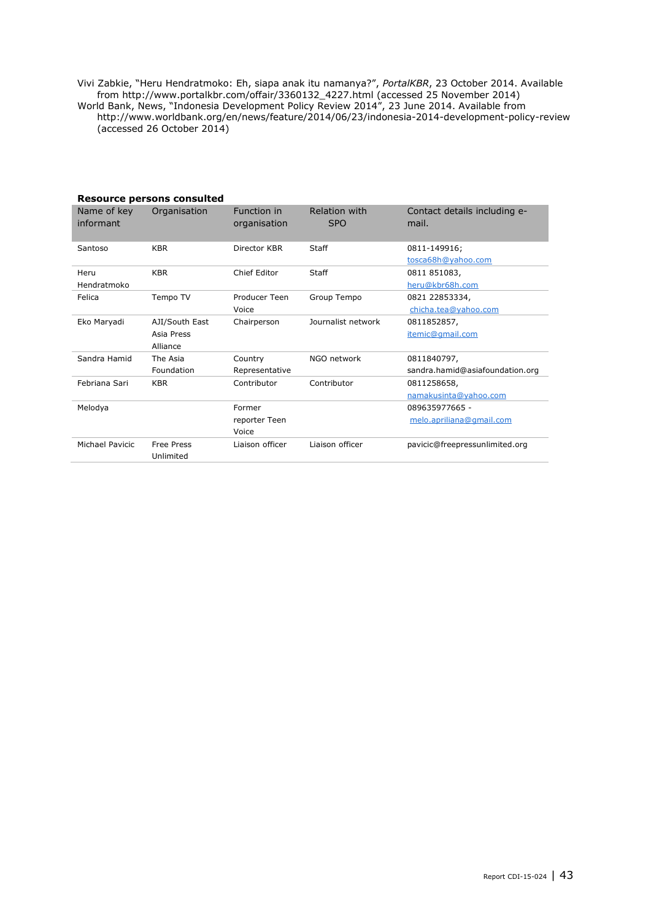Vivi Zabkie, "Heru Hendratmoko: Eh, siapa anak itu namanya?", *PortalKBR*, 23 October 2014. Available from http://www.portalkbr.com/offair/3360132\_4227.html (accessed 25 November 2014) World Bank, News, "Indonesia Development Policy Review 2014", 23 June 2014. Available from http://www.worldbank.org/en/news/feature/2014/06/23/indonesia-2014-development-policy-review (accessed 26 October 2014)

|                          | Resource persons consulted               |                                  |                             |                                                |
|--------------------------|------------------------------------------|----------------------------------|-----------------------------|------------------------------------------------|
| Name of key<br>informant | Organisation                             | Function in<br>organisation      | Relation with<br><b>SPO</b> | Contact details including e-<br>mail.          |
| Santoso                  | <b>KBR</b>                               | Director KBR                     | <b>Staff</b>                | 0811-149916;<br>tosca68h@yahoo.com             |
| Heru<br>Hendratmoko      | <b>KBR</b>                               | Chief Editor                     | Staff                       | 0811 851083,<br>heru@kbr68h.com                |
| Felica                   | Tempo TV                                 | Producer Teen<br>Voice           | Group Tempo                 | 0821 22853334,<br>chicha.tea@yahoo.com         |
| Eko Maryadi              | AJI/South East<br>Asia Press<br>Alliance | Chairperson                      | Journalist network          | 0811852857,<br>itemic@gmail.com                |
| Sandra Hamid             | The Asia<br>Foundation                   | Country<br>Representative        | NGO network                 | 0811840797,<br>sandra.hamid@asiafoundation.org |
| Febriana Sari            | <b>KBR</b>                               | Contributor                      | Contributor                 | 0811258658,<br>namakusinta@yahoo.com           |
| Melodva                  |                                          | Former<br>reporter Teen<br>Voice |                             | 089635977665 -<br>melo.apriliana@gmail.com     |
| Michael Pavicic          | <b>Free Press</b><br>Unlimited           | Liaison officer                  | Liaison officer             | pavicic@freepressunlimited.org                 |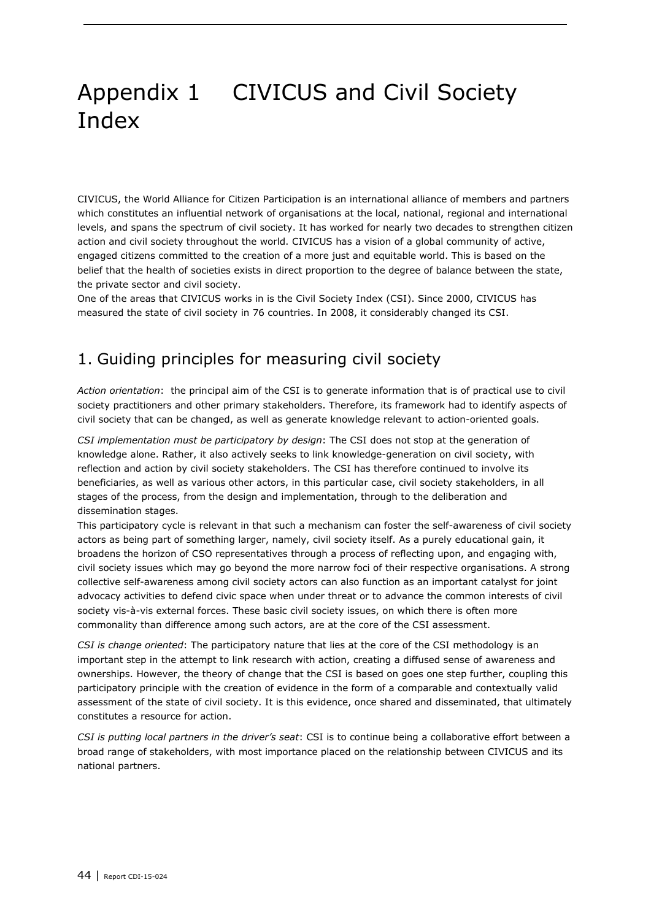## Appendix 1 CIVICUS and Civil Society Index

CIVICUS, the World Alliance for Citizen Participation is an international alliance of members and partners which constitutes an influential network of organisations at the local, national, regional and international levels, and spans the spectrum of civil society. It has worked for nearly two decades to strengthen citizen action and civil society throughout the world. CIVICUS has a vision of a global community of active, engaged citizens committed to the creation of a more just and equitable world. This is based on the belief that the health of societies exists in direct proportion to the degree of balance between the state, the private sector and civil society.

One of the areas that CIVICUS works in is the Civil Society Index (CSI). Since 2000, CIVICUS has measured the state of civil society in 76 countries. In 2008, it considerably changed its CSI.

### 1. Guiding principles for measuring civil society

*Action orientation*: the principal aim of the CSI is to generate information that is of practical use to civil society practitioners and other primary stakeholders. Therefore, its framework had to identify aspects of civil society that can be changed, as well as generate knowledge relevant to action-oriented goals.

*CSI implementation must be participatory by design*: The CSI does not stop at the generation of knowledge alone. Rather, it also actively seeks to link knowledge-generation on civil society, with reflection and action by civil society stakeholders. The CSI has therefore continued to involve its beneficiaries, as well as various other actors, in this particular case, civil society stakeholders, in all stages of the process, from the design and implementation, through to the deliberation and dissemination stages.

This participatory cycle is relevant in that such a mechanism can foster the self-awareness of civil society actors as being part of something larger, namely, civil society itself. As a purely educational gain, it broadens the horizon of CSO representatives through a process of reflecting upon, and engaging with, civil society issues which may go beyond the more narrow foci of their respective organisations. A strong collective self-awareness among civil society actors can also function as an important catalyst for joint advocacy activities to defend civic space when under threat or to advance the common interests of civil society vis-à-vis external forces. These basic civil society issues, on which there is often more commonality than difference among such actors, are at the core of the CSI assessment.

*CSI is change oriented*: The participatory nature that lies at the core of the CSI methodology is an important step in the attempt to link research with action, creating a diffused sense of awareness and ownerships. However, the theory of change that the CSI is based on goes one step further, coupling this participatory principle with the creation of evidence in the form of a comparable and contextually valid assessment of the state of civil society. It is this evidence, once shared and disseminated, that ultimately constitutes a resource for action.

*CSI is putting local partners in the driver's seat*: CSI is to continue being a collaborative effort between a broad range of stakeholders, with most importance placed on the relationship between CIVICUS and its national partners.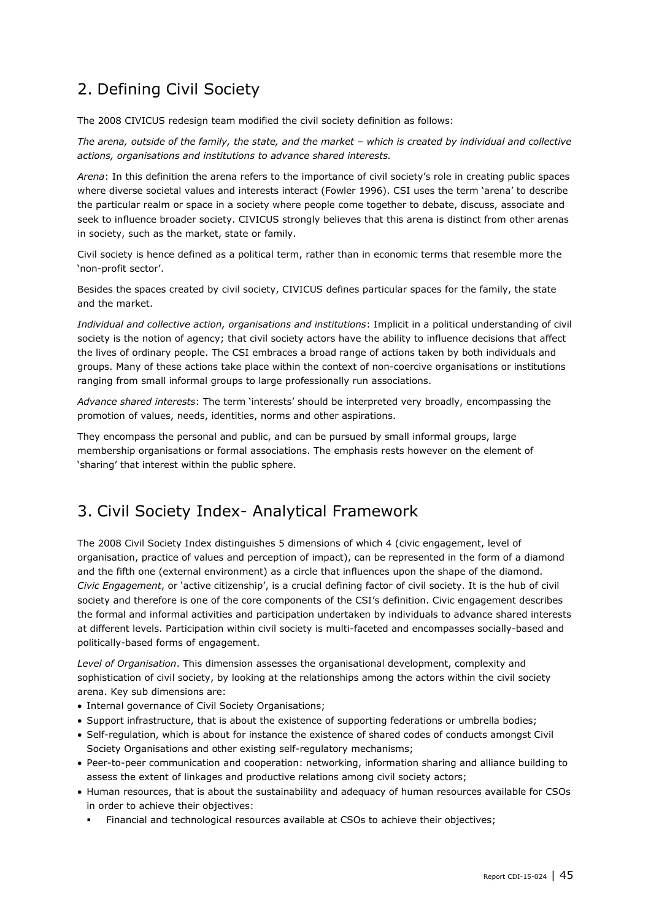### 2. Defining Civil Society

The 2008 CIVICUS redesign team modified the civil society definition as follows:

*The arena, outside of the family, the state, and the market – which is created by individual and collective actions, organisations and institutions to advance shared interests.*

*Arena*: In this definition the arena refers to the importance of civil society's role in creating public spaces where diverse societal values and interests interact (Fowler 1996). CSI uses the term 'arena' to describe the particular realm or space in a society where people come together to debate, discuss, associate and seek to influence broader society. CIVICUS strongly believes that this arena is distinct from other arenas in society, such as the market, state or family.

Civil society is hence defined as a political term, rather than in economic terms that resemble more the 'non-profit sector'.

Besides the spaces created by civil society, CIVICUS defines particular spaces for the family, the state and the market.

*Individual and collective action, organisations and institutions*: Implicit in a political understanding of civil society is the notion of agency; that civil society actors have the ability to influence decisions that affect the lives of ordinary people. The CSI embraces a broad range of actions taken by both individuals and groups. Many of these actions take place within the context of non-coercive organisations or institutions ranging from small informal groups to large professionally run associations.

*Advance shared interests*: The term 'interests' should be interpreted very broadly, encompassing the promotion of values, needs, identities, norms and other aspirations.

They encompass the personal and public, and can be pursued by small informal groups, large membership organisations or formal associations. The emphasis rests however on the element of 'sharing' that interest within the public sphere.

### 3. Civil Society Index- Analytical Framework

The 2008 Civil Society Index distinguishes 5 dimensions of which 4 (civic engagement, level of organisation, practice of values and perception of impact), can be represented in the form of a diamond and the fifth one (external environment) as a circle that influences upon the shape of the diamond. *Civic Engagement*, or 'active citizenship', is a crucial defining factor of civil society. It is the hub of civil society and therefore is one of the core components of the CSI's definition. Civic engagement describes the formal and informal activities and participation undertaken by individuals to advance shared interests at different levels. Participation within civil society is multi-faceted and encompasses socially-based and politically-based forms of engagement.

*Level of Organisation*. This dimension assesses the organisational development, complexity and sophistication of civil society, by looking at the relationships among the actors within the civil society arena. Key sub dimensions are:

- Internal governance of Civil Society Organisations;
- Support infrastructure, that is about the existence of supporting federations or umbrella bodies;
- Self-regulation, which is about for instance the existence of shared codes of conducts amongst Civil Society Organisations and other existing self-regulatory mechanisms;
- Peer-to-peer communication and cooperation: networking, information sharing and alliance building to assess the extent of linkages and productive relations among civil society actors;
- Human resources, that is about the sustainability and adequacy of human resources available for CSOs in order to achieve their objectives:
	- Financial and technological resources available at CSOs to achieve their objectives;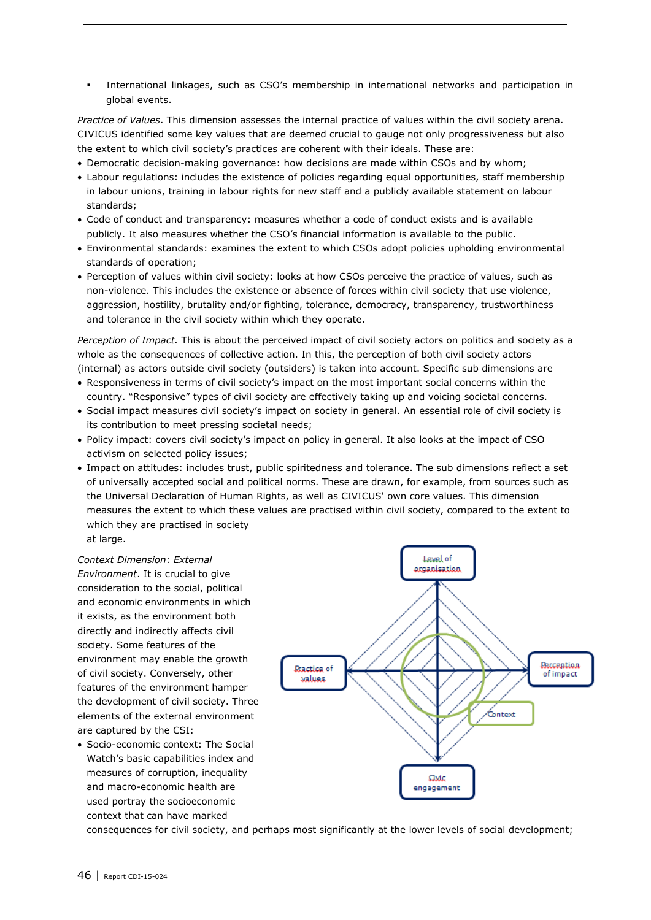International linkages, such as CSO's membership in international networks and participation in global events.

*Practice of Values*. This dimension assesses the internal practice of values within the civil society arena. CIVICUS identified some key values that are deemed crucial to gauge not only progressiveness but also the extent to which civil society's practices are coherent with their ideals. These are:

- Democratic decision-making governance: how decisions are made within CSOs and by whom;
- Labour regulations: includes the existence of policies regarding equal opportunities, staff membership in labour unions, training in labour rights for new staff and a publicly available statement on labour standards;
- Code of conduct and transparency: measures whether a code of conduct exists and is available publicly. It also measures whether the CSO's financial information is available to the public.
- Environmental standards: examines the extent to which CSOs adopt policies upholding environmental standards of operation;
- Perception of values within civil society: looks at how CSOs perceive the practice of values, such as non-violence. This includes the existence or absence of forces within civil society that use violence, aggression, hostility, brutality and/or fighting, tolerance, democracy, transparency, trustworthiness and tolerance in the civil society within which they operate.

*Perception of Impact.* This is about the perceived impact of civil society actors on politics and society as a whole as the consequences of collective action. In this, the perception of both civil society actors (internal) as actors outside civil society (outsiders) is taken into account. Specific sub dimensions are

- Responsiveness in terms of civil society's impact on the most important social concerns within the country. "Responsive" types of civil society are effectively taking up and voicing societal concerns.
- Social impact measures civil society's impact on society in general. An essential role of civil society is its contribution to meet pressing societal needs;
- Policy impact: covers civil society's impact on policy in general. It also looks at the impact of CSO activism on selected policy issues;
- Impact on attitudes: includes trust, public spiritedness and tolerance. The sub dimensions reflect a set of universally accepted social and political norms. These are drawn, for example, from sources such as the Universal Declaration of Human Rights, as well as CIVICUS' own core values. This dimension measures the extent to which these values are practised within civil society, compared to the extent to which they are practised in society at large.

*Context Dimension*: *External Environment*. It is crucial to give consideration to the social, political and economic environments in which it exists, as the environment both directly and indirectly affects civil society. Some features of the environment may enable the growth of civil society. Conversely, other features of the environment hamper the development of civil society. Three elements of the external environment are captured by the CSI:

 Socio-economic context: The Social Watch's basic capabilities index and measures of corruption, inequality and macro-economic health are used portray the socioeconomic context that can have marked



consequences for civil society, and perhaps most significantly at the lower levels of social development;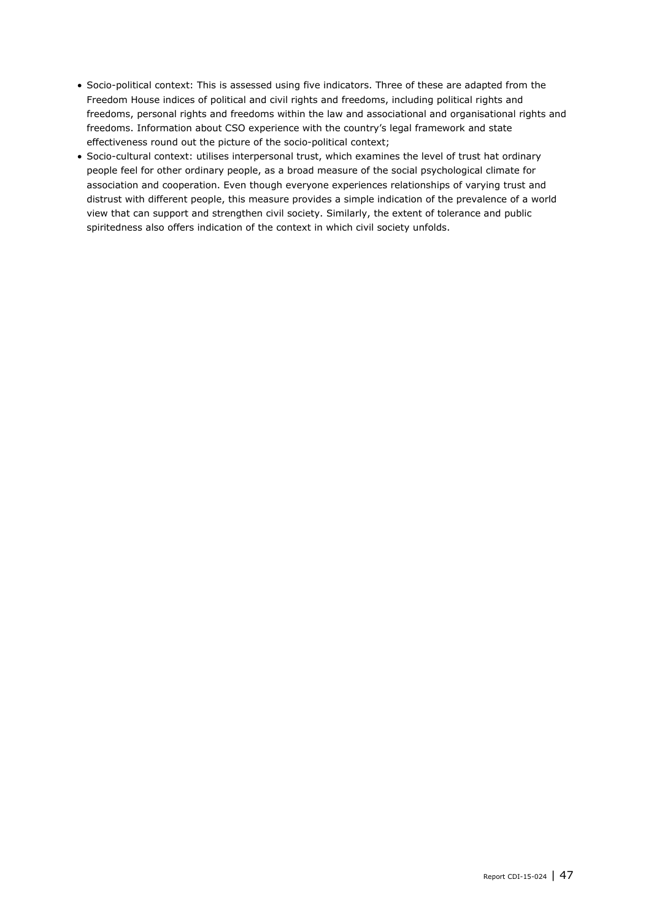- Socio-political context: This is assessed using five indicators. Three of these are adapted from the Freedom House indices of political and civil rights and freedoms, including political rights and freedoms, personal rights and freedoms within the law and associational and organisational rights and freedoms. Information about CSO experience with the country's legal framework and state effectiveness round out the picture of the socio-political context;
- Socio-cultural context: utilises interpersonal trust, which examines the level of trust hat ordinary people feel for other ordinary people, as a broad measure of the social psychological climate for association and cooperation. Even though everyone experiences relationships of varying trust and distrust with different people, this measure provides a simple indication of the prevalence of a world view that can support and strengthen civil society. Similarly, the extent of tolerance and public spiritedness also offers indication of the context in which civil society unfolds.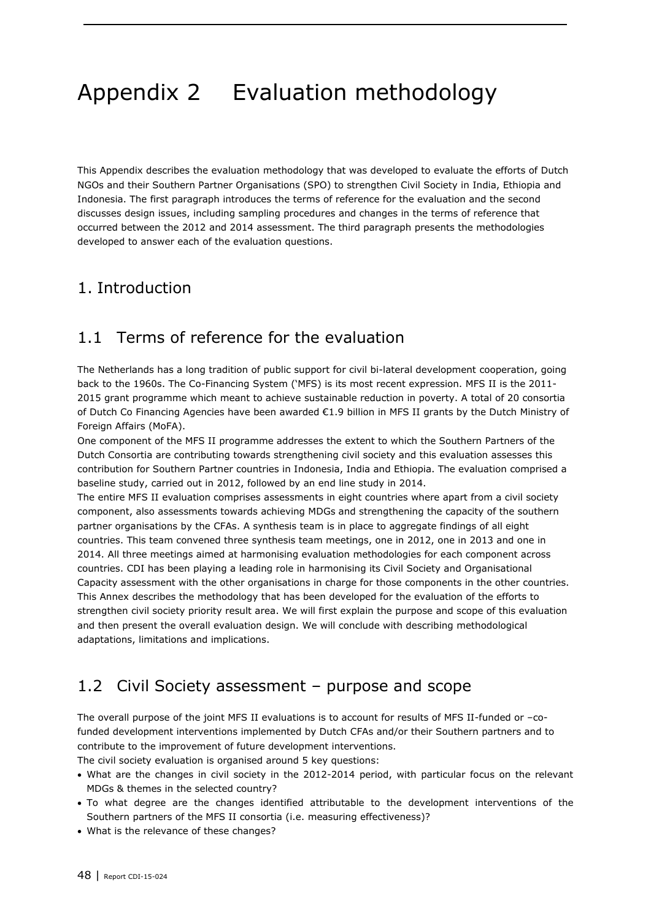## Appendix 2 Evaluation methodology

This Appendix describes the evaluation methodology that was developed to evaluate the efforts of Dutch NGOs and their Southern Partner Organisations (SPO) to strengthen Civil Society in India, Ethiopia and Indonesia. The first paragraph introduces the terms of reference for the evaluation and the second discusses design issues, including sampling procedures and changes in the terms of reference that occurred between the 2012 and 2014 assessment. The third paragraph presents the methodologies developed to answer each of the evaluation questions.

### 1. Introduction

### 1.1 Terms of reference for the evaluation

The Netherlands has a long tradition of public support for civil bi-lateral development cooperation, going back to the 1960s. The Co-Financing System ('MFS) is its most recent expression. MFS II is the 2011- 2015 grant programme which meant to achieve sustainable reduction in poverty. A total of 20 consortia of Dutch Co Financing Agencies have been awarded €1.9 billion in MFS II grants by the Dutch Ministry of Foreign Affairs (MoFA).

One component of the MFS II programme addresses the extent to which the Southern Partners of the Dutch Consortia are contributing towards strengthening civil society and this evaluation assesses this contribution for Southern Partner countries in Indonesia, India and Ethiopia. The evaluation comprised a baseline study, carried out in 2012, followed by an end line study in 2014.

The entire MFS II evaluation comprises assessments in eight countries where apart from a civil society component, also assessments towards achieving MDGs and strengthening the capacity of the southern partner organisations by the CFAs. A synthesis team is in place to aggregate findings of all eight countries. This team convened three synthesis team meetings, one in 2012, one in 2013 and one in 2014. All three meetings aimed at harmonising evaluation methodologies for each component across countries. CDI has been playing a leading role in harmonising its Civil Society and Organisational Capacity assessment with the other organisations in charge for those components in the other countries. This Annex describes the methodology that has been developed for the evaluation of the efforts to strengthen civil society priority result area. We will first explain the purpose and scope of this evaluation and then present the overall evaluation design. We will conclude with describing methodological adaptations, limitations and implications.

### 1.2 Civil Society assessment – purpose and scope

The overall purpose of the joint MFS II evaluations is to account for results of MFS II-funded or –cofunded development interventions implemented by Dutch CFAs and/or their Southern partners and to contribute to the improvement of future development interventions. The civil society evaluation is organised around 5 key questions:

 What are the changes in civil society in the 2012-2014 period, with particular focus on the relevant MDGs & themes in the selected country?

- To what degree are the changes identified attributable to the development interventions of the Southern partners of the MFS II consortia (i.e. measuring effectiveness)?
- What is the relevance of these changes?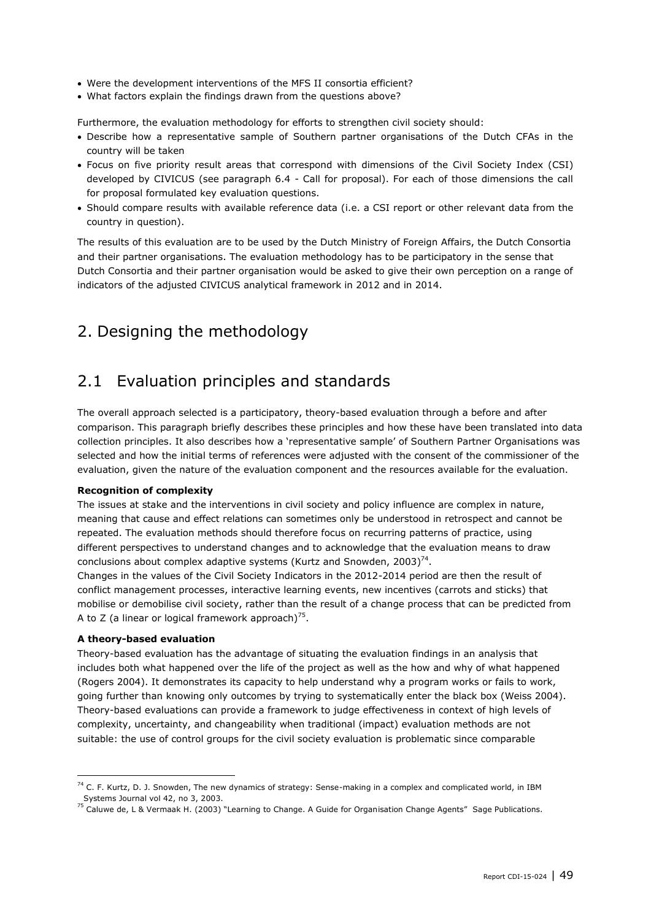- Were the development interventions of the MFS II consortia efficient?
- What factors explain the findings drawn from the questions above?

Furthermore, the evaluation methodology for efforts to strengthen civil society should:

- Describe how a representative sample of Southern partner organisations of the Dutch CFAs in the country will be taken
- Focus on five priority result areas that correspond with dimensions of the Civil Society Index (CSI) developed by CIVICUS (see paragraph 6.4 - Call for proposal). For each of those dimensions the call for proposal formulated key evaluation questions.
- Should compare results with available reference data (i.e. a CSI report or other relevant data from the country in question).

The results of this evaluation are to be used by the Dutch Ministry of Foreign Affairs, the Dutch Consortia and their partner organisations. The evaluation methodology has to be participatory in the sense that Dutch Consortia and their partner organisation would be asked to give their own perception on a range of indicators of the adjusted CIVICUS analytical framework in 2012 and in 2014.

### 2. Designing the methodology

### 2.1 Evaluation principles and standards

The overall approach selected is a participatory, theory-based evaluation through a before and after comparison. This paragraph briefly describes these principles and how these have been translated into data collection principles. It also describes how a 'representative sample' of Southern Partner Organisations was selected and how the initial terms of references were adjusted with the consent of the commissioner of the evaluation, given the nature of the evaluation component and the resources available for the evaluation.

#### **Recognition of complexity**

The issues at stake and the interventions in civil society and policy influence are complex in nature, meaning that cause and effect relations can sometimes only be understood in retrospect and cannot be repeated. The evaluation methods should therefore focus on recurring patterns of practice, using different perspectives to understand changes and to acknowledge that the evaluation means to draw conclusions about complex adaptive systems (Kurtz and Snowden, 2003)<sup>74</sup>.

Changes in the values of the Civil Society Indicators in the 2012-2014 period are then the result of conflict management processes, interactive learning events, new incentives (carrots and sticks) that mobilise or demobilise civil society, rather than the result of a change process that can be predicted from A to Z (a linear or logical framework approach)<sup>75</sup>.

#### **A theory-based evaluation**

-

Theory-based evaluation has the advantage of situating the evaluation findings in an analysis that includes both what happened over the life of the project as well as the how and why of what happened (Rogers 2004). It demonstrates its capacity to help understand why a program works or fails to work, going further than knowing only outcomes by trying to systematically enter the black box (Weiss 2004). Theory-based evaluations can provide a framework to judge effectiveness in context of high levels of complexity, uncertainty, and changeability when traditional (impact) evaluation methods are not suitable: the use of control groups for the civil society evaluation is problematic since comparable

 $74$  C. F. Kurtz, D. J. Snowden, The new dynamics of strategy: Sense-making in a complex and complicated world, in IBM Systems Journal vol 42, no 3, 2003.

<sup>75</sup> Caluwe de, L & Vermaak H. (2003) "Learning to Change. A Guide for Organisation Change Agents" Sage Publications.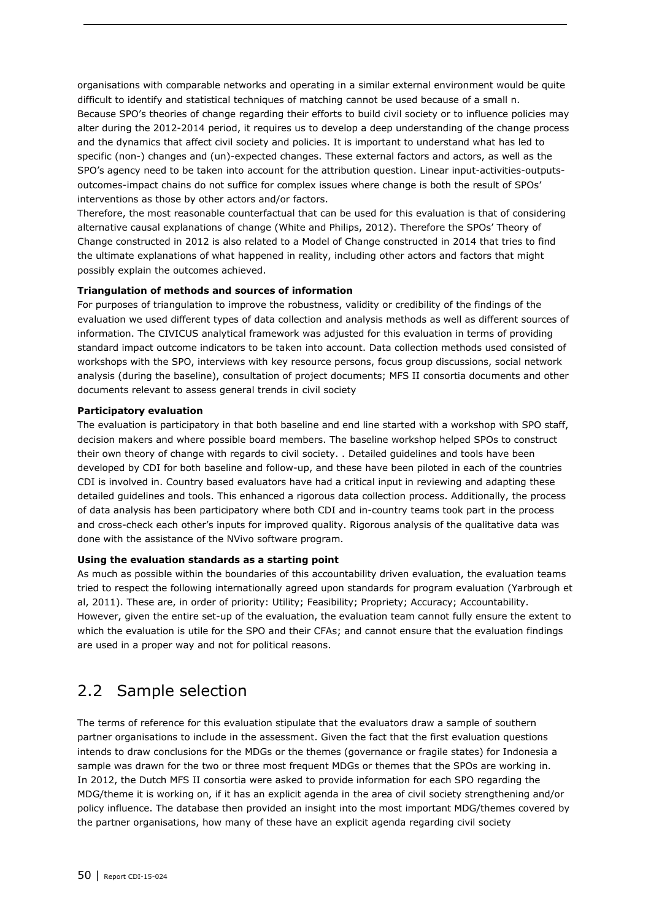organisations with comparable networks and operating in a similar external environment would be quite difficult to identify and statistical techniques of matching cannot be used because of a small n. Because SPO's theories of change regarding their efforts to build civil society or to influence policies may alter during the 2012-2014 period, it requires us to develop a deep understanding of the change process and the dynamics that affect civil society and policies. It is important to understand what has led to specific (non-) changes and (un)-expected changes. These external factors and actors, as well as the SPO's agency need to be taken into account for the attribution question. Linear input-activities-outputsoutcomes-impact chains do not suffice for complex issues where change is both the result of SPOs' interventions as those by other actors and/or factors.

Therefore, the most reasonable counterfactual that can be used for this evaluation is that of considering alternative causal explanations of change (White and Philips, 2012). Therefore the SPOs' Theory of Change constructed in 2012 is also related to a Model of Change constructed in 2014 that tries to find the ultimate explanations of what happened in reality, including other actors and factors that might possibly explain the outcomes achieved.

### **Triangulation of methods and sources of information**

For purposes of triangulation to improve the robustness, validity or credibility of the findings of the evaluation we used different types of data collection and analysis methods as well as different sources of information. The CIVICUS analytical framework was adjusted for this evaluation in terms of providing standard impact outcome indicators to be taken into account. Data collection methods used consisted of workshops with the SPO, interviews with key resource persons, focus group discussions, social network analysis (during the baseline), consultation of project documents; MFS II consortia documents and other documents relevant to assess general trends in civil society

#### **Participatory evaluation**

The evaluation is participatory in that both baseline and end line started with a workshop with SPO staff, decision makers and where possible board members. The baseline workshop helped SPOs to construct their own theory of change with regards to civil society. . Detailed guidelines and tools have been developed by CDI for both baseline and follow-up, and these have been piloted in each of the countries CDI is involved in. Country based evaluators have had a critical input in reviewing and adapting these detailed guidelines and tools. This enhanced a rigorous data collection process. Additionally, the process of data analysis has been participatory where both CDI and in-country teams took part in the process and cross-check each other's inputs for improved quality. Rigorous analysis of the qualitative data was done with the assistance of the NVivo software program.

#### **Using the evaluation standards as a starting point**

As much as possible within the boundaries of this accountability driven evaluation, the evaluation teams tried to respect the following internationally agreed upon standards for program evaluation (Yarbrough et al, 2011). These are, in order of priority: Utility; Feasibility; Propriety; Accuracy; Accountability. However, given the entire set-up of the evaluation, the evaluation team cannot fully ensure the extent to which the evaluation is utile for the SPO and their CFAs; and cannot ensure that the evaluation findings are used in a proper way and not for political reasons.

### 2.2 Sample selection

The terms of reference for this evaluation stipulate that the evaluators draw a sample of southern partner organisations to include in the assessment. Given the fact that the first evaluation questions intends to draw conclusions for the MDGs or the themes (governance or fragile states) for Indonesia a sample was drawn for the two or three most frequent MDGs or themes that the SPOs are working in. In 2012, the Dutch MFS II consortia were asked to provide information for each SPO regarding the MDG/theme it is working on, if it has an explicit agenda in the area of civil society strengthening and/or policy influence. The database then provided an insight into the most important MDG/themes covered by the partner organisations, how many of these have an explicit agenda regarding civil society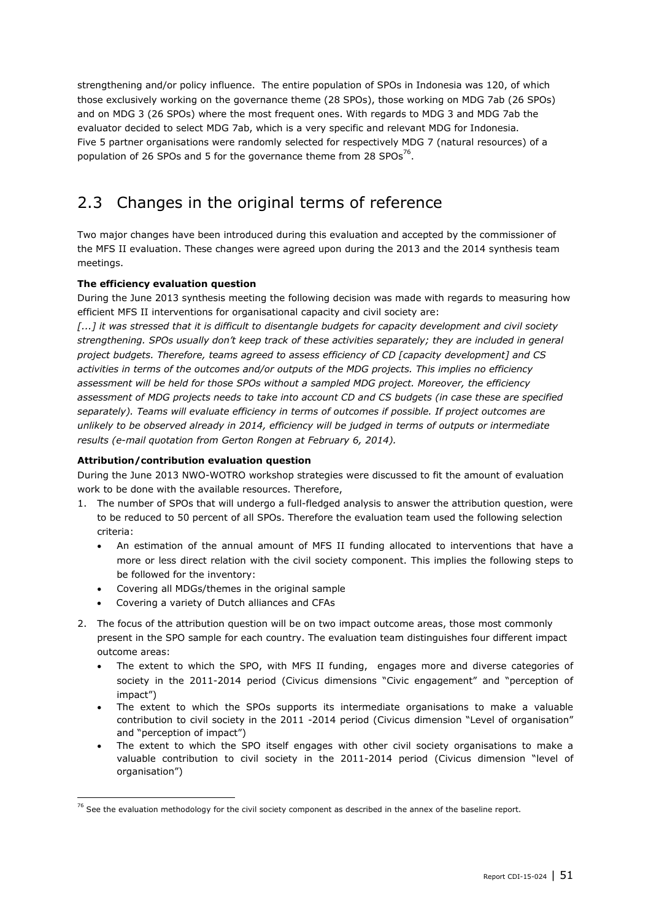strengthening and/or policy influence. The entire population of SPOs in Indonesia was 120, of which those exclusively working on the governance theme (28 SPOs), those working on MDG 7ab (26 SPOs) and on MDG 3 (26 SPOs) where the most frequent ones. With regards to MDG 3 and MDG 7ab the evaluator decided to select MDG 7ab, which is a very specific and relevant MDG for Indonesia. Five 5 partner organisations were randomly selected for respectively MDG 7 (natural resources) of a population of 26 SPOs and 5 for the governance theme from 28 SPOs<sup>76</sup>.

### 2.3 Changes in the original terms of reference

Two major changes have been introduced during this evaluation and accepted by the commissioner of the MFS II evaluation. These changes were agreed upon during the 2013 and the 2014 synthesis team meetings.

### **The efficiency evaluation question**

During the June 2013 synthesis meeting the following decision was made with regards to measuring how efficient MFS II interventions for organisational capacity and civil society are:

*[...] it was stressed that it is difficult to disentangle budgets for capacity development and civil society strengthening. SPOs usually don't keep track of these activities separately; they are included in general project budgets. Therefore, teams agreed to assess efficiency of CD [capacity development] and CS activities in terms of the outcomes and/or outputs of the MDG projects. This implies no efficiency assessment will be held for those SPOs without a sampled MDG project. Moreover, the efficiency assessment of MDG projects needs to take into account CD and CS budgets (in case these are specified separately). Teams will evaluate efficiency in terms of outcomes if possible. If project outcomes are unlikely to be observed already in 2014, efficiency will be judged in terms of outputs or intermediate results (e-mail quotation from Gerton Rongen at February 6, 2014).*

### **Attribution/contribution evaluation question**

During the June 2013 NWO-WOTRO workshop strategies were discussed to fit the amount of evaluation work to be done with the available resources. Therefore,

- 1. The number of SPOs that will undergo a full-fledged analysis to answer the attribution question, were to be reduced to 50 percent of all SPOs. Therefore the evaluation team used the following selection criteria:
	- An estimation of the annual amount of MFS II funding allocated to interventions that have a more or less direct relation with the civil society component. This implies the following steps to be followed for the inventory:
	- Covering all MDGs/themes in the original sample
	- Covering a variety of Dutch alliances and CFAs

- 2. The focus of the attribution question will be on two impact outcome areas, those most commonly present in the SPO sample for each country. The evaluation team distinguishes four different impact outcome areas:
	- The extent to which the SPO, with MFS II funding, engages more and diverse categories of society in the 2011-2014 period (Civicus dimensions "Civic engagement" and "perception of impact")
	- The extent to which the SPOs supports its intermediate organisations to make a valuable contribution to civil society in the 2011 -2014 period (Civicus dimension "Level of organisation" and "perception of impact")
	- The extent to which the SPO itself engages with other civil society organisations to make a valuable contribution to civil society in the 2011-2014 period (Civicus dimension "level of organisation")

 $76$  See the evaluation methodology for the civil society component as described in the annex of the baseline report.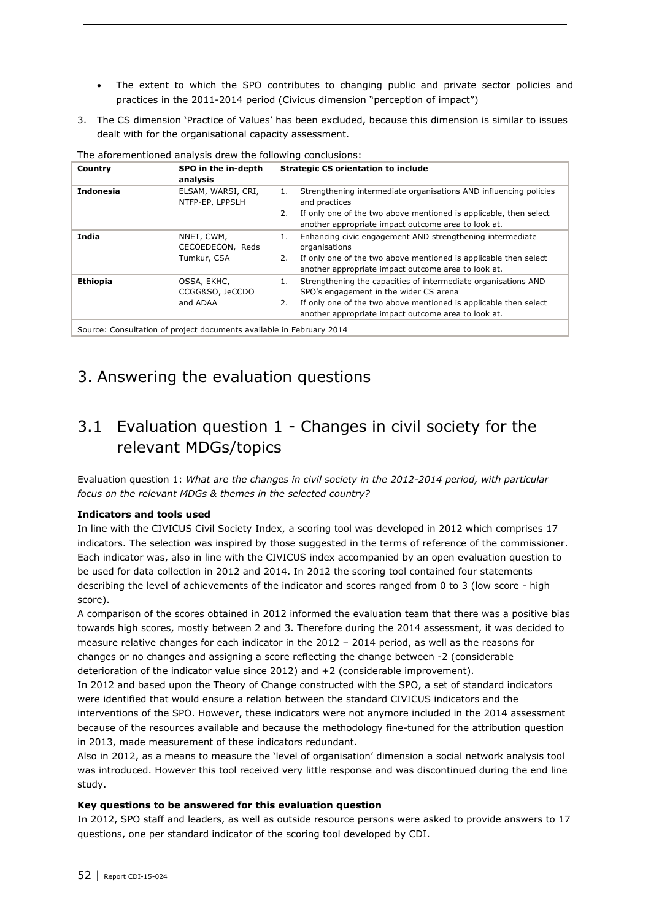- The extent to which the SPO contributes to changing public and private sector policies and practices in the 2011-2014 period (Civicus dimension "perception of impact")
- 3. The CS dimension 'Practice of Values' has been excluded, because this dimension is similar to issues dealt with for the organisational capacity assessment.

| Country          | SPO in the in-depth<br>analysis                                           | <b>Strategic CS orientation to include</b>                                                                                     |
|------------------|---------------------------------------------------------------------------|--------------------------------------------------------------------------------------------------------------------------------|
| <b>Indonesia</b> | ELSAM, WARSI, CRI,<br>NTFP-EP, LPPSLH                                     | Strengthening intermediate organisations AND influencing policies<br>1.<br>and practices                                       |
|                  |                                                                           | If only one of the two above mentioned is applicable, then select<br>2.<br>another appropriate impact outcome area to look at. |
| India            | NNET, CWM,<br>CECOEDECON, Reds                                            | Enhancing civic engagement AND strengthening intermediate<br>1.<br>organisations                                               |
|                  | Tumkur, CSA                                                               | If only one of the two above mentioned is applicable then select<br>2.<br>another appropriate impact outcome area to look at.  |
| <b>Ethiopia</b>  | OSSA, EKHC,<br>CCGG&SO, JeCCDO                                            | Strengthening the capacities of intermediate organisations AND<br>1.<br>SPO's engagement in the wider CS arena                 |
|                  | and ADAA                                                                  | If only one of the two above mentioned is applicable then select<br>2.<br>another appropriate impact outcome area to look at.  |
|                  | Carrollar Canardiation of northeat depressed and delate in February 2014. |                                                                                                                                |

The aforementioned analysis drew the following conclusions:

Source: Consultation of project documents available in February 2014

### 3. Answering the evaluation questions

### 3.1 Evaluation question 1 - Changes in civil society for the relevant MDGs/topics

Evaluation question 1: *What are the changes in civil society in the 2012-2014 period, with particular focus on the relevant MDGs & themes in the selected country?*

### **Indicators and tools used**

In line with the CIVICUS Civil Society Index, a scoring tool was developed in 2012 which comprises 17 indicators. The selection was inspired by those suggested in the terms of reference of the commissioner. Each indicator was, also in line with the CIVICUS index accompanied by an open evaluation question to be used for data collection in 2012 and 2014. In 2012 the scoring tool contained four statements describing the level of achievements of the indicator and scores ranged from 0 to 3 (low score - high score).

A comparison of the scores obtained in 2012 informed the evaluation team that there was a positive bias towards high scores, mostly between 2 and 3. Therefore during the 2014 assessment, it was decided to measure relative changes for each indicator in the 2012 – 2014 period, as well as the reasons for changes or no changes and assigning a score reflecting the change between -2 (considerable deterioration of the indicator value since 2012) and +2 (considerable improvement).

In 2012 and based upon the Theory of Change constructed with the SPO, a set of standard indicators were identified that would ensure a relation between the standard CIVICUS indicators and the interventions of the SPO. However, these indicators were not anymore included in the 2014 assessment because of the resources available and because the methodology fine-tuned for the attribution question in 2013, made measurement of these indicators redundant.

Also in 2012, as a means to measure the 'level of organisation' dimension a social network analysis tool was introduced. However this tool received very little response and was discontinued during the end line study.

#### **Key questions to be answered for this evaluation question**

In 2012, SPO staff and leaders, as well as outside resource persons were asked to provide answers to 17 questions, one per standard indicator of the scoring tool developed by CDI.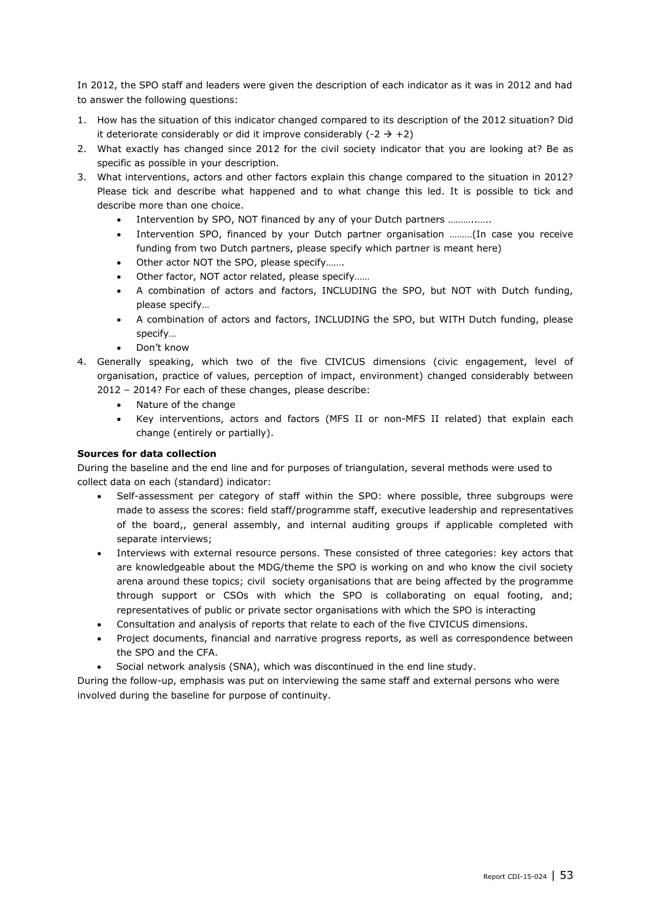In 2012, the SPO staff and leaders were given the description of each indicator as it was in 2012 and had to answer the following questions:

- 1. How has the situation of this indicator changed compared to its description of the 2012 situation? Did it deteriorate considerably or did it improve considerably  $(-2 \rightarrow +2)$
- 2. What exactly has changed since 2012 for the civil society indicator that you are looking at? Be as specific as possible in your description.
- 3. What interventions, actors and other factors explain this change compared to the situation in 2012? Please tick and describe what happened and to what change this led. It is possible to tick and describe more than one choice.
	- Intervention by SPO, NOT financed by any of your Dutch partners ………..…..
	- Intervention SPO, financed by your Dutch partner organisation ………(In case you receive funding from two Dutch partners, please specify which partner is meant here)
	- Other actor NOT the SPO, please specify…….
	- Other factor, NOT actor related, please specify……
	- A combination of actors and factors, INCLUDING the SPO, but NOT with Dutch funding, please specify…
	- A combination of actors and factors, INCLUDING the SPO, but WITH Dutch funding, please specify…
	- Don't know
- 4. Generally speaking, which two of the five CIVICUS dimensions (civic engagement, level of organisation, practice of values, perception of impact, environment) changed considerably between 2012 – 2014? For each of these changes, please describe:
	- Nature of the change
	- Key interventions, actors and factors (MFS II or non-MFS II related) that explain each change (entirely or partially).

### **Sources for data collection**

During the baseline and the end line and for purposes of triangulation, several methods were used to collect data on each (standard) indicator:

- Self-assessment per category of staff within the SPO: where possible, three subgroups were made to assess the scores: field staff/programme staff, executive leadership and representatives of the board,, general assembly, and internal auditing groups if applicable completed with separate interviews;
- Interviews with external resource persons. These consisted of three categories: key actors that are knowledgeable about the MDG/theme the SPO is working on and who know the civil society arena around these topics; civil society organisations that are being affected by the programme through support or CSOs with which the SPO is collaborating on equal footing, and; representatives of public or private sector organisations with which the SPO is interacting
- Consultation and analysis of reports that relate to each of the five CIVICUS dimensions.
- Project documents, financial and narrative progress reports, as well as correspondence between the SPO and the CFA.
- Social network analysis (SNA), which was discontinued in the end line study.

During the follow-up, emphasis was put on interviewing the same staff and external persons who were involved during the baseline for purpose of continuity.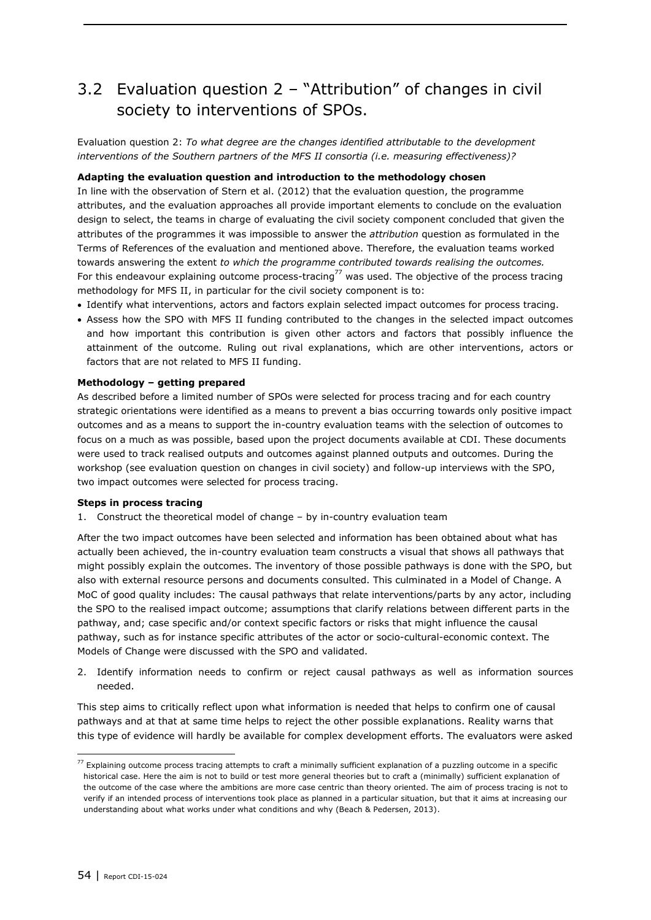### 3.2 Evaluation question 2 – "Attribution" of changes in civil society to interventions of SPOs.

Evaluation question 2: *To what degree are the changes identified attributable to the development interventions of the Southern partners of the MFS II consortia (i.e. measuring effectiveness)?*

#### **Adapting the evaluation question and introduction to the methodology chosen**

In line with the observation of Stern et al. (2012) that the evaluation question, the programme attributes, and the evaluation approaches all provide important elements to conclude on the evaluation design to select, the teams in charge of evaluating the civil society component concluded that given the attributes of the programmes it was impossible to answer the *attribution* question as formulated in the Terms of References of the evaluation and mentioned above. Therefore, the evaluation teams worked towards answering the extent *to which the programme contributed towards realising the outcomes.* For this endeavour explaining outcome process-tracing<sup>77</sup> was used. The objective of the process tracing methodology for MFS II, in particular for the civil society component is to:

- Identify what interventions, actors and factors explain selected impact outcomes for process tracing.
- Assess how the SPO with MFS II funding contributed to the changes in the selected impact outcomes and how important this contribution is given other actors and factors that possibly influence the attainment of the outcome. Ruling out rival explanations, which are other interventions, actors or factors that are not related to MFS II funding.

#### **Methodology – getting prepared**

As described before a limited number of SPOs were selected for process tracing and for each country strategic orientations were identified as a means to prevent a bias occurring towards only positive impact outcomes and as a means to support the in-country evaluation teams with the selection of outcomes to focus on a much as was possible, based upon the project documents available at CDI. These documents were used to track realised outputs and outcomes against planned outputs and outcomes. During the workshop (see evaluation question on changes in civil society) and follow-up interviews with the SPO, two impact outcomes were selected for process tracing.

#### **Steps in process tracing**

1. Construct the theoretical model of change – by in-country evaluation team

After the two impact outcomes have been selected and information has been obtained about what has actually been achieved, the in-country evaluation team constructs a visual that shows all pathways that might possibly explain the outcomes. The inventory of those possible pathways is done with the SPO, but also with external resource persons and documents consulted. This culminated in a Model of Change. A MoC of good quality includes: The causal pathways that relate interventions/parts by any actor, including the SPO to the realised impact outcome; assumptions that clarify relations between different parts in the pathway, and; case specific and/or context specific factors or risks that might influence the causal pathway, such as for instance specific attributes of the actor or socio-cultural-economic context. The Models of Change were discussed with the SPO and validated.

2. Identify information needs to confirm or reject causal pathways as well as information sources needed.

This step aims to critically reflect upon what information is needed that helps to confirm one of causal pathways and at that at same time helps to reject the other possible explanations. Reality warns that this type of evidence will hardly be available for complex development efforts. The evaluators were asked

 $^{77}$  Explaining outcome process tracing attempts to craft a minimally sufficient explanation of a puzzling outcome in a specific historical case. Here the aim is not to build or test more general theories but to craft a (minimally) sufficient explanation of the outcome of the case where the ambitions are more case centric than theory oriented. The aim of process tracing is not to verify if an intended process of interventions took place as planned in a particular situation, but that it aims at increasing our understanding about what works under what conditions and why (Beach & Pedersen, 2013).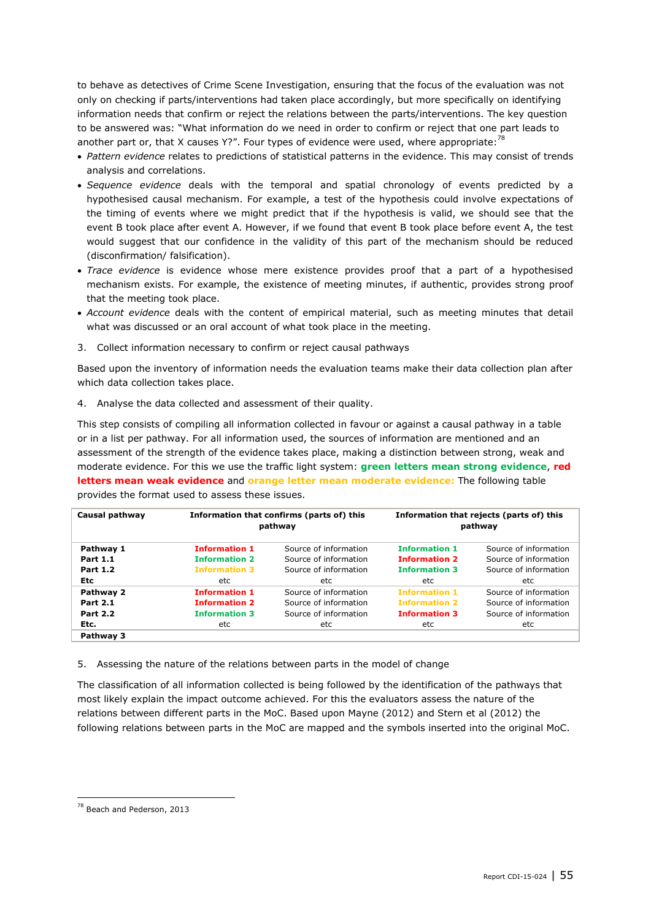to behave as detectives of Crime Scene Investigation, ensuring that the focus of the evaluation was not only on checking if parts/interventions had taken place accordingly, but more specifically on identifying information needs that confirm or reject the relations between the parts/interventions. The key question to be answered was: "What information do we need in order to confirm or reject that one part leads to another part or, that X causes Y?". Four types of evidence were used, where appropriate:<sup>78</sup>

- *Pattern evidence* relates to predictions of statistical patterns in the evidence. This may consist of trends analysis and correlations.
- *Sequence evidence* deals with the temporal and spatial chronology of events predicted by a hypothesised causal mechanism. For example, a test of the hypothesis could involve expectations of the timing of events where we might predict that if the hypothesis is valid, we should see that the event B took place after event A. However, if we found that event B took place before event A, the test would suggest that our confidence in the validity of this part of the mechanism should be reduced (disconfirmation/ falsification).
- *Trace evidence* is evidence whose mere existence provides proof that a part of a hypothesised mechanism exists. For example, the existence of meeting minutes, if authentic, provides strong proof that the meeting took place.
- *Account evidence* deals with the content of empirical material, such as meeting minutes that detail what was discussed or an oral account of what took place in the meeting.
- 3. Collect information necessary to confirm or reject causal pathways

Based upon the inventory of information needs the evaluation teams make their data collection plan after which data collection takes place.

4. Analyse the data collected and assessment of their quality.

This step consists of compiling all information collected in favour or against a causal pathway in a table or in a list per pathway. For all information used, the sources of information are mentioned and an assessment of the strength of the evidence takes place, making a distinction between strong, weak and moderate evidence. For this we use the traffic light system: **green letters mean strong evidence**, **red letters mean weak evidence** and **orange letter mean moderate evidence:** The following table

| Causal pathway  |                      | Information that confirms (parts of) this<br>pathway | Information that rejects (parts of) this<br>pathway |                       |  |  |
|-----------------|----------------------|------------------------------------------------------|-----------------------------------------------------|-----------------------|--|--|
| Pathway 1       | <b>Information 1</b> | Source of information                                | <b>Information 1</b>                                | Source of information |  |  |
| <b>Part 1.1</b> | <b>Information 2</b> | Source of information                                | <b>Information 2</b>                                | Source of information |  |  |
| <b>Part 1.2</b> | <b>Information 3</b> | Source of information                                | <b>Information 3</b>                                | Source of information |  |  |
| <b>Etc</b>      | etc.                 | etc.                                                 | etc                                                 | etc                   |  |  |
| Pathway 2       | <b>Information 1</b> | Source of information                                | <b>Information 1</b>                                | Source of information |  |  |
| <b>Part 2.1</b> | <b>Information 2</b> | Source of information                                | <b>Information 2</b>                                | Source of information |  |  |
| <b>Part 2.2</b> | <b>Information 3</b> | Source of information                                | <b>Information 3</b>                                | Source of information |  |  |
| Etc.            | etc                  | etc                                                  | etc                                                 | etc                   |  |  |
| Pathway 3       |                      |                                                      |                                                     |                       |  |  |

provides the format used to assess these issues.

5. Assessing the nature of the relations between parts in the model of change

The classification of all information collected is being followed by the identification of the pathways that most likely explain the impact outcome achieved. For this the evaluators assess the nature of the relations between different parts in the MoC. Based upon Mayne (2012) and Stern et al (2012) the following relations between parts in the MoC are mapped and the symbols inserted into the original MoC.

<sup>&</sup>lt;sup>78</sup> Beach and Pederson, 2013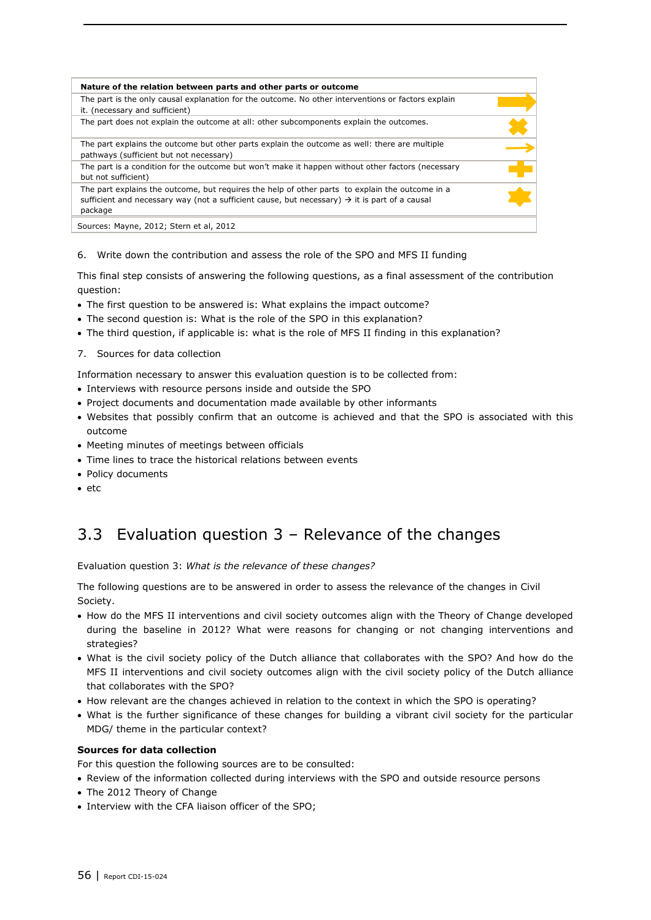| Nature of the relation between parts and other parts or outcome                                                                                                                                                         |  |
|-------------------------------------------------------------------------------------------------------------------------------------------------------------------------------------------------------------------------|--|
| The part is the only causal explanation for the outcome. No other interventions or factors explain<br>it. (necessary and sufficient)                                                                                    |  |
| The part does not explain the outcome at all: other subcomponents explain the outcomes.                                                                                                                                 |  |
| The part explains the outcome but other parts explain the outcome as well: there are multiple<br>pathways (sufficient but not necessary)                                                                                |  |
| The part is a condition for the outcome but won't make it happen without other factors (necessary<br>but not sufficient)                                                                                                |  |
| The part explains the outcome, but requires the help of other parts to explain the outcome in a<br>sufficient and necessary way (not a sufficient cause, but necessary) $\rightarrow$ it is part of a causal<br>package |  |
| Sources: Mayne, 2012; Stern et al, 2012                                                                                                                                                                                 |  |

6. Write down the contribution and assess the role of the SPO and MFS II funding

This final step consists of answering the following questions, as a final assessment of the contribution question:

- The first question to be answered is: What explains the impact outcome?
- The second question is: What is the role of the SPO in this explanation?
- The third question, if applicable is: what is the role of MFS II finding in this explanation?
- 7. Sources for data collection

Information necessary to answer this evaluation question is to be collected from:

- Interviews with resource persons inside and outside the SPO
- Project documents and documentation made available by other informants
- Websites that possibly confirm that an outcome is achieved and that the SPO is associated with this outcome
- Meeting minutes of meetings between officials
- Time lines to trace the historical relations between events
- Policy documents
- $e$  etc

### 3.3 Evaluation question 3 – Relevance of the changes

Evaluation question 3: *What is the relevance of these changes?*

The following questions are to be answered in order to assess the relevance of the changes in Civil Society.

- How do the MFS II interventions and civil society outcomes align with the Theory of Change developed during the baseline in 2012? What were reasons for changing or not changing interventions and strategies?
- What is the civil society policy of the Dutch alliance that collaborates with the SPO? And how do the MFS II interventions and civil society outcomes align with the civil society policy of the Dutch alliance that collaborates with the SPO?
- How relevant are the changes achieved in relation to the context in which the SPO is operating?
- What is the further significance of these changes for building a vibrant civil society for the particular MDG/ theme in the particular context?

### **Sources for data collection**

For this question the following sources are to be consulted:

- Review of the information collected during interviews with the SPO and outside resource persons
- The 2012 Theory of Change
- Interview with the CFA liaison officer of the SPO;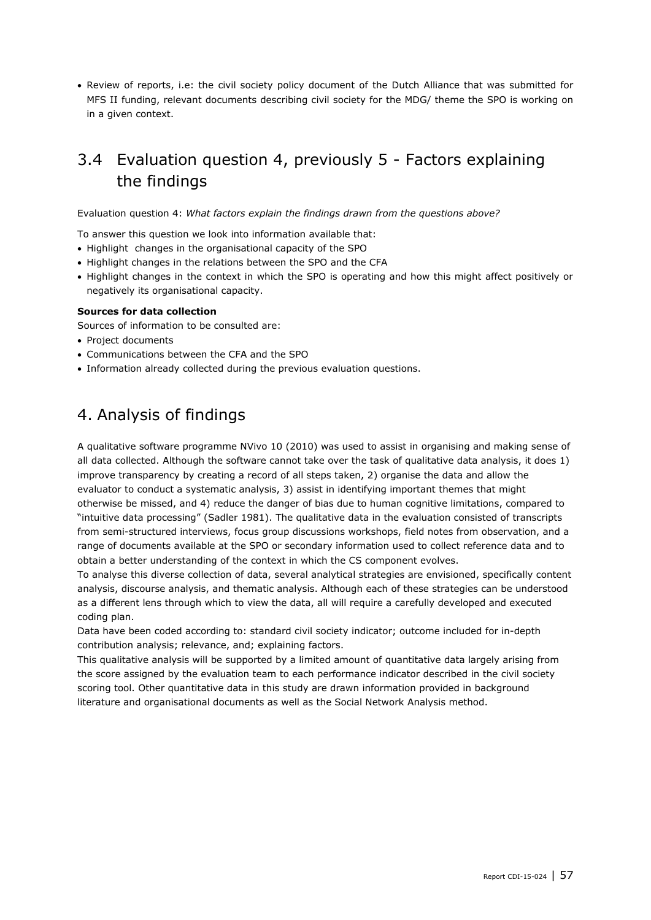Review of reports, i.e: the civil society policy document of the Dutch Alliance that was submitted for MFS II funding, relevant documents describing civil society for the MDG/ theme the SPO is working on in a given context.

### 3.4 Evaluation question 4, previously 5 - Factors explaining the findings

Evaluation question 4: *What factors explain the findings drawn from the questions above?*

To answer this question we look into information available that:

- Highlight changes in the organisational capacity of the SPO
- Highlight changes in the relations between the SPO and the CFA
- Highlight changes in the context in which the SPO is operating and how this might affect positively or negatively its organisational capacity.

#### **Sources for data collection**

Sources of information to be consulted are:

- Project documents
- Communications between the CFA and the SPO
- Information already collected during the previous evaluation questions.

### 4. Analysis of findings

A qualitative software programme NVivo 10 (2010) was used to assist in organising and making sense of all data collected. Although the software cannot take over the task of qualitative data analysis, it does 1) improve transparency by creating a record of all steps taken, 2) organise the data and allow the evaluator to conduct a systematic analysis, 3) assist in identifying important themes that might otherwise be missed, and 4) reduce the danger of bias due to human cognitive limitations, compared to "intuitive data processing" (Sadler 1981). The qualitative data in the evaluation consisted of transcripts from semi-structured interviews, focus group discussions workshops, field notes from observation, and a range of documents available at the SPO or secondary information used to collect reference data and to obtain a better understanding of the context in which the CS component evolves.

To analyse this diverse collection of data, several analytical strategies are envisioned, specifically content analysis, discourse analysis, and thematic analysis. Although each of these strategies can be understood as a different lens through which to view the data, all will require a carefully developed and executed coding plan.

Data have been coded according to: standard civil society indicator; outcome included for in-depth contribution analysis; relevance, and; explaining factors.

This qualitative analysis will be supported by a limited amount of quantitative data largely arising from the score assigned by the evaluation team to each performance indicator described in the civil society scoring tool. Other quantitative data in this study are drawn information provided in background literature and organisational documents as well as the Social Network Analysis method.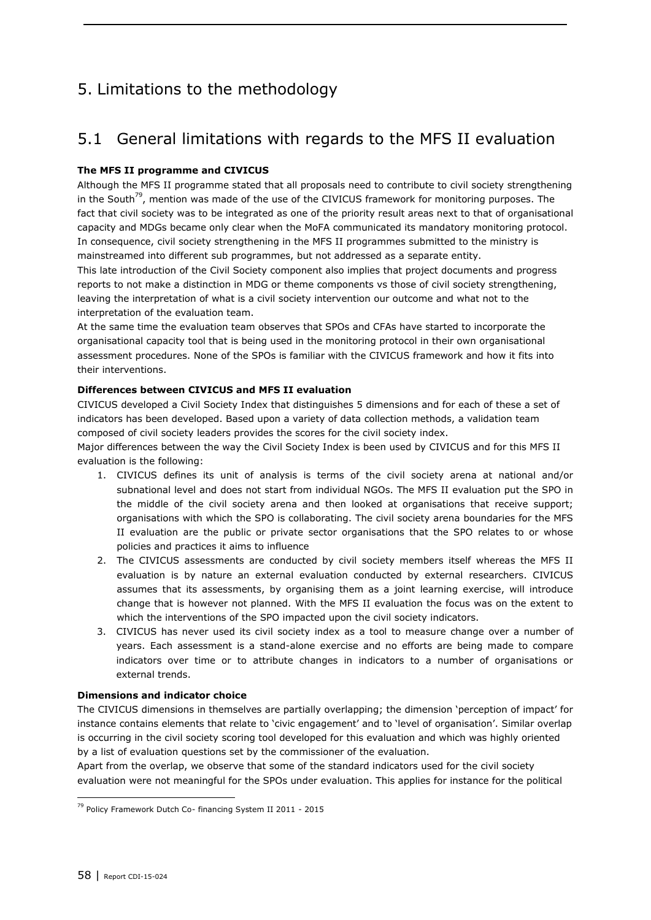## 5. Limitations to the methodology

### 5.1 General limitations with regards to the MFS II evaluation

### **The MFS II programme and CIVICUS**

Although the MFS II programme stated that all proposals need to contribute to civil society strengthening in the South<sup>79</sup>, mention was made of the use of the CIVICUS framework for monitoring purposes. The fact that civil society was to be integrated as one of the priority result areas next to that of organisational capacity and MDGs became only clear when the MoFA communicated its mandatory monitoring protocol. In consequence, civil society strengthening in the MFS II programmes submitted to the ministry is mainstreamed into different sub programmes, but not addressed as a separate entity.

This late introduction of the Civil Society component also implies that project documents and progress reports to not make a distinction in MDG or theme components vs those of civil society strengthening, leaving the interpretation of what is a civil society intervention our outcome and what not to the interpretation of the evaluation team.

At the same time the evaluation team observes that SPOs and CFAs have started to incorporate the organisational capacity tool that is being used in the monitoring protocol in their own organisational assessment procedures. None of the SPOs is familiar with the CIVICUS framework and how it fits into their interventions.

### **Differences between CIVICUS and MFS II evaluation**

CIVICUS developed a Civil Society Index that distinguishes 5 dimensions and for each of these a set of indicators has been developed. Based upon a variety of data collection methods, a validation team composed of civil society leaders provides the scores for the civil society index.

Major differences between the way the Civil Society Index is been used by CIVICUS and for this MFS II evaluation is the following:

- 1. CIVICUS defines its unit of analysis is terms of the civil society arena at national and/or subnational level and does not start from individual NGOs. The MFS II evaluation put the SPO in the middle of the civil society arena and then looked at organisations that receive support; organisations with which the SPO is collaborating. The civil society arena boundaries for the MFS II evaluation are the public or private sector organisations that the SPO relates to or whose policies and practices it aims to influence
- 2. The CIVICUS assessments are conducted by civil society members itself whereas the MFS II evaluation is by nature an external evaluation conducted by external researchers. CIVICUS assumes that its assessments, by organising them as a joint learning exercise, will introduce change that is however not planned. With the MFS II evaluation the focus was on the extent to which the interventions of the SPO impacted upon the civil society indicators.
- 3. CIVICUS has never used its civil society index as a tool to measure change over a number of years. Each assessment is a stand-alone exercise and no efforts are being made to compare indicators over time or to attribute changes in indicators to a number of organisations or external trends.

### **Dimensions and indicator choice**

The CIVICUS dimensions in themselves are partially overlapping; the dimension 'perception of impact' for instance contains elements that relate to 'civic engagement' and to 'level of organisation'. Similar overlap is occurring in the civil society scoring tool developed for this evaluation and which was highly oriented by a list of evaluation questions set by the commissioner of the evaluation.

Apart from the overlap, we observe that some of the standard indicators used for the civil society evaluation were not meaningful for the SPOs under evaluation. This applies for instance for the political

<sup>79</sup> Policy Framework Dutch Co- financing System II 2011 - 2015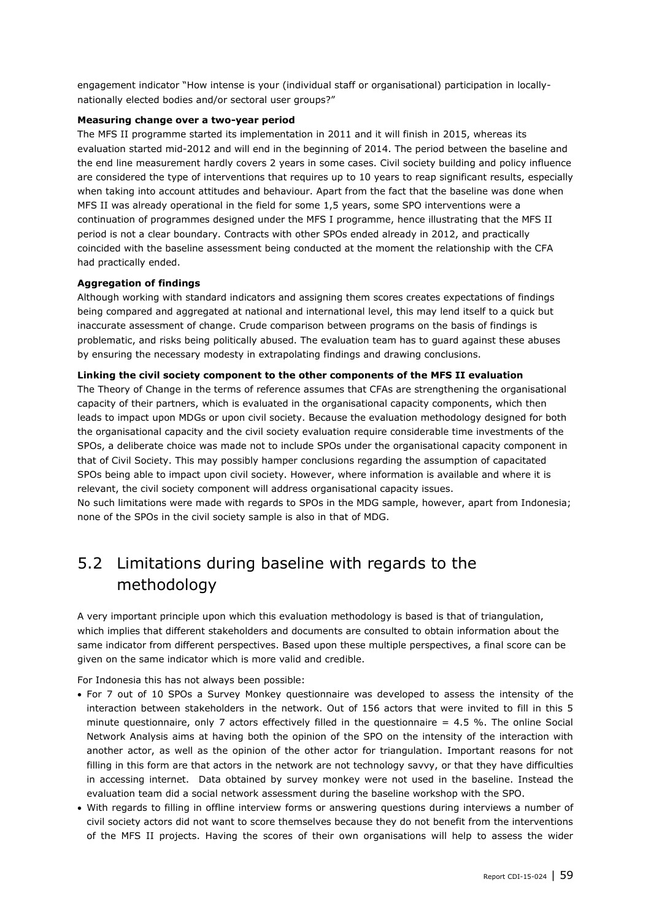engagement indicator "How intense is your (individual staff or organisational) participation in locallynationally elected bodies and/or sectoral user groups?"

#### **Measuring change over a two-year period**

The MFS II programme started its implementation in 2011 and it will finish in 2015, whereas its evaluation started mid-2012 and will end in the beginning of 2014. The period between the baseline and the end line measurement hardly covers 2 years in some cases. Civil society building and policy influence are considered the type of interventions that requires up to 10 years to reap significant results, especially when taking into account attitudes and behaviour. Apart from the fact that the baseline was done when MFS II was already operational in the field for some 1,5 years, some SPO interventions were a continuation of programmes designed under the MFS I programme, hence illustrating that the MFS II period is not a clear boundary. Contracts with other SPOs ended already in 2012, and practically coincided with the baseline assessment being conducted at the moment the relationship with the CFA had practically ended.

#### **Aggregation of findings**

Although working with standard indicators and assigning them scores creates expectations of findings being compared and aggregated at national and international level, this may lend itself to a quick but inaccurate assessment of change. Crude comparison between programs on the basis of findings is problematic, and risks being politically abused. The evaluation team has to guard against these abuses by ensuring the necessary modesty in extrapolating findings and drawing conclusions.

#### **Linking the civil society component to the other components of the MFS II evaluation**

The Theory of Change in the terms of reference assumes that CFAs are strengthening the organisational capacity of their partners, which is evaluated in the organisational capacity components, which then leads to impact upon MDGs or upon civil society. Because the evaluation methodology designed for both the organisational capacity and the civil society evaluation require considerable time investments of the SPOs, a deliberate choice was made not to include SPOs under the organisational capacity component in that of Civil Society. This may possibly hamper conclusions regarding the assumption of capacitated SPOs being able to impact upon civil society. However, where information is available and where it is relevant, the civil society component will address organisational capacity issues.

No such limitations were made with regards to SPOs in the MDG sample, however, apart from Indonesia; none of the SPOs in the civil society sample is also in that of MDG.

### 5.2 Limitations during baseline with regards to the methodology

A very important principle upon which this evaluation methodology is based is that of triangulation, which implies that different stakeholders and documents are consulted to obtain information about the same indicator from different perspectives. Based upon these multiple perspectives, a final score can be given on the same indicator which is more valid and credible.

For Indonesia this has not always been possible:

- For 7 out of 10 SPOs a Survey Monkey questionnaire was developed to assess the intensity of the interaction between stakeholders in the network. Out of 156 actors that were invited to fill in this 5 minute questionnaire, only 7 actors effectively filled in the questionnaire  $= 4.5$  %. The online Social Network Analysis aims at having both the opinion of the SPO on the intensity of the interaction with another actor, as well as the opinion of the other actor for triangulation. Important reasons for not filling in this form are that actors in the network are not technology savvy, or that they have difficulties in accessing internet. Data obtained by survey monkey were not used in the baseline. Instead the evaluation team did a social network assessment during the baseline workshop with the SPO.
- With regards to filling in offline interview forms or answering questions during interviews a number of civil society actors did not want to score themselves because they do not benefit from the interventions of the MFS II projects. Having the scores of their own organisations will help to assess the wider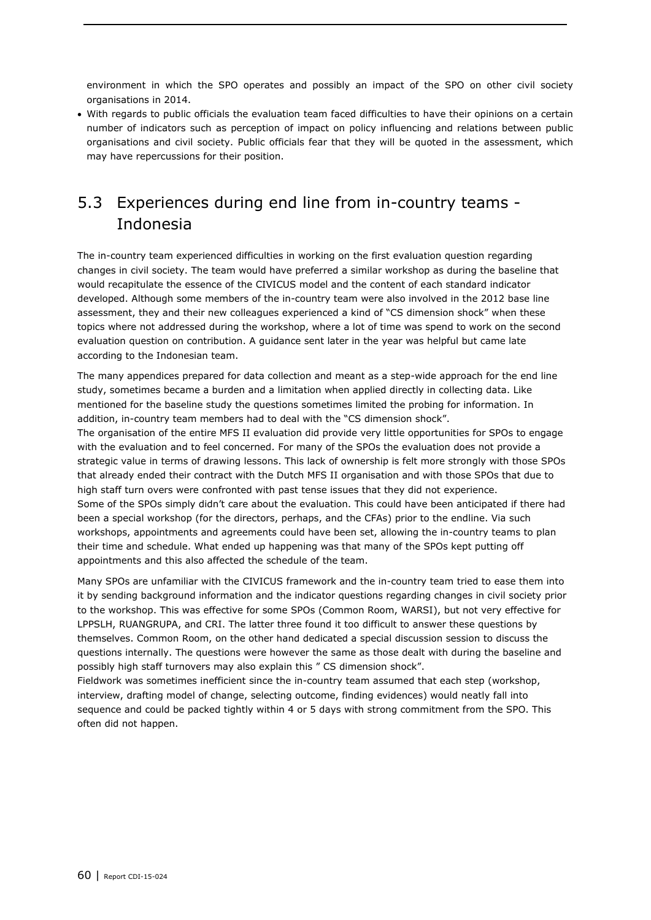environment in which the SPO operates and possibly an impact of the SPO on other civil society organisations in 2014.

 With regards to public officials the evaluation team faced difficulties to have their opinions on a certain number of indicators such as perception of impact on policy influencing and relations between public organisations and civil society. Public officials fear that they will be quoted in the assessment, which may have repercussions for their position.

### 5.3 Experiences during end line from in-country teams - Indonesia

The in-country team experienced difficulties in working on the first evaluation question regarding changes in civil society. The team would have preferred a similar workshop as during the baseline that would recapitulate the essence of the CIVICUS model and the content of each standard indicator developed. Although some members of the in-country team were also involved in the 2012 base line assessment, they and their new colleagues experienced a kind of "CS dimension shock" when these topics where not addressed during the workshop, where a lot of time was spend to work on the second evaluation question on contribution. A guidance sent later in the year was helpful but came late according to the Indonesian team.

The many appendices prepared for data collection and meant as a step-wide approach for the end line study, sometimes became a burden and a limitation when applied directly in collecting data. Like mentioned for the baseline study the questions sometimes limited the probing for information. In addition, in-country team members had to deal with the "CS dimension shock".

The organisation of the entire MFS II evaluation did provide very little opportunities for SPOs to engage with the evaluation and to feel concerned. For many of the SPOs the evaluation does not provide a strategic value in terms of drawing lessons. This lack of ownership is felt more strongly with those SPOs that already ended their contract with the Dutch MFS II organisation and with those SPOs that due to high staff turn overs were confronted with past tense issues that they did not experience. Some of the SPOs simply didn't care about the evaluation. This could have been anticipated if there had been a special workshop (for the directors, perhaps, and the CFAs) prior to the endline. Via such workshops, appointments and agreements could have been set, allowing the in-country teams to plan their time and schedule. What ended up happening was that many of the SPOs kept putting off appointments and this also affected the schedule of the team.

Many SPOs are unfamiliar with the CIVICUS framework and the in-country team tried to ease them into it by sending background information and the indicator questions regarding changes in civil society prior to the workshop. This was effective for some SPOs (Common Room, WARSI), but not very effective for LPPSLH, RUANGRUPA, and CRI. The latter three found it too difficult to answer these questions by themselves. Common Room, on the other hand dedicated a special discussion session to discuss the questions internally. The questions were however the same as those dealt with during the baseline and possibly high staff turnovers may also explain this " CS dimension shock".

Fieldwork was sometimes inefficient since the in-country team assumed that each step (workshop, interview, drafting model of change, selecting outcome, finding evidences) would neatly fall into sequence and could be packed tightly within 4 or 5 days with strong commitment from the SPO. This often did not happen.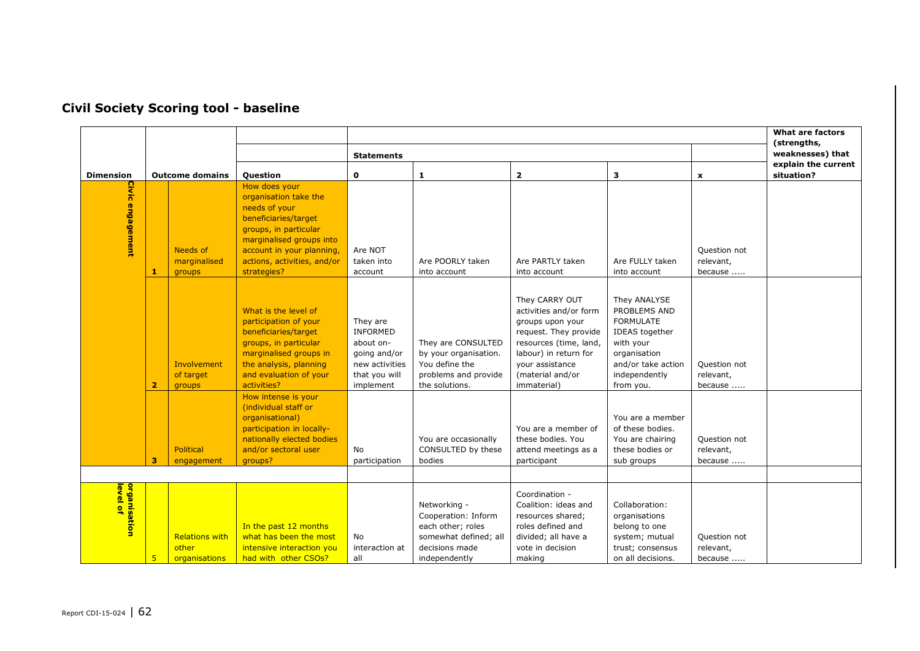|                                       |                                                               |  |                                                                                                                                                                                                                 |                                                                                                          |                                                                                                                      |                                                                                                                                                                                                |                                                                                                                                                     |                                      | <b>What are factors</b>           |
|---------------------------------------|---------------------------------------------------------------|--|-----------------------------------------------------------------------------------------------------------------------------------------------------------------------------------------------------------------|----------------------------------------------------------------------------------------------------------|----------------------------------------------------------------------------------------------------------------------|------------------------------------------------------------------------------------------------------------------------------------------------------------------------------------------------|-----------------------------------------------------------------------------------------------------------------------------------------------------|--------------------------------------|-----------------------------------|
|                                       |                                                               |  |                                                                                                                                                                                                                 | <b>Statements</b>                                                                                        |                                                                                                                      |                                                                                                                                                                                                |                                                                                                                                                     |                                      | (strengths,<br>weaknesses) that   |
| <b>Dimension</b>                      | <b>Outcome domains</b>                                        |  | Question                                                                                                                                                                                                        | $\mathbf{o}$                                                                                             | 1                                                                                                                    | $\overline{\mathbf{2}}$                                                                                                                                                                        | з                                                                                                                                                   | $\mathbf x$                          | explain the current<br>situation? |
| Civic<br>engagement                   | Needs of<br>marginalised<br>1<br>groups                       |  | How does your<br>organisation take the<br>needs of your<br>beneficiaries/target<br>groups, in particular<br>marginalised groups into<br>account in your planning,<br>actions, activities, and/or<br>strategies? | Are NOT<br>taken into<br>account                                                                         | Are POORLY taken<br>into account                                                                                     | Are PARTLY taken<br>into account                                                                                                                                                               | Are FULLY taken<br>into account                                                                                                                     | Question not<br>relevant,<br>because |                                   |
|                                       | Involvement<br>of target<br>$\overline{\mathbf{2}}$<br>groups |  | What is the level of<br>participation of your<br>beneficiaries/target<br>groups, in particular<br>marginalised groups in<br>the analysis, planning<br>and evaluation of your<br>activities?                     | They are<br><b>INFORMED</b><br>about on-<br>going and/or<br>new activities<br>that you will<br>implement | They are CONSULTED<br>by your organisation.<br>You define the<br>problems and provide<br>the solutions.              | They CARRY OUT<br>activities and/or form<br>groups upon your<br>request. They provide<br>resources (time, land,<br>labour) in return for<br>your assistance<br>(material and/or<br>immaterial) | They ANALYSE<br>PROBLEMS AND<br><b>FORMULATE</b><br>IDEAS together<br>with your<br>organisation<br>and/or take action<br>independently<br>from you. | Question not<br>relevant,<br>because |                                   |
|                                       | Political<br>$\overline{\mathbf{3}}$<br>engagement            |  | How intense is your<br>(individual staff or<br>organisational)<br>participation in locally-<br>nationally elected bodies<br>and/or sectoral user<br>groups?                                                     | No<br>participation                                                                                      | You are occasionally<br>CONSULTED by these<br>bodies                                                                 | You are a member of<br>these bodies. You<br>attend meetings as a<br>participant                                                                                                                | You are a member<br>of these bodies.<br>You are chairing<br>these bodies or<br>sub groups                                                           | Question not<br>relevant,<br>because |                                   |
| organisation<br><mark>level of</mark> | <b>Relations with</b><br>other<br>5<br>organisations          |  | In the past 12 months<br>what has been the most<br>intensive interaction you<br>had with other CSOs?                                                                                                            | No<br>interaction at<br>all                                                                              | Networking -<br>Cooperation: Inform<br>each other; roles<br>somewhat defined; all<br>decisions made<br>independently | Coordination -<br>Coalition: ideas and<br>resources shared;<br>roles defined and<br>divided; all have a<br>vote in decision<br>making                                                          | Collaboration:<br>organisations<br>belong to one<br>system; mutual<br>trust; consensus<br>on all decisions.                                         | Question not<br>relevant,<br>because |                                   |

### **Civil Society Scoring tool - baseline**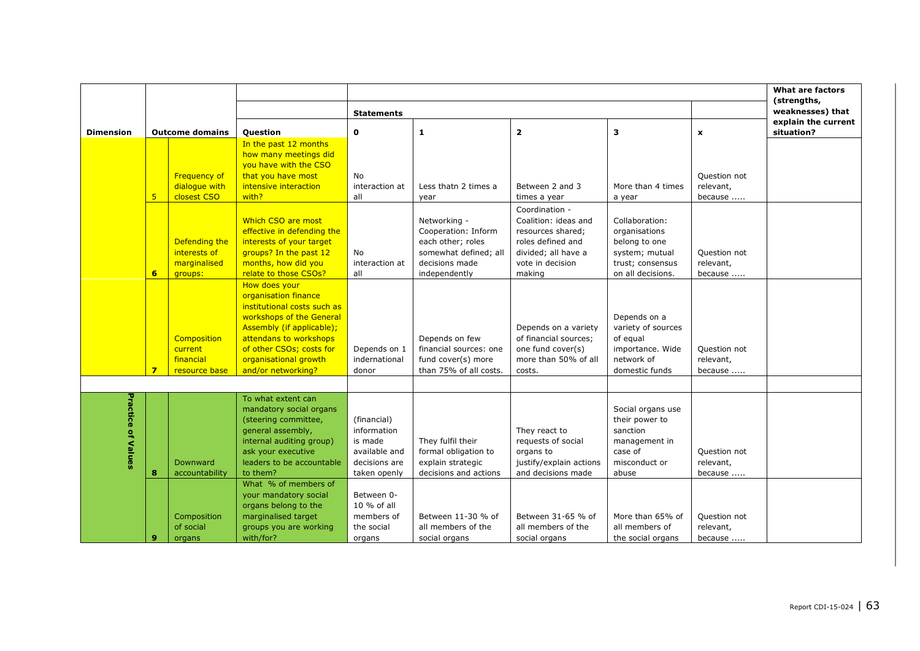|                  |   |                        |                                                |                   |                        |                         |                    |                | <b>What are factors</b>           |
|------------------|---|------------------------|------------------------------------------------|-------------------|------------------------|-------------------------|--------------------|----------------|-----------------------------------|
|                  |   |                        |                                                | <b>Statements</b> |                        |                         |                    |                | (strengths,<br>weaknesses) that   |
| <b>Dimension</b> |   |                        |                                                | $\mathbf 0$       | 1                      | $\overline{\mathbf{2}}$ | 3                  |                | explain the current<br>situation? |
|                  |   | <b>Outcome domains</b> | <b>Question</b>                                |                   |                        |                         |                    | $\pmb{\times}$ |                                   |
|                  |   |                        | In the past 12 months<br>how many meetings did |                   |                        |                         |                    |                |                                   |
|                  |   |                        |                                                |                   |                        |                         |                    |                |                                   |
|                  |   |                        | you have with the CSO                          |                   |                        |                         |                    |                |                                   |
|                  |   | <b>Frequency of</b>    | that you have most                             | No                |                        |                         |                    | Question not   |                                   |
|                  |   | dialogue with          | intensive interaction                          | interaction at    | Less thatn 2 times a   | Between 2 and 3         | More than 4 times  | relevant,      |                                   |
|                  | 5 | closest CSO            | with?                                          | all               | year                   | times a year            | a year             | because        |                                   |
|                  |   |                        |                                                |                   |                        | Coordination -          |                    |                |                                   |
|                  |   |                        | Which CSO are most                             |                   | Networking -           | Coalition: ideas and    | Collaboration:     |                |                                   |
|                  |   |                        | effective in defending the                     |                   | Cooperation: Inform    | resources shared;       | organisations      |                |                                   |
|                  |   | Defending the          | interests of your target                       |                   | each other; roles      | roles defined and       | belong to one      |                |                                   |
|                  |   | interests of           | groups? In the past 12                         | <b>No</b>         | somewhat defined; all  | divided; all have a     | system; mutual     | Ouestion not   |                                   |
|                  |   | marginalised           | months, how did you                            | interaction at    | decisions made         | vote in decision        | trust; consensus   | relevant,      |                                   |
|                  | 6 | groups:                | relate to those CSOs?                          | all               | independently          | making                  | on all decisions.  | because        |                                   |
|                  |   |                        | How does your                                  |                   |                        |                         |                    |                |                                   |
|                  |   |                        | organisation finance                           |                   |                        |                         |                    |                |                                   |
|                  |   |                        | institutional costs such as                    |                   |                        |                         |                    |                |                                   |
|                  |   |                        | workshops of the General                       |                   |                        |                         | Depends on a       |                |                                   |
|                  |   |                        | Assembly (if applicable);                      |                   |                        | Depends on a variety    | variety of sources |                |                                   |
|                  |   | Composition            | attendans to workshops                         |                   | Depends on few         | of financial sources;   | of equal           |                |                                   |
|                  |   | current                | of other CSOs; costs for                       | Depends on 1      | financial sources: one | one fund cover(s)       | importance. Wide   | Question not   |                                   |
|                  |   | financial              | organisational growth                          | indernational     | fund cover(s) more     | more than 50% of all    | network of         | relevant,      |                                   |
|                  | 7 | resource base          | and/or networking?                             | donor             | than 75% of all costs. | costs.                  | domestic funds     | because        |                                   |
|                  |   |                        |                                                |                   |                        |                         |                    |                |                                   |
|                  |   |                        | To what extent can                             |                   |                        |                         |                    |                |                                   |
|                  |   |                        | mandatory social organs                        |                   |                        |                         | Social organs use  |                |                                   |
| Practice         |   |                        | (steering committee,                           | (financial)       |                        |                         | their power to     |                |                                   |
|                  |   |                        | general assembly,                              | information       |                        | They react to           | sanction           |                |                                   |
| of Values        |   |                        | internal auditing group)                       | is made           | They fulfil their      | requests of social      | management in      |                |                                   |
|                  |   |                        | ask your executive                             | available and     | formal obligation to   | organs to               | case of            | Question not   |                                   |
|                  |   | Downward               | leaders to be accountable                      | decisions are     | explain strategic      | justify/explain actions | misconduct or      | relevant,      |                                   |
|                  | 8 | accountability         | to them?                                       | taken openly      | decisions and actions  | and decisions made      | abuse              | because        |                                   |
|                  |   |                        | What % of members of                           |                   |                        |                         |                    |                |                                   |
|                  |   |                        | your mandatory social                          | Between 0-        |                        |                         |                    |                |                                   |
|                  |   |                        | organs belong to the                           | 10 % of all       |                        |                         |                    |                |                                   |
|                  |   | Composition            | marginalised target                            | members of        | Between 11-30 % of     | Between 31-65 % of      | More than 65% of   | Question not   |                                   |
|                  |   | of social              | groups you are working                         | the social        | all members of the     | all members of the      | all members of     | relevant,      |                                   |
|                  | 9 | organs                 | with/for?                                      | organs            | social organs          | social organs           | the social organs  | because        |                                   |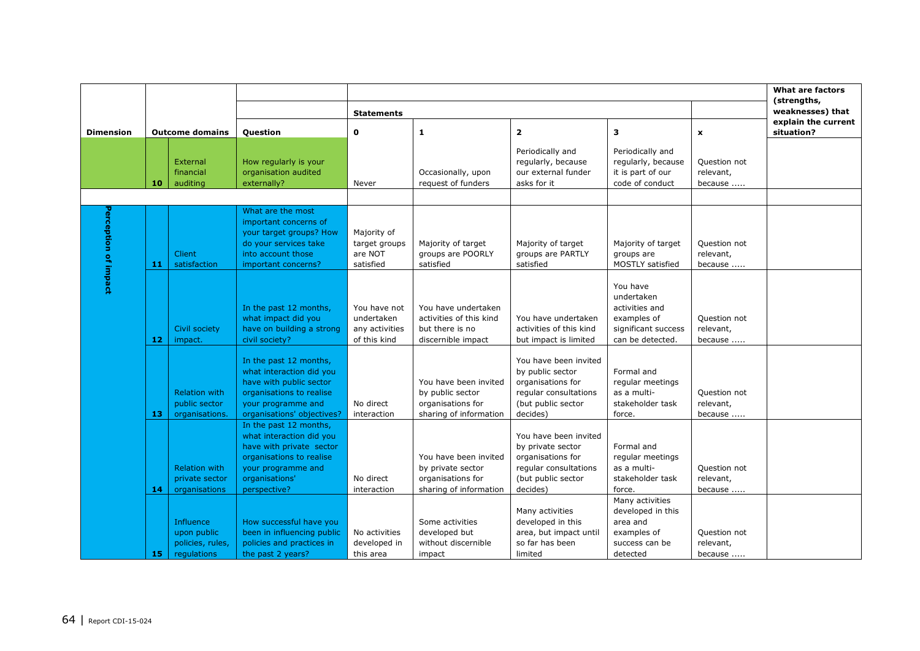|                      |    |                                       |                                                  |                              |                                                |                                                |                                 |                           | What are factors                |
|----------------------|----|---------------------------------------|--------------------------------------------------|------------------------------|------------------------------------------------|------------------------------------------------|---------------------------------|---------------------------|---------------------------------|
|                      |    |                                       |                                                  |                              |                                                |                                                |                                 |                           | (strengths,<br>weaknesses) that |
|                      |    |                                       |                                                  | <b>Statements</b>            |                                                |                                                |                                 |                           | explain the current             |
| <b>Dimension</b>     |    | <b>Outcome domains</b>                | <b>Question</b>                                  | $\mathbf 0$                  | $\mathbf{1}$                                   | $\mathbf{z}$                                   | 3                               | $\mathbf{x}$              | situation?                      |
|                      |    |                                       |                                                  |                              |                                                | Periodically and                               | Periodically and                |                           |                                 |
|                      |    | External                              | How regularly is your                            |                              |                                                | regularly, because                             | regularly, because              | Question not              |                                 |
|                      |    | financial                             | organisation audited                             |                              | Occasionally, upon                             | our external funder                            | it is part of our               | relevant,                 |                                 |
|                      | 10 | auditing                              | externally?                                      | Never                        | request of funders                             | asks for it                                    | code of conduct                 | because                   |                                 |
|                      |    |                                       |                                                  |                              |                                                |                                                |                                 |                           |                                 |
|                      |    |                                       | What are the most                                |                              |                                                |                                                |                                 |                           |                                 |
|                      |    |                                       | important concerns of                            |                              |                                                |                                                |                                 |                           |                                 |
|                      |    |                                       | your target groups? How<br>do your services take | Majority of<br>target groups | Majority of target                             | Majority of target                             | Majority of target              | Question not              |                                 |
|                      |    | <b>Client</b>                         | into account those                               | are NOT                      | groups are POORLY                              | groups are PARTLY                              | groups are                      | relevant,                 |                                 |
|                      | 11 | satisfaction                          | important concerns?                              | satisfied                    | satisfied                                      | satisfied                                      | <b>MOSTLY satisfied</b>         | because                   |                                 |
| Perception of impact |    |                                       |                                                  |                              |                                                |                                                |                                 |                           |                                 |
|                      |    |                                       |                                                  |                              |                                                |                                                | You have                        |                           |                                 |
|                      |    |                                       |                                                  |                              |                                                |                                                | undertaken                      |                           |                                 |
|                      |    |                                       | In the past 12 months,<br>what impact did you    | You have not<br>undertaken   | You have undertaken<br>activities of this kind |                                                | activities and<br>examples of   |                           |                                 |
|                      |    | Civil society                         | have on building a strong                        | any activities               | but there is no                                | You have undertaken<br>activities of this kind | significant success             | Ouestion not<br>relevant, |                                 |
|                      | 12 | impact.                               | civil society?                                   | of this kind                 | discernible impact                             | but impact is limited                          | can be detected.                | because                   |                                 |
|                      |    |                                       |                                                  |                              |                                                |                                                |                                 |                           |                                 |
|                      |    |                                       | In the past 12 months,                           |                              |                                                | You have been invited                          |                                 |                           |                                 |
|                      |    |                                       | what interaction did you                         |                              |                                                | by public sector                               | Formal and                      |                           |                                 |
|                      |    |                                       | have with public sector                          |                              | You have been invited                          | organisations for                              | regular meetings                |                           |                                 |
|                      |    | <b>Relation with</b><br>public sector | organisations to realise<br>your programme and   | No direct                    | by public sector<br>organisations for          | regular consultations<br>(but public sector    | as a multi-<br>stakeholder task | Question not<br>relevant, |                                 |
|                      | 13 | organisations.                        | organisations' objectives?                       | interaction                  | sharing of information                         | decides)                                       | force.                          | because                   |                                 |
|                      |    |                                       | In the past 12 months,                           |                              |                                                |                                                |                                 |                           |                                 |
|                      |    |                                       | what interaction did you                         |                              |                                                | You have been invited                          |                                 |                           |                                 |
|                      |    |                                       | have with private sector                         |                              |                                                | by private sector                              | Formal and                      |                           |                                 |
|                      |    |                                       | organisations to realise                         |                              | You have been invited                          | organisations for                              | regular meetings                |                           |                                 |
|                      |    | <b>Relation with</b>                  | your programme and                               |                              | by private sector                              | regular consultations                          | as a multi-                     | Question not              |                                 |
|                      |    | private sector                        | organisations'                                   | No direct                    | organisations for                              | (but public sector                             | stakeholder task                | relevant,                 |                                 |
|                      | 14 | organisations                         | perspective?                                     | interaction                  | sharing of information                         | decides)                                       | force.<br>Many activities       | because                   |                                 |
|                      |    |                                       |                                                  |                              |                                                | Many activities                                | developed in this               |                           |                                 |
|                      |    | <b>Influence</b>                      | How successful have you                          |                              | Some activities                                | developed in this                              | area and                        |                           |                                 |
|                      |    | upon public                           | been in influencing public                       | No activities                | developed but                                  | area, but impact until                         | examples of                     | Question not              |                                 |
|                      |    | policies, rules,                      | policies and practices in                        | developed in                 | without discernible                            | so far has been                                | success can be                  | relevant,                 |                                 |
|                      | 15 | regulations                           | the past 2 years?                                | this area                    | impact                                         | limited                                        | detected                        | because                   |                                 |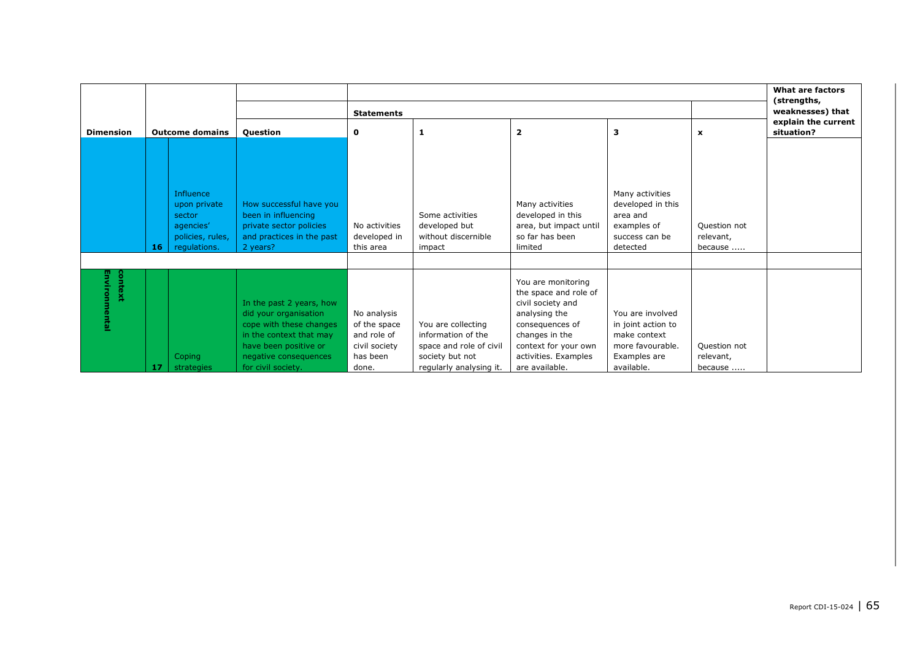|                        |                                                                                            |                      |                                                                                                                                                                                 |                                                                                  |                                                                                                                   |                                                                                                                                                                                          |                                                                                                          |                                      | <b>What are factors</b><br>(strengths, |   |                                   |
|------------------------|--------------------------------------------------------------------------------------------|----------------------|---------------------------------------------------------------------------------------------------------------------------------------------------------------------------------|----------------------------------------------------------------------------------|-------------------------------------------------------------------------------------------------------------------|------------------------------------------------------------------------------------------------------------------------------------------------------------------------------------------|----------------------------------------------------------------------------------------------------------|--------------------------------------|----------------------------------------|---|-----------------------------------|
|                        |                                                                                            |                      |                                                                                                                                                                                 | <b>Statements</b>                                                                |                                                                                                                   |                                                                                                                                                                                          | weaknesses) that                                                                                         |                                      |                                        |   |                                   |
| <b>Dimension</b>       | <b>Outcome domains</b>                                                                     |                      |                                                                                                                                                                                 |                                                                                  | Question                                                                                                          | $\mathbf 0$                                                                                                                                                                              | 1                                                                                                        | $\overline{\mathbf{2}}$              | 3                                      | x | explain the current<br>situation? |
|                        | Influence<br>upon private<br>sector<br>agencies'<br>policies, rules,<br>regulations.<br>16 |                      | How successful have you<br>been in influencing<br>private sector policies<br>and practices in the past<br>2 years?                                                              | No activities<br>developed in<br>this area                                       | Some activities<br>developed but<br>without discernible<br>impact                                                 | Many activities<br>developed in this<br>area, but impact until<br>so far has been<br>limited                                                                                             | Many activities<br>developed in this<br>area and<br>examples of<br>success can be<br>detected            | Question not<br>relevant,<br>because |                                        |   |                                   |
| Environmental<br>jonte | 17                                                                                         | Coping<br>strategies | In the past 2 years, how<br>did your organisation<br>cope with these changes<br>in the context that may<br>have been positive or<br>negative consequences<br>for civil society. | No analysis<br>of the space<br>and role of<br>civil society<br>has been<br>done. | You are collecting<br>information of the<br>space and role of civil<br>society but not<br>regularly analysing it. | You are monitoring<br>the space and role of<br>civil society and<br>analysing the<br>consequences of<br>changes in the<br>context for your own<br>activities. Examples<br>are available. | You are involved<br>in joint action to<br>make context<br>more favourable.<br>Examples are<br>available. | Question not<br>relevant,<br>because |                                        |   |                                   |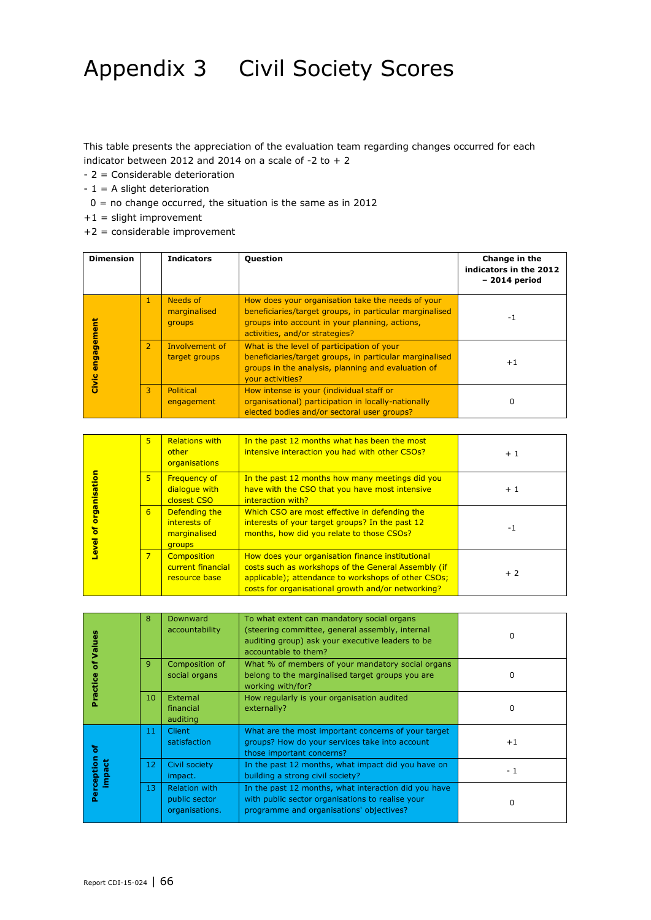## Appendix 3 Civil Society Scores

This table presents the appreciation of the evaluation team regarding changes occurred for each indicator between 2012 and 2014 on a scale of -2 to  $+2$ 

- 2 = Considerable deterioration
- $-1 = A$  slight deterioration
	- $0 =$  no change occurred, the situation is the same as in 2012
- $+1$  = slight improvement
- +2 = considerable improvement

| <b>Dimension</b>    |                | <b>Indicators</b>                  | <b>Question</b>                                                                                                                                                                                  | Change in the<br>indicators in the 2012<br>$-2014$ period |
|---------------------|----------------|------------------------------------|--------------------------------------------------------------------------------------------------------------------------------------------------------------------------------------------------|-----------------------------------------------------------|
|                     | 1              | Needs of<br>marginalised<br>groups | How does your organisation take the needs of your<br>beneficiaries/target groups, in particular marginalised<br>groups into account in your planning, actions,<br>activities, and/or strategies? | -1                                                        |
| engagement<br>Civic | $\overline{2}$ | Involvement of<br>target groups    | What is the level of participation of your<br>beneficiaries/target groups, in particular marginalised<br>groups in the analysis, planning and evaluation of<br>your activities?                  | $+1$                                                      |
|                     | 3              | <b>Political</b><br>engagement     | How intense is your (individual staff or<br>organisational) participation in locally-nationally<br>elected bodies and/or sectoral user groups?                                                   | 0                                                         |

| organisation     | 5.             | <b>Relations with</b><br>other<br>organisations                | In the past 12 months what has been the most<br>intensive interaction you had with other CSOs?                                                                                                                       | $+1$ |
|------------------|----------------|----------------------------------------------------------------|----------------------------------------------------------------------------------------------------------------------------------------------------------------------------------------------------------------------|------|
|                  | 5 <sup>5</sup> | <b>Frequency of</b><br>dialogue with<br>closest CSO            | In the past 12 months how many meetings did you<br>have with the CSO that you have most intensive<br>interaction with?                                                                                               | $+1$ |
| ō<br><u>leve</u> | 6              | Defending the<br>interests of<br>marginalised<br><b>groups</b> | Which CSO are most effective in defending the<br>interests of your target groups? In the past 12<br>months, how did you relate to those CSOs?                                                                        | -1   |
|                  | $\overline{7}$ | <b>Composition</b><br>current financial<br>resource base       | How does your organisation finance institutional<br>costs such as workshops of the General Assembly (if<br>applicable); attendance to workshops of other CSOs;<br>costs for organisational growth and/or networking? | $+2$ |

| Values              | 8            | Downward<br>accountability                              | To what extent can mandatory social organs<br>(steering committee, general assembly, internal<br>auditing group) ask your executive leaders to be<br>accountable to them? | 0        |
|---------------------|--------------|---------------------------------------------------------|---------------------------------------------------------------------------------------------------------------------------------------------------------------------------|----------|
| ö<br>ractice        | $\mathbf{Q}$ | Composition of<br>social organs                         | What % of members of your mandatory social organs<br>belong to the marginalised target groups you are<br>working with/for?                                                | 0        |
|                     | 10           | External<br>financial<br>auditing                       | How regularly is your organisation audited<br>externally?                                                                                                                 | 0        |
| ō                   | 11           | <b>Client</b><br>satisfaction                           | What are the most important concerns of your target<br>groups? How do your services take into account<br>those important concerns?                                        | $+1$     |
| erception<br>Ъ<br>鲁 | 12           | Civil society<br>impact.                                | In the past 12 months, what impact did you have on<br>building a strong civil society?                                                                                    | - 1      |
| Ξ<br>Ő.             | 13           | <b>Relation with</b><br>public sector<br>organisations. | In the past 12 months, what interaction did you have<br>with public sector organisations to realise your<br>programme and organisations' objectives?                      | $\Omega$ |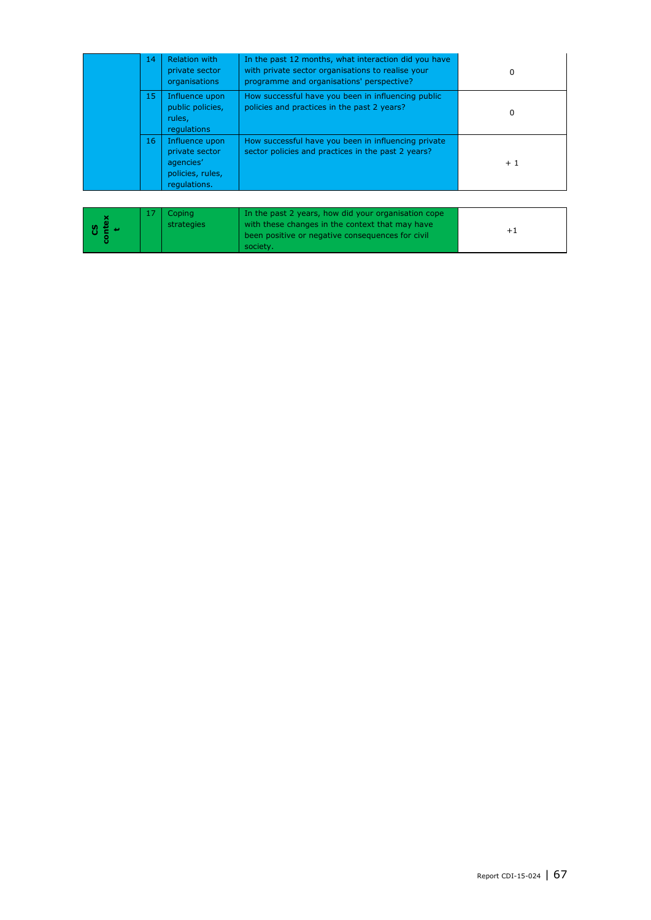|  | 14 | <b>Relation with</b><br>private sector<br>organisations                           | In the past 12 months, what interaction did you have<br>with private sector organisations to realise your<br>programme and organisations' perspective? | 0    |
|--|----|-----------------------------------------------------------------------------------|--------------------------------------------------------------------------------------------------------------------------------------------------------|------|
|  | 15 | Influence upon<br>public policies,<br>rules.<br>regulations                       | How successful have you been in influencing public<br>policies and practices in the past 2 years?                                                      | 0    |
|  | 16 | Influence upon<br>private sector<br>agencies'<br>policies, rules,<br>regulations. | How successful have you been in influencing private<br>sector policies and practices in the past 2 years?                                              | $+1$ |

|  |  | Copinal<br>strategies | In the past 2 years, how did your organisation cope<br>with these changes in the context that may have<br>been positive or negative consequences for civil<br>society. |  |
|--|--|-----------------------|------------------------------------------------------------------------------------------------------------------------------------------------------------------------|--|
|--|--|-----------------------|------------------------------------------------------------------------------------------------------------------------------------------------------------------------|--|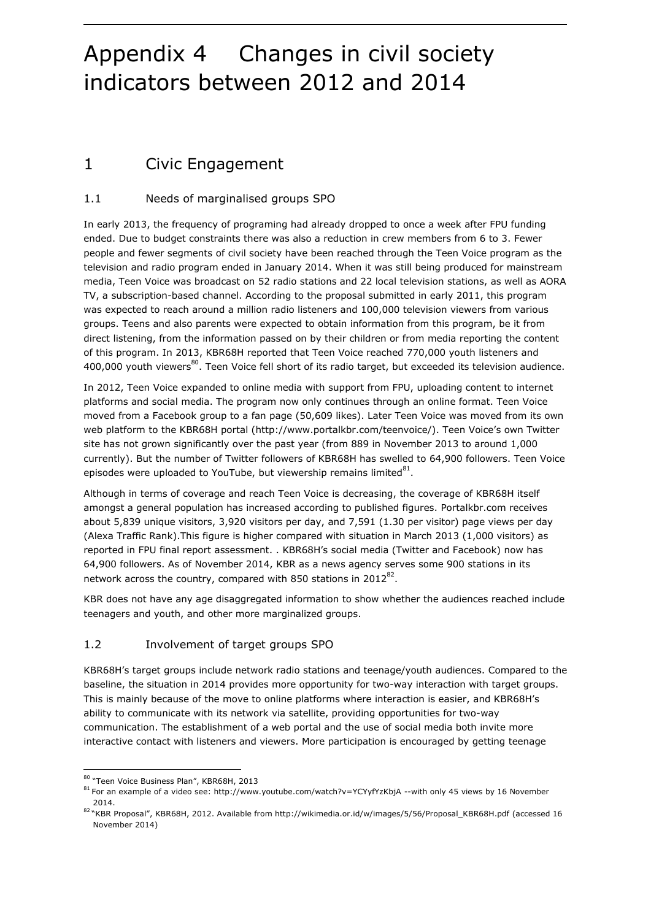## Appendix 4 Changes in civil society indicators between 2012 and 2014

### 1 Civic Engagement

### 1.1 Needs of marginalised groups SPO

In early 2013, the frequency of programing had already dropped to once a week after FPU funding ended. Due to budget constraints there was also a reduction in crew members from 6 to 3. Fewer people and fewer segments of civil society have been reached through the Teen Voice program as the television and radio program ended in January 2014. When it was still being produced for mainstream media, Teen Voice was broadcast on 52 radio stations and 22 local television stations, as well as AORA TV, a subscription-based channel. According to the proposal submitted in early 2011, this program was expected to reach around a million radio listeners and 100,000 television viewers from various groups. Teens and also parents were expected to obtain information from this program, be it from direct listening, from the information passed on by their children or from media reporting the content of this program. In 2013, KBR68H reported that Teen Voice reached 770,000 youth listeners and 400,000 youth viewers $^{80}$ . Teen Voice fell short of its radio target, but exceeded its television audience.

In 2012, Teen Voice expanded to online media with support from FPU, uploading content to internet platforms and social media. The program now only continues through an online format. Teen Voice moved from a Facebook group to a fan page (50,609 likes). Later Teen Voice was moved from its own web platform to the KBR68H portal [\(http://www.portalkbr.com/teenvoice/\)](http://www.portalkbr.com/teenvoice/). Teen Voice's own Twitter site has not grown significantly over the past year (from 889 in November 2013 to around 1,000 currently). But the number of Twitter followers of KBR68H has swelled to 64,900 followers. Teen Voice episodes were uploaded to YouTube, but viewership remains limited $^{81}$ .

Although in terms of coverage and reach Teen Voice is decreasing, the coverage of KBR68H itself amongst a general population has increased according to published figures. Portalkbr.com receives about 5,839 unique visitors, 3,920 visitors per day, and 7,591 (1.30 per visitor) page views per day (Alexa Traffic Rank).This figure is higher compared with situation in March 2013 (1,000 visitors) as reported in FPU final report assessment. . KBR68H's social media (Twitter and Facebook) now has 64,900 followers. As of November 2014, KBR as a news agency serves some 900 stations in its network across the country, compared with 850 stations in 2012 $^{82}$ .

KBR does not have any age disaggregated information to show whether the audiences reached include teenagers and youth, and other more marginalized groups.

### 1.2 Involvement of target groups SPO

KBR68H's target groups include network radio stations and teenage/youth audiences. Compared to the baseline, the situation in 2014 provides more opportunity for two-way interaction with target groups. This is mainly because of the move to online platforms where interaction is easier, and KBR68H's ability to communicate with its network via satellite, providing opportunities for two-way communication. The establishment of a web portal and the use of social media both invite more interactive contact with listeners and viewers. More participation is encouraged by getting teenage

1

<sup>80 &</sup>quot;Teen Voice Business Plan", KBR68H, 2013

<sup>81</sup> For an example of a video see[: http://www.youtube.com/watch?v=YCYyfYzKbjA](http://www.youtube.com/watch?v=YCYyfYzKbjA) --with only 45 views by 16 November 2014.

<sup>82</sup> "KBR Proposal", KBR68H, 2012. Available from [http://wikimedia.or.id/w/images/5/56/Proposal\\_KBR68H.pdf](http://wikimedia.or.id/w/images/5/56/Proposal_KBR68H.pdf) (accessed 16 November 2014)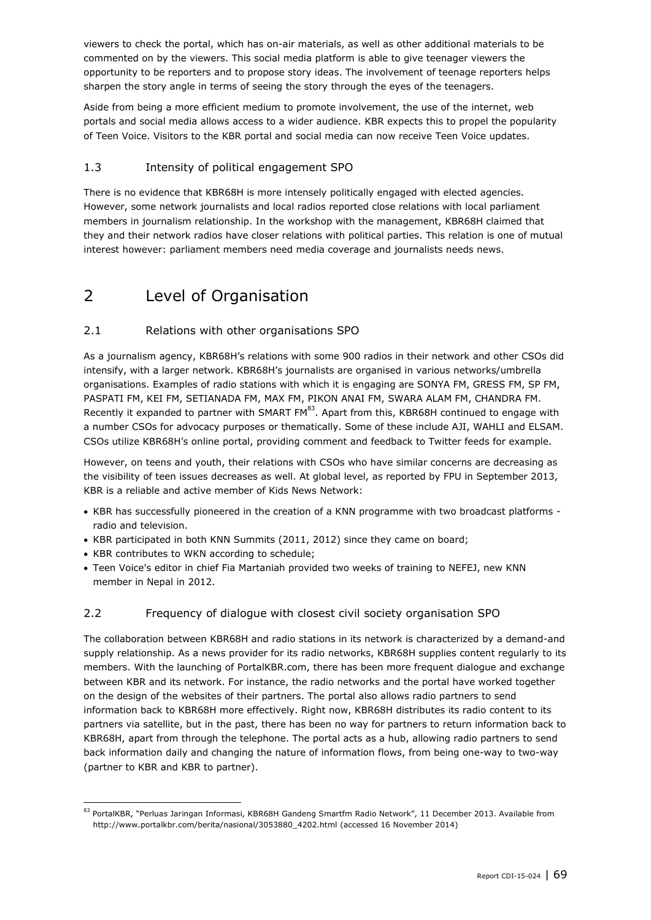viewers to check the portal, which has on-air materials, as well as other additional materials to be commented on by the viewers. This social media platform is able to give teenager viewers the opportunity to be reporters and to propose story ideas. The involvement of teenage reporters helps sharpen the story angle in terms of seeing the story through the eyes of the teenagers.

Aside from being a more efficient medium to promote involvement, the use of the internet, web portals and social media allows access to a wider audience. KBR expects this to propel the popularity of Teen Voice. Visitors to the KBR portal and social media can now receive Teen Voice updates.

### 1.3 Intensity of political engagement SPO

There is no evidence that KBR68H is more intensely politically engaged with elected agencies. However, some network journalists and local radios reported close relations with local parliament members in journalism relationship. In the workshop with the management, KBR68H claimed that they and their network radios have closer relations with political parties. This relation is one of mutual interest however: parliament members need media coverage and journalists needs news.

### 2 Level of Organisation

### 2.1 Relations with other organisations SPO

As a journalism agency, KBR68H's relations with some 900 radios in their network and other CSOs did intensify, with a larger network. KBR68H's journalists are organised in various networks/umbrella organisations. Examples of radio stations with which it is engaging are SONYA FM, GRESS FM, SP FM, PASPATI FM, KEI FM, SETIANADA FM, MAX FM, PIKON ANAI FM, SWARA ALAM FM, CHANDRA FM. Recently it expanded to partner with SMART  $FM^{83}$ . Apart from this, KBR68H continued to engage with a number CSOs for advocacy purposes or thematically. Some of these include AJI, WAHLI and ELSAM. CSOs utilize KBR68H's online portal, providing comment and feedback to Twitter feeds for example.

However, on teens and youth, their relations with CSOs who have similar concerns are decreasing as the visibility of teen issues decreases as well. At global level, as reported by FPU in September 2013, KBR is a reliable and active member of Kids News Network:

- KBR has successfully pioneered in the creation of a KNN programme with two broadcast platforms radio and television.
- KBR participated in both KNN Summits (2011, 2012) since they came on board;
- KBR contributes to WKN according to schedule;

1

 Teen Voice's editor in chief Fia Martaniah provided two weeks of training to NEFEJ, new KNN member in Nepal in 2012.

### 2.2 Frequency of dialogue with closest civil society organisation SPO

The collaboration between KBR68H and radio stations in its network is characterized by a demand-and supply relationship. As a news provider for its radio networks, KBR68H supplies content regularly to its members. With the launching of PortalKBR.com, there has been more frequent dialogue and exchange between KBR and its network. For instance, the radio networks and the portal have worked together on the design of the websites of their partners. The portal also allows radio partners to send information back to KBR68H more effectively. Right now, KBR68H distributes its radio content to its partners via satellite, but in the past, there has been no way for partners to return information back to KBR68H, apart from through the telephone. The portal acts as a hub, allowing radio partners to send back information daily and changing the nature of information flows, from being one-way to two-way (partner to KBR and KBR to partner).

<sup>83</sup> PortalKBR, "Perluas Jaringan Informasi, KBR68H Gandeng Smartfm Radio Network", 11 December 2013. Available from [http://www.portalkbr.com/berita/nasional/3053880\\_4202.html](http://www.portalkbr.com/berita/nasional/3053880_4202.html) (accessed 16 November 2014)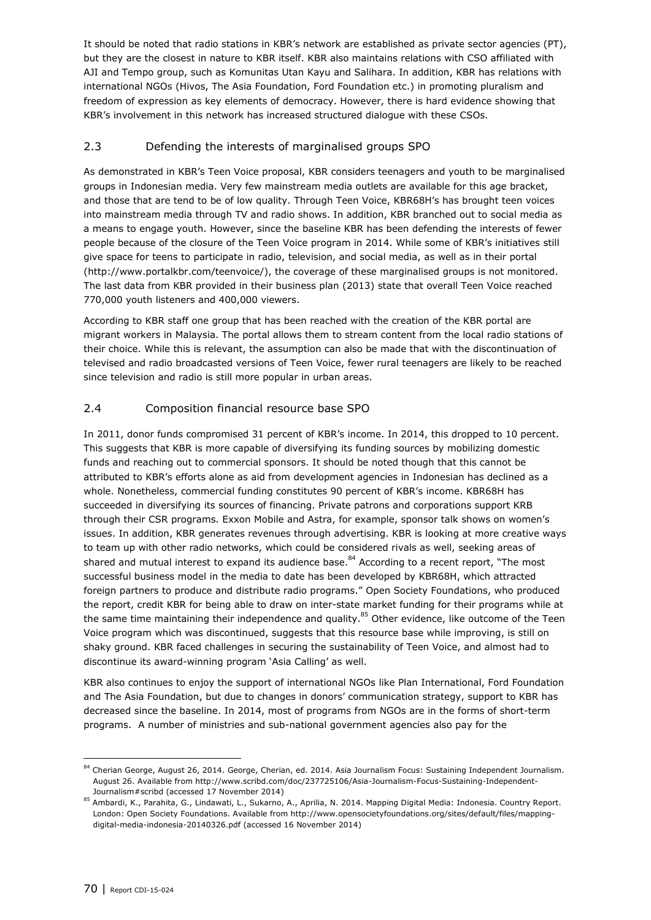It should be noted that radio stations in KBR's network are established as private sector agencies (PT), but they are the closest in nature to KBR itself. KBR also maintains relations with CSO affiliated with AJI and Tempo group, such as Komunitas Utan Kayu and Salihara. In addition, KBR has relations with international NGOs (Hivos, The Asia Foundation, Ford Foundation etc.) in promoting pluralism and freedom of expression as key elements of democracy. However, there is hard evidence showing that KBR's involvement in this network has increased structured dialogue with these CSOs.

### 2.3 Defending the interests of marginalised groups SPO

As demonstrated in KBR's Teen Voice proposal, KBR considers teenagers and youth to be marginalised groups in Indonesian media. Very few mainstream media outlets are available for this age bracket, and those that are tend to be of low quality. Through Teen Voice, KBR68H's has brought teen voices into mainstream media through TV and radio shows. In addition, KBR branched out to social media as a means to engage youth. However, since the baseline KBR has been defending the interests of fewer people because of the closure of the Teen Voice program in 2014. While some of KBR's initiatives still give space for teens to participate in radio, television, and social media, as well as in their portal (http://www.portalkbr.com/teenvoice/), the coverage of these marginalised groups is not monitored. The last data from KBR provided in their business plan (2013) state that overall Teen Voice reached 770,000 youth listeners and 400,000 viewers.

According to KBR staff one group that has been reached with the creation of the KBR portal are migrant workers in Malaysia. The portal allows them to stream content from the local radio stations of their choice. While this is relevant, the assumption can also be made that with the discontinuation of televised and radio broadcasted versions of Teen Voice, fewer rural teenagers are likely to be reached since television and radio is still more popular in urban areas.

### 2.4 Composition financial resource base SPO

In 2011, donor funds compromised 31 percent of KBR's income. In 2014, this dropped to 10 percent. This suggests that KBR is more capable of diversifying its funding sources by mobilizing domestic funds and reaching out to commercial sponsors. It should be noted though that this cannot be attributed to KBR's efforts alone as aid from development agencies in Indonesian has declined as a whole. Nonetheless, commercial funding constitutes 90 percent of KBR's income. KBR68H has succeeded in diversifying its sources of financing. Private patrons and corporations support KRB through their CSR programs. Exxon Mobile and Astra, for example, sponsor talk shows on women's issues. In addition, KBR generates revenues through advertising. KBR is looking at more creative ways to team up with other radio networks, which could be considered rivals as well, seeking areas of shared and mutual interest to expand its audience base. $^{84}$  According to a recent report, "The most successful business model in the media to date has been developed by KBR68H, which attracted foreign partners to produce and distribute radio programs." Open Society Foundations, who produced the report, credit KBR for being able to draw on inter-state market funding for their programs while at the same time maintaining their independence and quality.<sup>85</sup> Other evidence, like outcome of the Teen Voice program which was discontinued, suggests that this resource base while improving, is still on shaky ground. KBR faced challenges in securing the sustainability of Teen Voice, and almost had to discontinue its award-winning program 'Asia Calling' as well.

KBR also continues to enjoy the support of international NGOs like Plan International, Ford Foundation and The Asia Foundation, but due to changes in donors' communication strategy, support to KBR has decreased since the baseline. In 2014, most of programs from NGOs are in the forms of short-term programs. A number of ministries and sub-national government agencies also pay for the

<sup>84</sup> Cherian George, August 26, 2014. George, Cherian, ed. 2014. Asia Journalism Focus: Sustaining Independent Journalism. August 26. Available from http://www.scribd.com/doc/237725106/Asia-Journalism-Focus-Sustaining-Independent-Journalism#scribd (accessed 17 November 2014)

<sup>85</sup> Ambardi, K., Parahita, G., Lindawati, L., Sukarno, A., Aprilia, N. 2014. Mapping Digital Media: Indonesia. Country Report. London: Open Society Foundations. Available from http://www.opensocietyfoundations.org/sites/default/files/mappingdigital-media-indonesia-20140326.pdf (accessed 16 November 2014)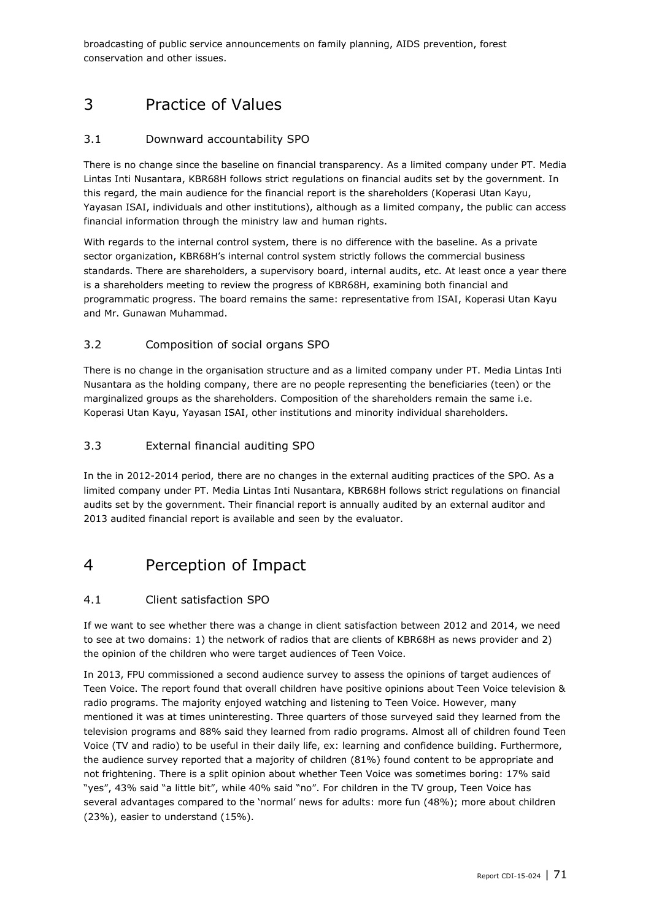broadcasting of public service announcements on family planning, AIDS prevention, forest conservation and other issues.

### 3 Practice of Values

### 3.1 Downward accountability SPO

There is no change since the baseline on financial transparency. As a limited company under PT. Media Lintas Inti Nusantara, KBR68H follows strict regulations on financial audits set by the government. In this regard, the main audience for the financial report is the shareholders (Koperasi Utan Kayu, Yayasan ISAI, individuals and other institutions), although as a limited company, the public can access financial information through the ministry law and human rights.

With regards to the internal control system, there is no difference with the baseline. As a private sector organization, KBR68H's internal control system strictly follows the commercial business standards. There are shareholders, a supervisory board, internal audits, etc. At least once a year there is a shareholders meeting to review the progress of KBR68H, examining both financial and programmatic progress. The board remains the same: representative from ISAI, Koperasi Utan Kayu and Mr. Gunawan Muhammad.

### 3.2 Composition of social organs SPO

There is no change in the organisation structure and as a limited company under PT. Media Lintas Inti Nusantara as the holding company, there are no people representing the beneficiaries (teen) or the marginalized groups as the shareholders. Composition of the shareholders remain the same i.e. Koperasi Utan Kayu, Yayasan ISAI, other institutions and minority individual shareholders.

### 3.3 External financial auditing SPO

In the in 2012-2014 period, there are no changes in the external auditing practices of the SPO. As a limited company under PT. Media Lintas Inti Nusantara, KBR68H follows strict regulations on financial audits set by the government. Their financial report is annually audited by an external auditor and 2013 audited financial report is available and seen by the evaluator.

### 4 Perception of Impact

### 4.1 Client satisfaction SPO

If we want to see whether there was a change in client satisfaction between 2012 and 2014, we need to see at two domains: 1) the network of radios that are clients of KBR68H as news provider and 2) the opinion of the children who were target audiences of Teen Voice.

In 2013, FPU commissioned a second audience survey to assess the opinions of target audiences of Teen Voice. The report found that overall children have positive opinions about Teen Voice television & radio programs. The majority enjoyed watching and listening to Teen Voice. However, many mentioned it was at times uninteresting. Three quarters of those surveyed said they learned from the television programs and 88% said they learned from radio programs. Almost all of children found Teen Voice (TV and radio) to be useful in their daily life, ex: learning and confidence building. Furthermore, the audience survey reported that a majority of children (81%) found content to be appropriate and not frightening. There is a split opinion about whether Teen Voice was sometimes boring: 17% said "yes", 43% said "a little bit", while 40% said "no". For children in the TV group, Teen Voice has several advantages compared to the 'normal' news for adults: more fun (48%); more about children (23%), easier to understand (15%).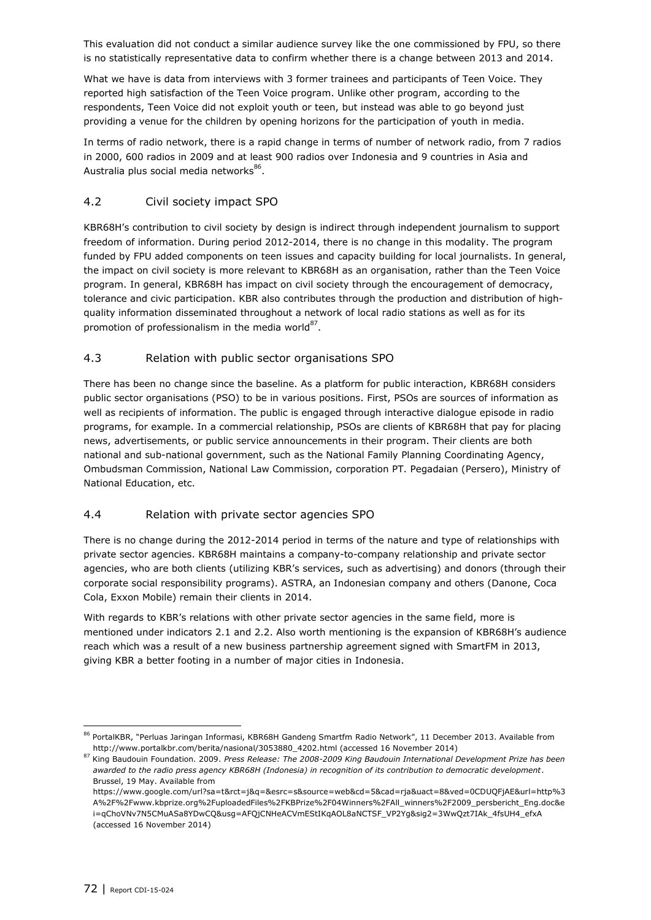This evaluation did not conduct a similar audience survey like the one commissioned by FPU, so there is no statistically representative data to confirm whether there is a change between 2013 and 2014.

What we have is data from interviews with 3 former trainees and participants of Teen Voice. They reported high satisfaction of the Teen Voice program. Unlike other program, according to the respondents, Teen Voice did not exploit youth or teen, but instead was able to go beyond just providing a venue for the children by opening horizons for the participation of youth in media.

In terms of radio network, there is a rapid change in terms of number of network radio, from 7 radios in 2000, 600 radios in 2009 and at least 900 radios over Indonesia and 9 countries in Asia and Australia plus social media networks<sup>86</sup>.

### 4.2 Civil society impact SPO

KBR68H's contribution to civil society by design is indirect through independent journalism to support freedom of information. During period 2012-2014, there is no change in this modality. The program funded by FPU added components on teen issues and capacity building for local journalists. In general, the impact on civil society is more relevant to KBR68H as an organisation, rather than the Teen Voice program. In general, KBR68H has impact on civil society through the encouragement of democracy, tolerance and civic participation. KBR also contributes through the production and distribution of highquality information disseminated throughout a network of local radio stations as well as for its promotion of professionalism in the media world $^{87}$ .

### 4.3 Relation with public sector organisations SPO

There has been no change since the baseline. As a platform for public interaction, KBR68H considers public sector organisations (PSO) to be in various positions. First, PSOs are sources of information as well as recipients of information. The public is engaged through interactive dialogue episode in radio programs, for example. In a commercial relationship, PSOs are clients of KBR68H that pay for placing news, advertisements, or public service announcements in their program. Their clients are both national and sub-national government, such as the National Family Planning Coordinating Agency, Ombudsman Commission, National Law Commission, corporation PT. Pegadaian (Persero), Ministry of National Education, etc.

### 4.4 Relation with private sector agencies SPO

There is no change during the 2012-2014 period in terms of the nature and type of relationships with private sector agencies. KBR68H maintains a company-to-company relationship and private sector agencies, who are both clients (utilizing KBR's services, such as advertising) and donors (through their corporate social responsibility programs). ASTRA, an Indonesian company and others (Danone, Coca Cola, Exxon Mobile) remain their clients in 2014.

With regards to KBR's relations with other private sector agencies in the same field, more is mentioned under indicators 2.1 and 2.2. Also worth mentioning is the expansion of KBR68H's audience reach which was a result of a new business partnership agreement signed with SmartFM in 2013, giving KBR a better footing in a number of major cities in Indonesia.

<sup>86</sup> PortalKBR, "Perluas Jaringan Informasi, KBR68H Gandeng Smartfm Radio Network", 11 December 2013. Available from http://www.portalkbr.com/berita/nasional/3053880\_4202.html (accessed 16 November 2014)

<sup>87</sup> King Baudouin Foundation. 2009. *Press Release: The 2008-2009 King Baudouin International Development Prize has been awarded to the radio press agency KBR68H (Indonesia) in recognition of its contribution to democratic development*. Brussel, 19 May. Available from

https://www.google.com/url?sa=t&rct=j&q=&esrc=s&source=web&cd=5&cad=rja&uact=8&ved=0CDUQFjAE&url=http%3 A%2F%2Fwww.kbprize.org%2FuploadedFiles%2FKBPrize%2F04Winners%2FAll\_winners%2F2009\_persbericht\_Eng.doc&e i=qChoVNv7N5CMuASa8YDwCQ&usg=AFQjCNHeACVmEStIKqAOL8aNCTSF\_VP2Yg&sig2=3WwQzt7IAk\_4fsUH4\_efxA (accessed 16 November 2014)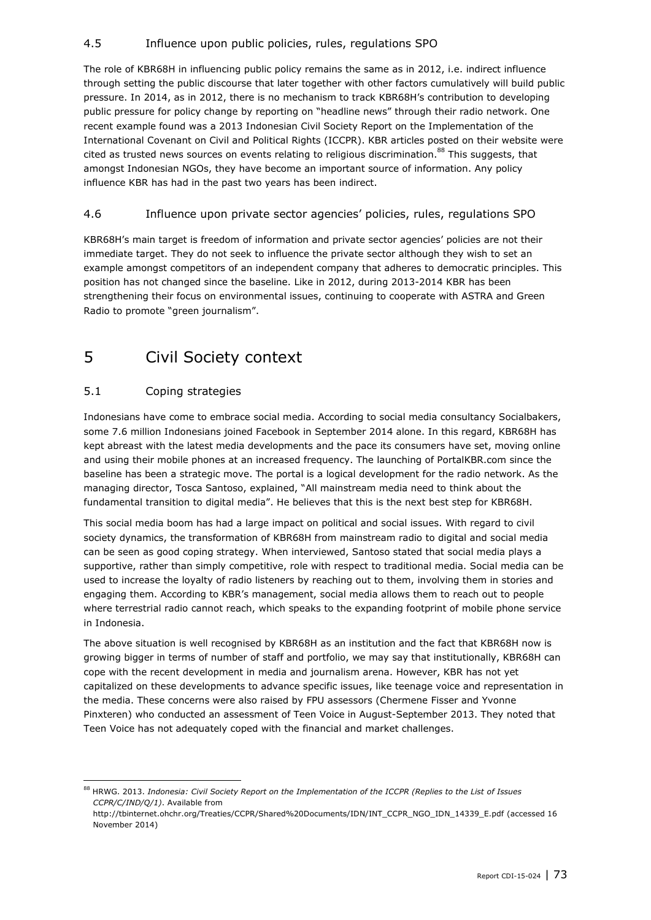## 4.5 Influence upon public policies, rules, regulations SPO

The role of KBR68H in influencing public policy remains the same as in 2012, i.e. indirect influence through setting the public discourse that later together with other factors cumulatively will build public pressure. In 2014, as in 2012, there is no mechanism to track KBR68H's contribution to developing public pressure for policy change by reporting on "headline news" through their radio network. One recent example found was a 2013 Indonesian Civil Society Report on the Implementation of the International Covenant on Civil and Political Rights (ICCPR). KBR articles posted on their website were cited as trusted news sources on events relating to religious discrimination.<sup>88</sup> This suggests, that amongst Indonesian NGOs, they have become an important source of information. Any policy influence KBR has had in the past two years has been indirect.

## 4.6 Influence upon private sector agencies' policies, rules, regulations SPO

KBR68H's main target is freedom of information and private sector agencies' policies are not their immediate target. They do not seek to influence the private sector although they wish to set an example amongst competitors of an independent company that adheres to democratic principles. This position has not changed since the baseline. Like in 2012, during 2013-2014 KBR has been strengthening their focus on environmental issues, continuing to cooperate with ASTRA and Green Radio to promote "green journalism".

## 5 Civil Society context

## 5.1 Coping strategies

ł

Indonesians have come to embrace social media. According to social media consultancy Socialbakers, some 7.6 million Indonesians joined Facebook in September 2014 alone. In this regard, KBR68H has kept abreast with the latest media developments and the pace its consumers have set, moving online and using their mobile phones at an increased frequency. The launching of PortalKBR.com since the baseline has been a strategic move. The portal is a logical development for the radio network. As the managing director, Tosca Santoso, explained, "All mainstream media need to think about the fundamental transition to digital media". He believes that this is the next best step for KBR68H.

This social media boom has had a large impact on political and social issues. With regard to civil society dynamics, the transformation of KBR68H from mainstream radio to digital and social media can be seen as good coping strategy. When interviewed, Santoso stated that social media plays a supportive, rather than simply competitive, role with respect to traditional media. Social media can be used to increase the loyalty of radio listeners by reaching out to them, involving them in stories and engaging them. According to KBR's management, social media allows them to reach out to people where terrestrial radio cannot reach, which speaks to the expanding footprint of mobile phone service in Indonesia.

The above situation is well recognised by KBR68H as an institution and the fact that KBR68H now is growing bigger in terms of number of staff and portfolio, we may say that institutionally, KBR68H can cope with the recent development in media and journalism arena. However, KBR has not yet capitalized on these developments to advance specific issues, like teenage voice and representation in the media. These concerns were also raised by FPU assessors (Chermene Fisser and Yvonne Pinxteren) who conducted an assessment of Teen Voice in August-September 2013. They noted that Teen Voice has not adequately coped with the financial and market challenges.

<sup>88</sup> HRWG. 2013. *Indonesia: Civil Society Report on the Implementation of the ICCPR (Replies to the List of Issues CCPR/C/IND/Q/1)*. Available from

[http://tbinternet.ohchr.org/Treaties/CCPR/Shared%20Documents/IDN/INT\\_CCPR\\_NGO\\_IDN\\_14339\\_E.pdf](http://tbinternet.ohchr.org/Treaties/CCPR/Shared%20Documents/IDN/INT_CCPR_NGO_IDN_14339_E.pdf) (accessed 16 November 2014)